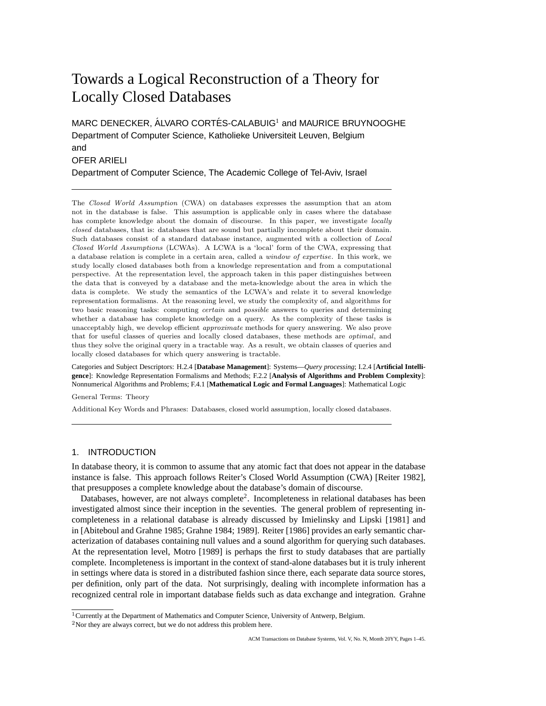# Towards a Logical Reconstruction of a Theory for Locally Closed Databases

MARC DENECKER, ÁLVARO CORTÉS-CALABUIG<sup>1</sup> and MAURICE BRUYNOOGHE Department of Computer Science, Katholieke Universiteit Leuven, Belgium and OFER ARIELI Department of Computer Science, The Academic College of Tel-Aviv, Israel

The Closed World Assumption (CWA) on databases expresses the assumption that an atom not in the database is false. This assumption is applicable only in cases where the database has complete knowledge about the domain of discourse. In this paper, we investigate locally closed databases, that is: databases that are sound but partially incomplete about their domain. Such databases consist of a standard database instance, augmented with a collection of Local Closed World Assumptions (LCWAs). A LCWA is a 'local' form of the CWA, expressing that a database relation is complete in a certain area, called a window of expertise. In this work, we study locally closed databases both from a knowledge representation and from a computational perspective. At the representation level, the approach taken in this paper distinguishes between the data that is conveyed by a database and the meta-knowledge about the area in which the data is complete. We study the semantics of the LCWA's and relate it to several knowledge representation formalisms. At the reasoning level, we study the complexity of, and algorithms for two basic reasoning tasks: computing *certain* and *possible* answers to queries and determining whether a database has complete knowledge on a query. As the complexity of these tasks is unacceptably high, we develop efficient approximate methods for query answering. We also prove that for useful classes of queries and locally closed databases, these methods are optimal, and thus they solve the original query in a tractable way. As a result, we obtain classes of queries and locally closed databases for which query answering is tractable.

Categories and Subject Descriptors: H.2.4 [**Database Management**]: Systems—*Query processing*; I.2.4 [**Artificial Intelligence**]: Knowledge Representation Formalisms and Methods; F.2.2 [**Analysis of Algorithms and Problem Complexity**]: Nonnumerical Algorithms and Problems; F.4.1 [**Mathematical Logic and Formal Languages**]: Mathematical Logic

General Terms: Theory

Additional Key Words and Phrases: Databases, closed world assumption, locally closed databases.

## 1. INTRODUCTION

In database theory, it is common to assume that any atomic fact that does not appear in the database instance is false. This approach follows Reiter's Closed World Assumption (CWA) [Reiter 1982], that presupposes a complete knowledge about the database's domain of discourse.

Databases, however, are not always complete<sup>2</sup>. Incompleteness in relational databases has been investigated almost since their inception in the seventies. The general problem of representing incompleteness in a relational database is already discussed by Imielinsky and Lipski [1981] and in [Abiteboul and Grahne 1985; Grahne 1984; 1989]. Reiter [1986] provides an early semantic characterization of databases containing null values and a sound algorithm for querying such databases. At the representation level, Motro [1989] is perhaps the first to study databases that are partially complete. Incompleteness is important in the context of stand-alone databases but it is truly inherent in settings where data is stored in a distributed fashion since there, each separate data source stores, per definition, only part of the data. Not surprisingly, dealing with incomplete information has a recognized central role in important database fields such as data exchange and integration. Grahne

<sup>&</sup>lt;sup>1</sup> Currently at the Department of Mathematics and Computer Science, University of Antwerp, Belgium.

<sup>2</sup>Nor they are always correct, but we do not address this problem here.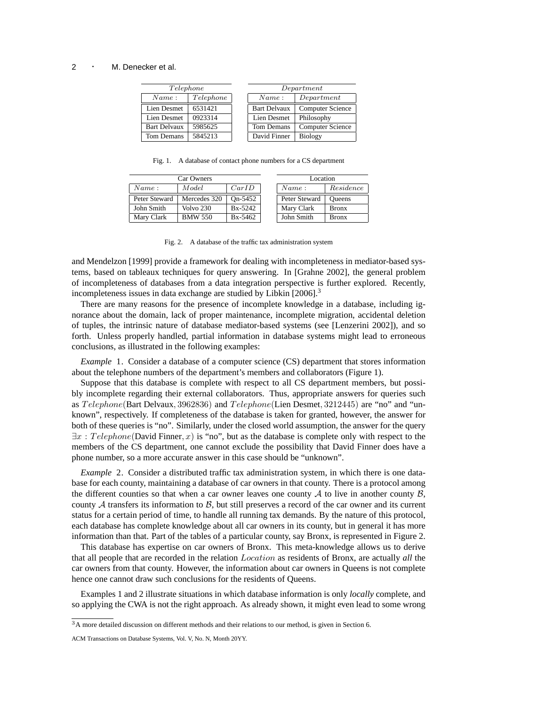| Telephone           |           | Department          |                  |  |
|---------------------|-----------|---------------------|------------------|--|
| Name:               | Telephone | Name:               | Department       |  |
| Lien Desmet         | 6531421   | <b>Bart Delvaux</b> | Computer Science |  |
| Lien Desmet         | 0923314   | Lien Desmet         | Philosophy       |  |
| <b>Bart Delvaux</b> | 5985625   | <b>Tom Demans</b>   | Computer Science |  |
| Tom Demans          | 5845213   | David Finner        | Biology          |  |

Fig. 1. A database of contact phone numbers for a CS department

| Car Owners    |                |           | Location      |               |
|---------------|----------------|-----------|---------------|---------------|
| Name:         | Model          | CarID     | Name:         | Residence     |
| Peter Steward | Mercedes 320   | On-5452   | Peter Steward | <b>Oueens</b> |
| John Smith    | Volvo 230      | $Bx-5242$ | Mary Clark    | <b>Bronx</b>  |
| Mary Clark    | <b>BMW 550</b> | $Bx-5462$ | John Smith    | <b>Bronx</b>  |

Fig. 2. A database of the traffic tax administration system

and Mendelzon [1999] provide a framework for dealing with incompleteness in mediator-based systems, based on tableaux techniques for query answering. In [Grahne 2002], the general problem of incompleteness of databases from a data integration perspective is further explored. Recently, incompleteness issues in data exchange are studied by Libkin [2006].<sup>3</sup>

There are many reasons for the presence of incomplete knowledge in a database, including ignorance about the domain, lack of proper maintenance, incomplete migration, accidental deletion of tuples, the intrinsic nature of database mediator-based systems (see [Lenzerini 2002]), and so forth. Unless properly handled, partial information in database systems might lead to erroneous conclusions, as illustrated in the following examples:

*Example* 1. Consider a database of a computer science (CS) department that stores information about the telephone numbers of the department's members and collaborators (Figure 1).

Suppose that this database is complete with respect to all CS department members, but possibly incomplete regarding their external collaborators. Thus, appropriate answers for queries such as  $Telephone(Bart Delvaux, 3962836)$  and  $Telephone(Lien Desmet, 3212445)$  are "no" and "unknown", respectively. If completeness of the database is taken for granted, however, the answer for both of these queries is "no". Similarly, under the closed world assumption, the answer for the query  $\exists x : Telephone(David Finner, x)$  is "no", but as the database is complete only with respect to the members of the CS department, one cannot exclude the possibility that David Finner does have a phone number, so a more accurate answer in this case should be "unknown".

*Example* 2. Consider a distributed traffic tax administration system, in which there is one database for each county, maintaining a database of car owners in that county. There is a protocol among the different counties so that when a car owner leaves one county  $A$  to live in another county  $B$ , county  $A$  transfers its information to  $B$ , but still preserves a record of the car owner and its current status for a certain period of time, to handle all running tax demands. By the nature of this protocol, each database has complete knowledge about all car owners in its county, but in general it has more information than that. Part of the tables of a particular county, say Bronx, is represented in Figure 2.

This database has expertise on car owners of Bronx. This meta-knowledge allows us to derive that all people that are recorded in the relation Location as residents of Bronx, are actually *all* the car owners from that county. However, the information about car owners in Queens is not complete hence one cannot draw such conclusions for the residents of Queens.

Examples 1 and 2 illustrate situations in which database information is only *locally* complete, and so applying the CWA is not the right approach. As already shown, it might even lead to some wrong

<sup>&</sup>lt;sup>3</sup>A more detailed discussion on different methods and their relations to our method, is given in Section 6.

ACM Transactions on Database Systems, Vol. V, No. N, Month 20YY.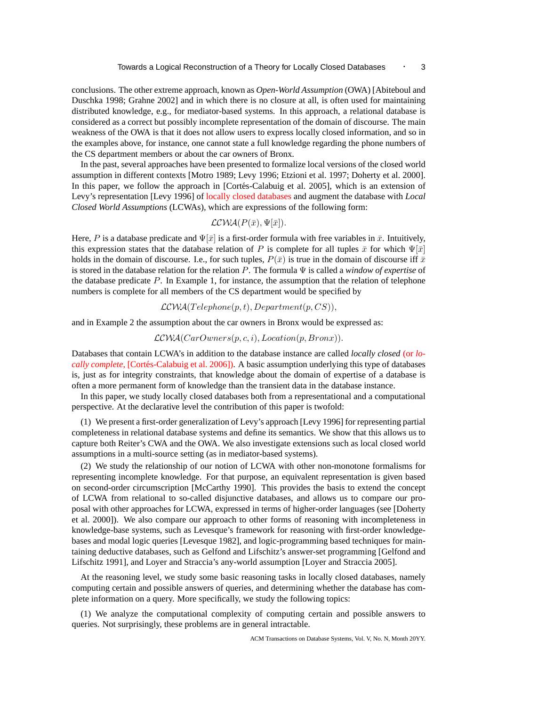conclusions. The other extreme approach, known as *Open-World Assumption* (OWA) [Abiteboul and Duschka 1998; Grahne 2002] and in which there is no closure at all, is often used for maintaining distributed knowledge, e.g., for mediator-based systems. In this approach, a relational database is considered as a correct but possibly incomplete representation of the domain of discourse. The main weakness of the OWA is that it does not allow users to express locally closed information, and so in the examples above, for instance, one cannot state a full knowledge regarding the phone numbers of the CS department members or about the car owners of Bronx.

In the past, several approaches have been presented to formalize local versions of the closed world assumption in different contexts [Motro 1989; Levy 1996; Etzioni et al. 1997; Doherty et al. 2000]. In this paper, we follow the approach in [Cortés-Calabuig et al. 2005], which is an extension of Levy's representation [Levy 1996] of locally closed databases and augment the database with *Local Closed World Assumptions* (LCWAs), which are expressions of the following form:

# $LCWA(P(\bar{x}), \Psi[\bar{x}]).$

Here, P is a database predicate and  $\Psi[\bar{x}]$  is a first-order formula with free variables in  $\bar{x}$ . Intuitively, this expression states that the database relation of P is complete for all tuples  $\bar{x}$  for which  $\Psi[\bar{x}]$ holds in the domain of discourse. I.e., for such tuples,  $P(\bar{x})$  is true in the domain of discourse iff  $\bar{x}$ is stored in the database relation for the relation P. The formula Ψ is called a *window of expertise* of the database predicate  $P$ . In Example 1, for instance, the assumption that the relation of telephone numbers is complete for all members of the CS department would be specified by

## $LCWA(Telephone(p, t), Department(p, CS)),$

and in Example 2 the assumption about the car owners in Bronx would be expressed as:

 $\mathcal{LCWA}(CarOwners(p, c, i), Location(p, Bronx)).$ 

Databases that contain LCWA's in addition to the database instance are called *locally closed* (or *locally complete*, [Cortés-Calabuig et al. 2006]). A basic assumption underlying this type of databases is, just as for integrity constraints, that knowledge about the domain of expertise of a database is often a more permanent form of knowledge than the transient data in the database instance.

In this paper, we study locally closed databases both from a representational and a computational perspective. At the declarative level the contribution of this paper is twofold:

(1) We present a first-order generalization of Levy's approach [Levy 1996] for representing partial completeness in relational database systems and define its semantics. We show that this allows us to capture both Reiter's CWA and the OWA. We also investigate extensions such as local closed world assumptions in a multi-source setting (as in mediator-based systems).

(2) We study the relationship of our notion of LCWA with other non-monotone formalisms for representing incomplete knowledge. For that purpose, an equivalent representation is given based on second-order circumscription [McCarthy 1990]. This provides the basis to extend the concept of LCWA from relational to so-called disjunctive databases, and allows us to compare our proposal with other approaches for LCWA, expressed in terms of higher-order languages (see [Doherty et al. 2000]). We also compare our approach to other forms of reasoning with incompleteness in knowledge-base systems, such as Levesque's framework for reasoning with first-order knowledgebases and modal logic queries [Levesque 1982], and logic-programming based techniques for maintaining deductive databases, such as Gelfond and Lifschitz's answer-set programming [Gelfond and Lifschitz 1991], and Loyer and Straccia's any-world assumption [Loyer and Straccia 2005].

At the reasoning level, we study some basic reasoning tasks in locally closed databases, namely computing certain and possible answers of queries, and determining whether the database has complete information on a query. More specifically, we study the following topics:

(1) We analyze the computational complexity of computing certain and possible answers to queries. Not surprisingly, these problems are in general intractable.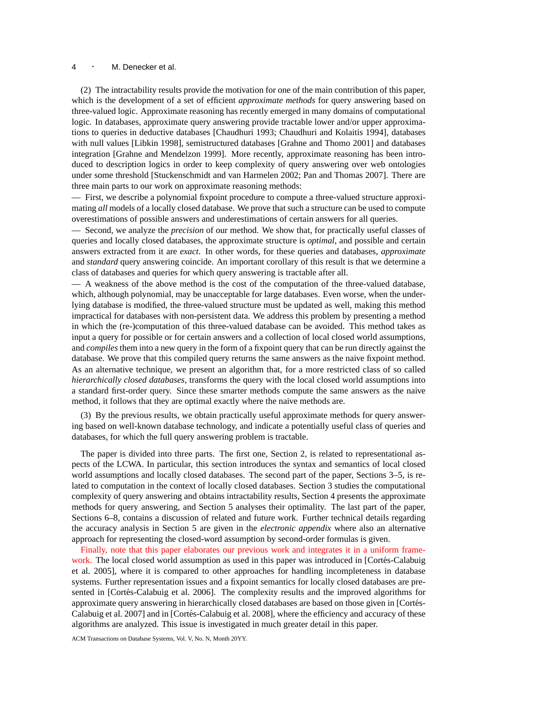(2) The intractability results provide the motivation for one of the main contribution of this paper, which is the development of a set of efficient *approximate methods* for query answering based on three-valued logic. Approximate reasoning has recently emerged in many domains of computational logic. In databases, approximate query answering provide tractable lower and/or upper approximations to queries in deductive databases [Chaudhuri 1993; Chaudhuri and Kolaitis 1994], databases with null values [Libkin 1998], semistructured databases [Grahne and Thomo 2001] and databases integration [Grahne and Mendelzon 1999]. More recently, approximate reasoning has been introduced to description logics in order to keep complexity of query answering over web ontologies under some threshold [Stuckenschmidt and van Harmelen 2002; Pan and Thomas 2007]. There are three main parts to our work on approximate reasoning methods:

— First, we describe a polynomial fixpoint procedure to compute a three-valued structure approximating *all* models of a locally closed database. We prove that such a structure can be used to compute overestimations of possible answers and underestimations of certain answers for all queries.

— Second, we analyze the *precision* of our method. We show that, for practically useful classes of queries and locally closed databases, the approximate structure is *optimal*, and possible and certain answers extracted from it are *exact*. In other words, for these queries and databases, *approximate* and *standard* query answering coincide. An important corollary of this result is that we determine a class of databases and queries for which query answering is tractable after all.

— A weakness of the above method is the cost of the computation of the three-valued database, which, although polynomial, may be unacceptable for large databases. Even worse, when the underlying database is modified, the three-valued structure must be updated as well, making this method impractical for databases with non-persistent data. We address this problem by presenting a method in which the (re-)computation of this three-valued database can be avoided. This method takes as input a query for possible or for certain answers and a collection of local closed world assumptions, and *compiles* them into a new query in the form of a fixpoint query that can be run directly against the database. We prove that this compiled query returns the same answers as the naive fixpoint method. As an alternative technique, we present an algorithm that, for a more restricted class of so called *hierarchically closed databases*, transforms the query with the local closed world assumptions into a standard first-order query. Since these smarter methods compute the same answers as the naive method, it follows that they are optimal exactly where the naive methods are.

(3) By the previous results, we obtain practically useful approximate methods for query answering based on well-known database technology, and indicate a potentially useful class of queries and databases, for which the full query answering problem is tractable.

The paper is divided into three parts. The first one, Section 2, is related to representational aspects of the LCWA. In particular, this section introduces the syntax and semantics of local closed world assumptions and locally closed databases. The second part of the paper, Sections 3–5, is related to computation in the context of locally closed databases. Section 3 studies the computational complexity of query answering and obtains intractability results, Section 4 presents the approximate methods for query answering, and Section 5 analyses their optimality. The last part of the paper, Sections 6–8, contains a discussion of related and future work. Further technical details regarding the accuracy analysis in Section 5 are given in the *electronic appendix* where also an alternative approach for representing the closed-word assumption by second-order formulas is given.

Finally, note that this paper elaborates our previous work and integrates it in a uniform framework. The local closed world assumption as used in this paper was introduced in [Cortés-Calabuig et al. 2005], where it is compared to other approaches for handling incompleteness in database systems. Further representation issues and a fixpoint semantics for locally closed databases are presented in [Cortés-Calabuig et al. 2006]. The complexity results and the improved algorithms for approximate query answering in hierarchically closed databases are based on those given in [Cortes- ´ Calabuig et al. 2007] and in [Cortés-Calabuig et al. 2008], where the efficiency and accuracy of these algorithms are analyzed. This issue is investigated in much greater detail in this paper.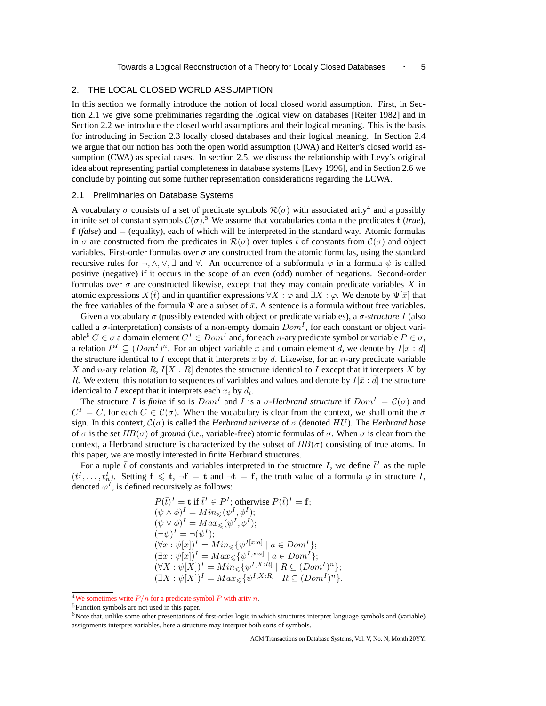## 2. THE LOCAL CLOSED WORLD ASSUMPTION

In this section we formally introduce the notion of local closed world assumption. First, in Section 2.1 we give some preliminaries regarding the logical view on databases [Reiter 1982] and in Section 2.2 we introduce the closed world assumptions and their logical meaning. This is the basis for introducing in Section 2.3 locally closed databases and their logical meaning. In Section 2.4 we argue that our notion has both the open world assumption (OWA) and Reiter's closed world assumption (CWA) as special cases. In section 2.5, we discuss the relationship with Levy's original idea about representing partial completeness in database systems [Levy 1996], and in Section 2.6 we conclude by pointing out some further representation considerations regarding the LCWA.

## 2.1 Preliminaries on Database Systems

A vocabulary  $\sigma$  consists of a set of predicate symbols  $\mathcal{R}(\sigma)$  with associated arity<sup>4</sup> and a possibly infinite set of constant symbols  $C(\sigma)$ .<sup>5</sup> We assume that vocabularies contain the predicates t (*true*), f (*false*) and = (equality), each of which will be interpreted in the standard way. Atomic formulas in  $\sigma$  are constructed from the predicates in  $\mathcal{R}(\sigma)$  over tuples t of constants from  $\mathcal{C}(\sigma)$  and object variables. First-order formulas over  $\sigma$  are constructed from the atomic formulas, using the standard recursive rules for  $\neg, \wedge, \vee, \exists$  and  $\forall$ . An occurrence of a subformula  $\varphi$  in a formula  $\psi$  is called positive (negative) if it occurs in the scope of an even (odd) number of negations. Second-order formulas over  $\sigma$  are constructed likewise, except that they may contain predicate variables X in atomic expressions  $X(\bar{t})$  and in quantifier expressions  $\forall X : \varphi$  and  $\exists X : \varphi$ . We denote by  $\Psi[\bar{x}]$  that the free variables of the formula  $\Psi$  are a subset of  $\bar{x}$ . A sentence is a formula without free variables.

Given a vocabulary σ (possibly extended with object or predicate variables), a σ*-structure* I (also called a  $\sigma$ -interpretation) consists of a non-empty domain  $Dom<sup>I</sup>$ , for each constant or object variable<sup>6</sup>  $C \in \sigma$  a domain element  $C^I \in Dom^I$  and, for each *n*-ary predicate symbol or variable  $P \in \sigma$ , a relation  $P^I \subseteq (Dom^I)^n$ . For an object variable x and domain element d, we denote by  $I[x:d]$ the structure identical to I except that it interprets x by d. Likewise, for an n-ary predicate variable X and n-ary relation R,  $I[X:R]$  denotes the structure identical to I except that it interprets X by R. We extend this notation to sequences of variables and values and denote by  $I[\bar{x} : \bar{d}]$  the structure identical to  $I$  except that it interprets each  $x_i$  by  $d_i$ .

The structure I is *finite* if so is  $Dom<sup>I</sup>$  and I is a  $\sigma$ -Herbrand structure if  $Dom<sup>I</sup> = \mathcal{C}(\sigma)$  and  $C^I = C$ , for each  $C \in \mathcal{C}(\sigma)$ . When the vocabulary is clear from the context, we shall omit the  $\sigma$ sign. In this context, C(σ) is called the *Herbrand universe* of σ (denoted HU). The *Herbrand base* of  $\sigma$  is the set  $HB(\sigma)$  of *ground* (i.e., variable-free) atomic formulas of  $\sigma$ . When  $\sigma$  is clear from the context, a Herbrand structure is characterized by the subset of  $HB(\sigma)$  consisting of true atoms. In this paper, we are mostly interested in finite Herbrand structures.

For a tuple  $\bar{t}$  of constants and variables interpreted in the structure I, we define  $\bar{t}^I$  as the tuple  $(t_1^I,\ldots,t_n^I)$ . Setting  $f \leq t$ ,  $\neg f = t$  and  $\neg t = f$ , the truth value of a formula  $\varphi$  in structure I, denoted  $\varphi^I$ , is defined recursively as follows:

$$
P(\bar{t})^I = \mathbf{t} \text{ if } \bar{t}^I \in P^I; \text{ otherwise } P(\bar{t})^I = \mathbf{f};
$$
  
\n
$$
(\psi \wedge \phi)^I = Min \leq (\psi^I, \phi^I);
$$
  
\n
$$
(\psi \vee \phi)^I = Max \leq (\psi^I, \phi^I);
$$
  
\n
$$
(\neg \psi)^I = \neg (\psi^I);
$$
  
\n
$$
(\forall x : \psi[x])^I = Min \leq {\psi^I[x:a]} \mid a \in Dom^I};
$$
  
\n
$$
(\exists x : \psi[x])^I = Max \leq {\psi^I[x:a]} \mid a \in Dom^I};
$$
  
\n
$$
(\forall X : \psi[X])^I = Min \leq {\psi^I[X:B]} \mid R \subseteq (Dom^I)^n;
$$
  
\n
$$
(\exists X : \psi[X])^I = Max \leq {\psi^I[X:B]} \mid R \subseteq (Dom^I)^n.
$$

<sup>&</sup>lt;sup>4</sup>We sometimes write  $P/n$  for a predicate symbol P with arity n.

<sup>5</sup>Function symbols are not used in this paper.

 $6$ Note that, unlike some other presentations of first-order logic in which structures interpret language symbols and (variable) assignments interpret variables, here a structure may interpret both sorts of symbols.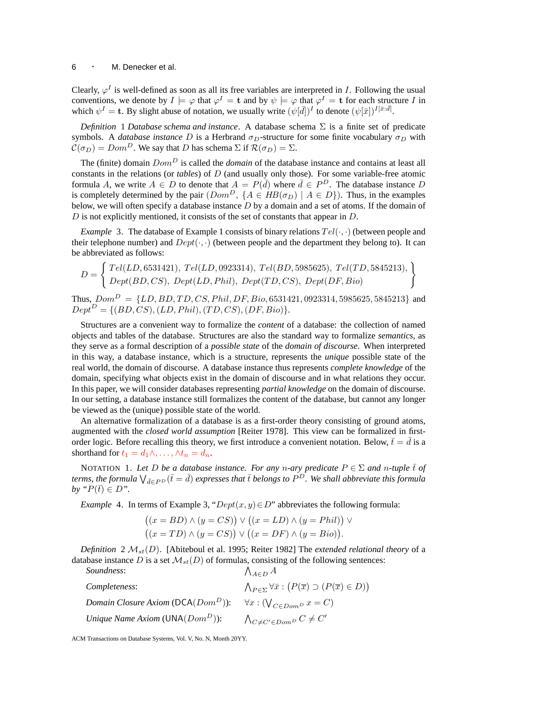Clearly,  $\varphi^I$  is well-defined as soon as all its free variables are interpreted in *I*. Following the usual conventions, we denote by  $I \models \varphi$  that  $\varphi^I = \mathbf{t}$  and by  $\psi \models \varphi$  that  $\varphi^I = \mathbf{t}$  for each structure I in which  $\psi^I = \mathbf{t}$ . By slight abuse of notation, we usually write  $(\psi[\bar{d}])^I$  to denote  $(\psi[\bar{x}])^{I[\bar{x}:\bar{d}]}$ .

*Definition* 1 *Database schema and instance*. A database schema Σ is a finite set of predicate symbols. A *database instance* D is a Herbrand  $\sigma_D$ -structure for some finite vocabulary  $\sigma_D$  with  $\mathcal{C}(\sigma_D) = Dom^D$ . We say that D has schema  $\Sigma$  if  $\mathcal{R}(\sigma_D) = \Sigma$ .

The (finite) domain  $Dom<sup>D</sup>$  is called the *domain* of the database instance and contains at least all constants in the relations (or *tables*) of D (and usually only those). For some variable-free atomic formula A, we write  $A \in D$  to denote that  $A = P(\overline{d})$  where  $\overline{d} \in P^D$ . The database instance D is completely determined by the pair  $(Dom^D, \{A \in HB(\sigma_D) \mid A \in D\})$ . Thus, in the examples below, we will often specify a database instance  $D$  by a domain and a set of atoms. If the domain of  $D$  is not explicitly mentioned, it consists of the set of constants that appear in  $D$ .

*Example* 3. The database of Example 1 consists of binary relations  $Tel(\cdot, \cdot)$  (between people and their telephone number) and  $Depth(\cdot, \cdot)$  (between people and the department they belong to). It can be abbreviated as follows:

$$
D = \left\{ \begin{array}{l} Tel(LD, 6531421), \ Tel(LD, 0923314), \ Tel(BD, 5985625), \ Tel(TD, 5845213), \\ Dept(BD, CS), \ Dept(LD, Phil), \ Dept(TD, CS), \ Dept(DF, Bio) \end{array} \right\}
$$

Thus,  $Dom^D = \{LD, BD, TD, CS, Phil, DF, Bio, 6531421, 0923314, 5985625, 5845213\}$  and  $Depth^D=\{(BD,CS),(LD, Phil),(TD, CS),(DF, Bio)\}.$ 

Structures are a convenient way to formalize the *content* of a database: the collection of named objects and tables of the database. Structures are also the standard way to formalize *semantics*, as they serve as a formal description of a *possible state* of the *domain of discourse*. When interpreted in this way, a database instance, which is a structure, represents the *unique* possible state of the real world, the domain of discourse. A database instance thus represents *complete knowledge* of the domain, specifying what objects exist in the domain of discourse and in what relations they occur. In this paper, we will consider databases representing *partial knowledge* on the domain of discourse. In our setting, a database instance still formalizes the content of the database, but cannot any longer be viewed as the (unique) possible state of the world.

An alternative formalization of a database is as a first-order theory consisting of ground atoms, augmented with the *closed world assumption* [Reiter 1978]. This view can be formalized in firstorder logic. Before recalling this theory, we first introduce a convenient notation. Below,  $\bar{t} = d$  is a shorthand for  $t_1 = d_1 \wedge, \ldots, \wedge t_n = d_n$ .

NOTATION 1. Let D be a database instance. For any *n*-ary predicate  $P \in \Sigma$  and *n*-tuple  $\overline{t}$  of terms, the formula  $\bigvee_{\bar{d}\in P^D} (\bar{t}=\bar{d})$  expresses that  $\bar{t}$  belongs to  $P^D.$  We shall abbreviate this formula *by* " $P(\bar{t}) \in D$ ".

*Example* 4. In terms of Example 3, " $Depth(x, y) \in D$ " abbreviates the following formula:

$$
((x = BD) \land (y = CS)) \lor ((x = LD) \land (y = Phil)) \lor ((x = TD) \land (y = CS)) \lor ((x = DF) \land (y = Bio)).
$$

*Definition* 2  $M_{st}(D)$ . [Abiteboul et al. 1995; Reiter 1982] The *extended relational theory* of a database instance D is a set  $\mathcal{M}_{st}(D)$  of formulas, consisting of the following sentences:

| Soundness:                                                                                 | $\bigwedge_{A\in D}A$                                                                |
|--------------------------------------------------------------------------------------------|--------------------------------------------------------------------------------------|
| Completeness:                                                                              | $\bigwedge_{P \in \Sigma} \forall \bar{x} : (P(\bar{x}) \supset (P(\bar{x}) \in D))$ |
| Domain Closure Axiom ( $\mathsf{DCA}(Dom^D)$ ): $\forall x: (\bigvee_{C \in Dom^D} x = C)$ |                                                                                      |
| Unique Name Axiom ( $\mathsf{UNA}(Dom^D)$ ):                                               | $\bigwedge_{C \neq C' \in Dom^D} C \neq C'$                                          |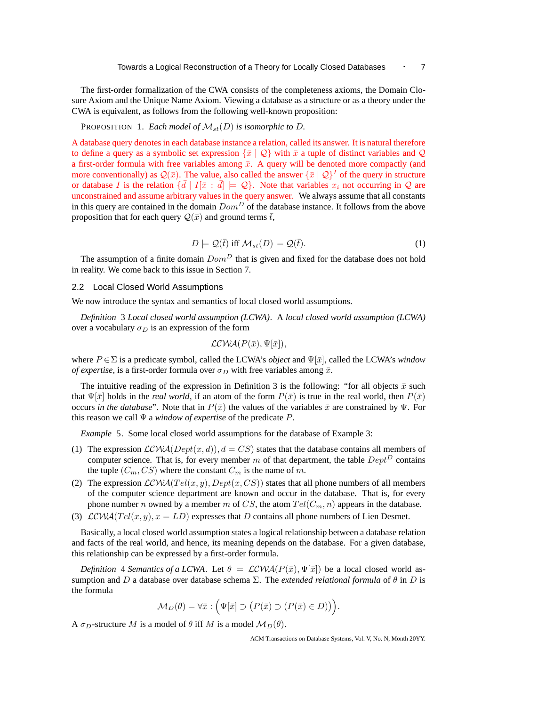The first-order formalization of the CWA consists of the completeness axioms, the Domain Closure Axiom and the Unique Name Axiom. Viewing a database as a structure or as a theory under the CWA is equivalent, as follows from the following well-known proposition:

PROPOSITION 1. *Each model of*  $\mathcal{M}_{st}(D)$  *is isomorphic to* D.

A database query denotes in each database instance a relation, called its answer. It is natural therefore to define a query as a symbolic set expression  $\{\bar{x} \mid Q\}$  with  $\bar{x}$  a tuple of distinct variables and Q a first-order formula with free variables among  $\bar{x}$ . A query will be denoted more compactly (and more conventionally) as  $\mathcal{Q}(\bar{x})$ . The value, also called the answer  $\{\bar{x} \mid \mathcal{Q}\}^I$  of the query in structure or database I is the relation  $\{\bar{d} \mid I[\bar{x} : \bar{d}] \models \mathcal{Q}\}$ . Note that variables  $x_i$  not occurring in  $\mathcal Q$  are unconstrained and assume arbitrary values in the query answer. We always assume that all constants in this query are contained in the domain  $Dom<sup>D</sup>$  of the database instance. It follows from the above proposition that for each query  $\mathcal{Q}(\bar{x})$  and ground terms  $\bar{t}$ ,

$$
D \models \mathcal{Q}(\bar{t}) \text{ iff } \mathcal{M}_{st}(D) \models \mathcal{Q}(\bar{t}). \tag{1}
$$

The assumption of a finite domain  $Dom<sup>D</sup>$  that is given and fixed for the database does not hold in reality. We come back to this issue in Section 7.

#### 2.2 Local Closed World Assumptions

We now introduce the syntax and semantics of local closed world assumptions.

*Definition* 3 *Local closed world assumption (LCWA)*. A *local closed world assumption (LCWA)* over a vocabulary  $\sigma_D$  is an expression of the form

$$
\mathcal{LCWA}(P(\bar{x}), \Psi[\bar{x}]),
$$

where  $P \in \Sigma$  is a predicate symbol, called the LCWA's *object* and  $\Psi[\bar{x}]$ , called the LCWA's *window of expertise*, is a first-order formula over  $\sigma_D$  with free variables among  $\bar{x}$ .

The intuitive reading of the expression in Definition 3 is the following: "for all objects  $\bar{x}$  such that  $\Psi[\bar{x}]$  holds in the *real world*, if an atom of the form  $P(\bar{x})$  is true in the real world, then  $P(\bar{x})$ occurs *in the database*". Note that in  $P(\bar{x})$  the values of the variables  $\bar{x}$  are constrained by  $\Psi$ . For this reason we call Ψ a *window of expertise* of the predicate P.

*Example* 5. Some local closed world assumptions for the database of Example 3:

- (1) The expression  $LCWA(Dept(x, d))$ ,  $d = CS$ ) states that the database contains all members of computer science. That is, for every member m of that department, the table  $Depth^D$  contains the tuple  $(C_m, CS)$  where the constant  $C_m$  is the name of m.
- (2) The expression  $LCWA(Tel(x, y), Dept(x, CS))$  states that all phone numbers of all members of the computer science department are known and occur in the database. That is, for every phone number n owned by a member m of CS, the atom  $Tel(C_m, n)$  appears in the database.
- (3)  $LCWA(Tel(x, y), x = LD)$  expresses that D contains all phone numbers of Lien Desmet.

Basically, a local closed world assumption states a logical relationship between a database relation and facts of the real world, and hence, its meaning depends on the database. For a given database, this relationship can be expressed by a first-order formula.

*Definition* 4 *Semantics of a LCWA*. Let  $\theta = \mathcal{LCWA}(P(\bar{x}), \Psi[\bar{x}])$  be a local closed world assumption and D a database over database schema  $\Sigma$ . The *extended relational formula* of  $\theta$  in D is the formula

$$
\mathcal{M}_D(\theta) = \forall \bar{x} : (\Psi[\bar{x}] \supset (P(\bar{x}) \supset (P(\bar{x}) \in D)))
$$

A  $\sigma_D$ -structure M is a model of  $\theta$  iff M is a model  $\mathcal{M}_D(\theta)$ .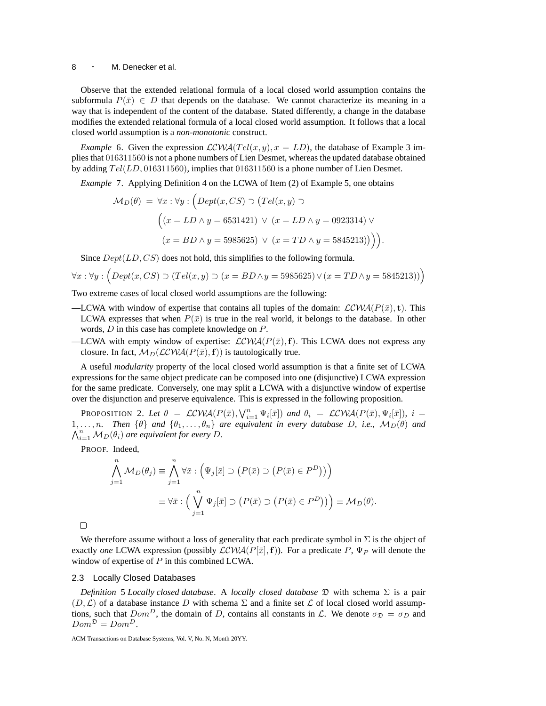Observe that the extended relational formula of a local closed world assumption contains the subformula  $P(\bar{x}) \in D$  that depends on the database. We cannot characterize its meaning in a way that is independent of the content of the database. Stated differently, a change in the database modifies the extended relational formula of a local closed world assumption. It follows that a local closed world assumption is a *non-monotonic* construct.

*Example* 6. Given the expression  $LCWA(Tel(x, y), x = LD)$ , the database of Example 3 implies that 016311560 is not a phone numbers of Lien Desmet, whereas the updated database obtained by adding  $Tel(LD, 016311560)$ , implies that 016311560 is a phone number of Lien Desmet.

*Example* 7. Applying Definition 4 on the LCWA of Item (2) of Example 5, one obtains

$$
\mathcal{M}_D(\theta) = \forall x : \forall y : \left( \text{Depth}(x, CS) \supset \left( \text{Tel}(x, y) \supset \right) \right.
$$

$$
\left( (x = LD \land y = 6531421) \lor (x = LD \land y = 0923314) \lor (x = BD \land y = 5985625) \lor (x = TD \land y = 5845213)) \right).
$$

Since  $Depth(LD, CS)$  does not hold, this simplifies to the following formula.

$$
\forall x: \forall y: \left( \text{Depth}(x, CS) \supset (Tel(x, y) \supset (x = BD \land y = 5985625) \lor (x = TD \land y = 5845213)) \right)
$$

Two extreme cases of local closed world assumptions are the following:

- —LCWA with window of expertise that contains all tuples of the domain:  $\mathcal{LCWA}(P(\bar{x}), t)$ . This LCWA expresses that when  $P(\bar{x})$  is true in the real world, it belongs to the database. In other words, D in this case has complete knowledge on P.
- —LCWA with empty window of expertise:  $LCWA(P(\bar{x}), f)$ . This LCWA does not express any closure. In fact,  $M_D(\mathcal{LCWA}(P(\bar{x}), f))$  is tautologically true.

A useful *modularity* property of the local closed world assumption is that a finite set of LCWA expressions for the same object predicate can be composed into one (disjunctive) LCWA expression for the same predicate. Conversely, one may split a LCWA with a disjunctive window of expertise over the disjunction and preserve equivalence. This is expressed in the following proposition.

PROPOSITION 2. Let  $\theta = \mathcal{LCWA}(P(\bar{x}), \bigvee_{i=1}^{n} \Psi_i[\bar{x}])$  and  $\theta_i = \mathcal{LCWA}(P(\bar{x}), \Psi_i[\bar{x}])$ ,  $i =$ 1,..., *n.* Then  $\{\theta\}$  and  $\{\theta_1, \ldots, \theta_n\}$  are equivalent in every database D, i.e.,  $\mathcal{M}_D(\theta)$  and  $\bigwedge_{i=1}^n \mathcal{M}_D(\theta_i)$  are equivalent for every D.

PROOF. Indeed,

$$
\bigwedge_{j=1}^{n} M_{D}(\theta_{j}) \equiv \bigwedge_{j=1}^{n} \forall \bar{x} : (\Psi_{j}[\bar{x}] \supset (P(\bar{x}) \supset (P(\bar{x}) \in P^{D})))
$$
\n
$$
\equiv \forall \bar{x} : (\bigvee_{j=1}^{n} \Psi_{j}[\bar{x}] \supset (P(\bar{x}) \supset (P(\bar{x}) \in P^{D}))) \equiv M_{D}(\theta).
$$

 $\Box$ 

We therefore assume without a loss of generality that each predicate symbol in  $\Sigma$  is the object of exactly *one* LCWA expression (possibly  $\mathcal{LCWA}(P[\bar{x}], \mathbf{f})$ ). For a predicate P,  $\Psi_P$  will denote the window of expertise of  $P$  in this combined LCWA.

## 2.3 Locally Closed Databases

*Definition* 5 *Locally closed database*. A *locally closed database* D with schema Σ is a pair  $(D, \mathcal{L})$  of a database instance D with schema  $\Sigma$  and a finite set  $\mathcal L$  of local closed world assumptions, such that  $Dom^D$ , the domain of D, contains all constants in L. We denote  $\sigma_{\mathfrak{D}} = \sigma_D$  and  $Dom^{\mathfrak{D}} = Dom^D$ .

ACM Transactions on Database Systems, Vol. V, No. N, Month 20YY.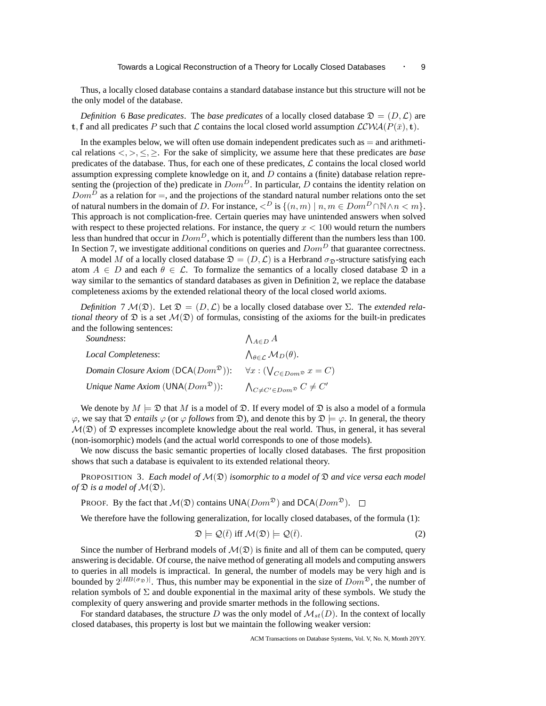Thus, a locally closed database contains a standard database instance but this structure will not be the only model of the database.

*Definition* 6 *Base predicates*. The *base predicates* of a locally closed database  $\mathfrak{D} = (D, \mathcal{L})$  are t, f and all predicates P such that L contains the local closed world assumption  $LCWA(P(\bar{x}), t)$ .

In the examples below, we will often use domain independent predicates such as  $=$  and arithmetical relations  $\langle , \rangle, \langle , \rangle$ . For the sake of simplicity, we assume here that these predicates are *base* predicates of the database. Thus, for each one of these predicates,  $\mathcal L$  contains the local closed world assumption expressing complete knowledge on it, and  $D$  contains a (finite) database relation representing the (projection of the) predicate in  $Dom<sup>D</sup>$ . In particular, D contains the identity relation on  $Dom<sup>D</sup>$  as a relation for =, and the projections of the standard natural number relations onto the set of natural numbers in the domain of D. For instance,  $\langle S^D \text{ is } \{(n, m) \mid n, m \in Dom^D \cap \mathbb{N} \wedge n \langle m \rangle\}.$ This approach is not complication-free. Certain queries may have unintended answers when solved with respect to these projected relations. For instance, the query  $x < 100$  would return the numbers less than hundred that occur in  $Dom<sup>D</sup>$ , which is potentially different than the numbers less than 100. In Section 7, we investigate additional conditions on queries and  $Dom<sup>D</sup>$  that guarantee correctness.

A model M of a locally closed database  $\mathfrak{D} = (D, \mathcal{L})$  is a Herbrand  $\sigma_{\mathfrak{D}}$ -structure satisfying each atom  $A \in D$  and each  $\theta \in \mathcal{L}$ . To formalize the semantics of a locally closed database  $\mathfrak{D}$  in a way similar to the semantics of standard databases as given in Definition 2, we replace the database completeness axioms by the extended relational theory of the local closed world axioms.

*Definition* 7  $\mathcal{M}(\mathfrak{D})$ . Let  $\mathfrak{D} = (D, \mathcal{L})$  be a locally closed database over  $\Sigma$ . The *extended relational theory* of  $\mathfrak D$  is a set  $\mathcal M(\mathfrak D)$  of formulas, consisting of the axioms for the built-in predicates and the following sentences:

| Soundness:                                                                                                   | $\bigwedge_{A\in D} A$                                       |
|--------------------------------------------------------------------------------------------------------------|--------------------------------------------------------------|
| Local Completeness:                                                                                          | $\bigwedge_{\theta \in \mathcal{L}} \mathcal{M}_D(\theta)$ . |
| Domain Closure Axiom (DCA( $Dom^{\mathfrak{D}}$ )): $\forall x : (\bigvee_{C \in Dom^{\mathfrak{D}}} x = C)$ |                                                              |
| Unique Name Axiom $(\text{UNA}(Dom^{\mathfrak{D}}))$ :                                                       | $\bigwedge_{C \neq C' \in Dom \mathfrak{D}} C \neq C'$       |

We denote by  $M \models \mathfrak{D}$  that M is a model of  $\mathfrak{D}$ . If every model of  $\mathfrak{D}$  is also a model of a formula  $\varphi$ , we say that  $\mathfrak D$  *entails*  $\varphi$  (or  $\varphi$  *follows* from  $\mathfrak D$ ), and denote this by  $\mathfrak D \models \varphi$ . In general, the theory  $\mathcal{M}(\mathfrak{D})$  of  $\mathfrak D$  expresses incomplete knowledge about the real world. Thus, in general, it has several (non-isomorphic) models (and the actual world corresponds to one of those models).

We now discuss the basic semantic properties of locally closed databases. The first proposition shows that such a database is equivalent to its extended relational theory.

PROPOSITION 3. *Each model of* M(D) *isomorphic to a model of* D *and vice versa each model of*  $\mathfrak{D}$  *is a model of*  $\mathcal{M}(\mathfrak{D})$ *.* 

PROOF. By the fact that  $\mathcal{M}(\mathfrak{D})$  contains  $\mathsf{UNA}(Dom^{\mathfrak{D}})$  and  $\mathsf{DCA}(Dom^{\mathfrak{D}})$ .  $\Box$ 

We therefore have the following generalization, for locally closed databases, of the formula (1):

$$
\mathfrak{D} \models \mathcal{Q}(\bar{t}) \text{ iff } \mathcal{M}(\mathfrak{D}) \models \mathcal{Q}(\bar{t}). \tag{2}
$$

Since the number of Herbrand models of  $\mathcal{M}(\mathfrak{D})$  is finite and all of them can be computed, query answering is decidable. Of course, the naive method of generating all models and computing answers to queries in all models is impractical. In general, the number of models may be very high and is bounded by  $2^{|HB(\sigma_{\mathfrak{D}})|}$ . Thus, this number may be exponential in the size of  $Dom^{\mathfrak{D}}$ , the number of relation symbols of  $\Sigma$  and double exponential in the maximal arity of these symbols. We study the complexity of query answering and provide smarter methods in the following sections.

For standard databases, the structure D was the only model of  $\mathcal{M}_{st}(D)$ . In the context of locally closed databases, this property is lost but we maintain the following weaker version: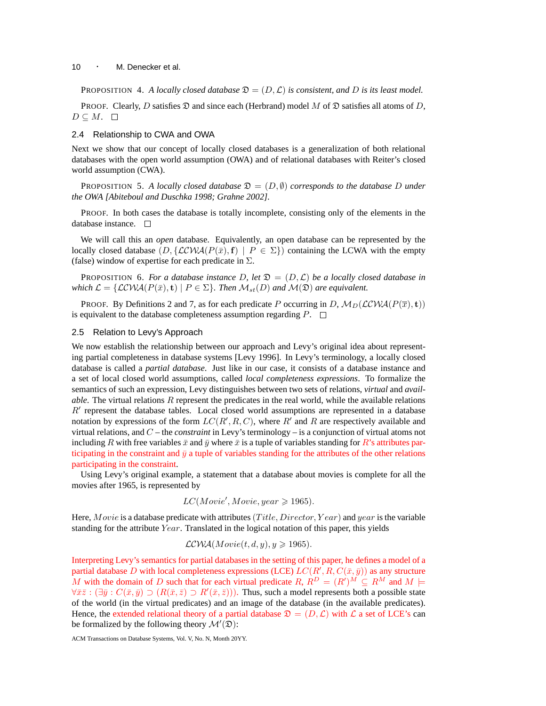PROPOSITION 4. A locally closed database  $\mathfrak{D} = (D, \mathcal{L})$  is consistent, and D is its least model.

PROOF. Clearly, D satisfies  $\mathfrak D$  and since each (Herbrand) model M of  $\mathfrak D$  satisfies all atoms of D,  $D \subseteq M$ .  $\square$ 

#### 2.4 Relationship to CWA and OWA

Next we show that our concept of locally closed databases is a generalization of both relational databases with the open world assumption (OWA) and of relational databases with Reiter's closed world assumption (CWA).

PROPOSITION 5. A locally closed database  $\mathfrak{D} = (D, \emptyset)$  corresponds to the database D under *the OWA [Abiteboul and Duschka 1998; Grahne 2002].*

PROOF. In both cases the database is totally incomplete, consisting only of the elements in the database instance.  $\square$ 

We will call this an *open* database. Equivalently, an open database can be represented by the locally closed database  $(D, \{LCWA(P(\bar{x}), f) \mid P \in \Sigma\})$  containing the LCWA with the empty (false) window of expertise for each predicate in  $\Sigma$ .

**PROPOSITION** 6. For a database instance D, let  $\mathfrak{D} = (D, \mathcal{L})$  be a locally closed database in *which*  $\mathcal{L} = \{ \mathcal{LCWA}(P(\bar{x}), \mathbf{t}) \mid P \in \Sigma \}$ . Then  $\mathcal{M}_{st}(D)$  *and*  $\mathcal{M}(\mathfrak{D})$  *are equivalent.* 

PROOF. By Definitions 2 and 7, as for each predicate P occurring in D,  $M_D(\mathcal{LCWA}(P(\overline{x}), t))$ is equivalent to the database completeness assumption regarding  $P$ .  $\Box$ 

## 2.5 Relation to Levy's Approach

We now establish the relationship between our approach and Levy's original idea about representing partial completeness in database systems [Levy 1996]. In Levy's terminology, a locally closed database is called a *partial database*. Just like in our case, it consists of a database instance and a set of local closed world assumptions, called *local completeness expressions*. To formalize the semantics of such an expression, Levy distinguishes between two sets of relations, *virtual* and *available*. The virtual relations R represent the predicates in the real world, while the available relations  $R'$  represent the database tables. Local closed world assumptions are represented in a database notation by expressions of the form  $LC(R', R, C)$ , where R' and R are respectively available and virtual relations, and C – the *constraint* in Levy's terminology – is a conjunction of virtual atoms not including R with free variables  $\bar{x}$  and  $\bar{y}$  where  $\bar{x}$  is a tuple of variables standing for R's attributes participating in the constraint and  $\bar{y}$  a tuple of variables standing for the attributes of the other relations participating in the constraint.

Using Levy's original example, a statement that a database about movies is complete for all the movies after 1965, is represented by

$$
LC(Movic', Movie, year \geq 1965).
$$

Here, Movie is a database predicate with attributes (Title, Director, Y ear) and year is the variable standing for the attribute Year. Translated in the logical notation of this paper, this yields

$$
\mathcal{LCWA}(Movie(t, d, y), y \geq 1965).
$$

Interpreting Levy's semantics for partial databases in the setting of this paper, he defines a model of a partial database D with local completeness expressions (LCE)  $LC(R', R, C(\bar{x}, \bar{y}))$  as any structure M with the domain of D such that for each virtual predicate R,  $R^D = (R')^M \subseteq R^M$  and  $M \models$  $\forall \bar{x}\bar{z}: (\exists \bar{y}: C(\bar{x}, \bar{y}) \supset (R(\bar{x}, \bar{z}) \supset R'(\bar{x}, \bar{z})))$ . Thus, such a model represents both a possible state of the world (in the virtual predicates) and an image of the database (in the available predicates). Hence, the extended relational theory of a partial database  $\mathfrak{D} = (D, \mathcal{L})$  with  $\mathcal{L}$  a set of LCE's can be formalized by the following theory  $\mathcal{M}'(\mathfrak{D})$ :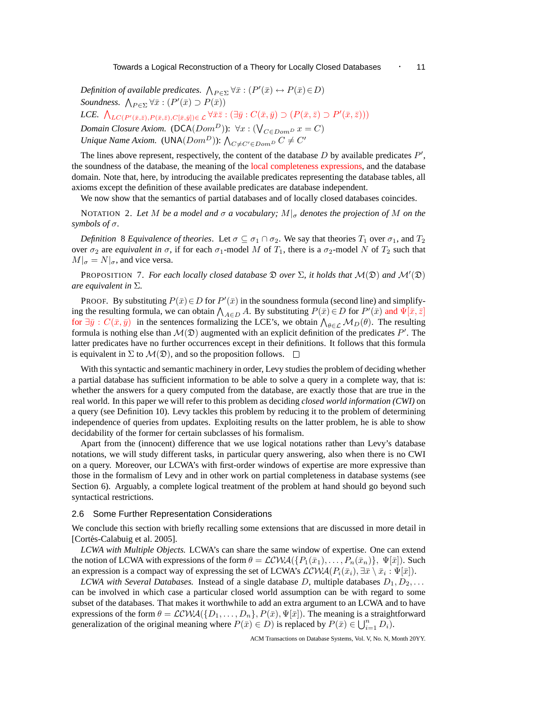Definition of available predicates.  $\bigwedge_{P \in \Sigma} \forall \bar{x} : (P'(\bar{x}) \leftrightarrow P(\bar{x}) \in D)$ *Soundness.*  $\bigwedge_{P \in \Sigma} \forall \bar{x} : (P'(\bar{x}) \supset P(\bar{x}))$ LCE.  $\bigwedge_{LC(P'(\bar{x},\bar{z}),P(\bar{x},\bar{z}),C[\bar{x},\bar{y}])\in \mathcal{L}} \forall \bar{x}\bar{z} : (\exists \bar{y}:C(\bar{x},\bar{y}) \supset (P(\bar{x},\bar{z}) \supset P'(\bar{x},\bar{z})))$ *Domain Closure Axiom.* (DCA $(Dom^D)$ ):  $\forall x : (\bigvee_{C \in Dom^D} x = C)$ *Unique Name Axiom.* (UNA $(Dom^D)$ ):  $\bigwedge_{C \neq C' \in Dom^D} C \neq C'$ 

The lines above represent, respectively, the content of the database  $D$  by available predicates  $P'$ , the soundness of the database, the meaning of the local completeness expressions, and the database domain. Note that, here, by introducing the available predicates representing the database tables, all axioms except the definition of these available predicates are database independent.

We now show that the semantics of partial databases and of locally closed databases coincides.

NOTATION 2. Let M be a model and σ a vocabulary;  $M|_{\sigma}$  denotes the projection of M on the *symbols of* σ*.*

*Definition* 8 *Equivalence of theories*. Let  $\sigma \subseteq \sigma_1 \cap \sigma_2$ . We say that theories  $T_1$  over  $\sigma_1$ , and  $T_2$ over  $\sigma_2$  are *equivalent in*  $\sigma$ , if for each  $\sigma_1$ -model M of  $T_1$ , there is a  $\sigma_2$ -model N of  $T_2$  such that  $M|_{\sigma} = N|_{\sigma}$ , and vice versa.

PROPOSITION 7. *For each locally closed database*  $\mathfrak D$  *over*  $\Sigma$ , *it holds that*  $\mathcal M(\mathfrak D)$  *and*  $\mathcal M'(\mathfrak D)$ *are equivalent in* Σ*.*

PROOF. By substituting  $P(\bar{x}) \in D$  for  $P'(\bar{x})$  in the soundness formula (second line) and simplifying the resulting formula, we can obtain  $\bigwedge_{A\in D} A$ . By substituting  $P(\bar{x}) \in D$  for  $P'(\bar{x})$  and  $\Psi[\bar{x}, \bar{z}]$ for  $\exists \bar{y}: C(\bar{x}, \bar{y})$  in the sentences formalizing the LCE's, we obtain  $\bigwedge_{\theta \in \mathcal{L}} \mathcal{M}_D(\theta)$ . The resulting formula is nothing else than  $\mathcal{M}(\mathfrak{D})$  augmented with an explicit definition of the predicates P'. The latter predicates have no further occurrences except in their definitions. It follows that this formula is equivalent in  $\Sigma$  to  $\mathcal{M}(\mathfrak{D})$ , and so the proposition follows.  $\square$ 

With this syntactic and semantic machinery in order, Levy studies the problem of deciding whether a partial database has sufficient information to be able to solve a query in a complete way, that is: whether the answers for a query computed from the database, are exactly those that are true in the real world. In this paper we will refer to this problem as deciding *closed world information (CWI)* on a query (see Definition 10). Levy tackles this problem by reducing it to the problem of determining independence of queries from updates. Exploiting results on the latter problem, he is able to show decidability of the former for certain subclasses of his formalism.

Apart from the (innocent) difference that we use logical notations rather than Levy's database notations, we will study different tasks, in particular query answering, also when there is no CWI on a query. Moreover, our LCWA's with first-order windows of expertise are more expressive than those in the formalism of Levy and in other work on partial completeness in database systems (see Section 6). Arguably, a complete logical treatment of the problem at hand should go beyond such syntactical restrictions.

#### 2.6 Some Further Representation Considerations

We conclude this section with briefly recalling some extensions that are discussed in more detail in [Cortés-Calabuig et al. 2005].

*LCWA with Multiple Objects.* LCWA's can share the same window of expertise. One can extend the notion of LCWA with expressions of the form  $\theta = \mathcal{LCWA}(\{P_1(\bar{x}_1), \ldots, P_n(\bar{x}_n)\}, \Psi[\bar{x}])$ . Such an expression is a compact way of expressing the set of LCWA's  $\mathcal{LCWA}(P_i(\bar{x}_i), \exists \bar{x} \setminus \bar{x}_i : \Psi[\bar{x}])$ .

*LCWA with Several Databases.* Instead of a single database  $D$ , multiple databases  $D_1, D_2, \ldots$ can be involved in which case a particular closed world assumption can be with regard to some subset of the databases. That makes it worthwhile to add an extra argument to an LCWA and to have expressions of the form  $\theta = \mathcal{LCWA}(\{D_1, \ldots, D_n\}, P(\bar{x}), \Psi(\bar{x})).$  The meaning is a straightforward generalization of the original meaning where  $P(\bar{x}) \in D$ ) is replaced by  $P(\bar{x}) \in \bigcup_{i=1}^{n} D_i$ .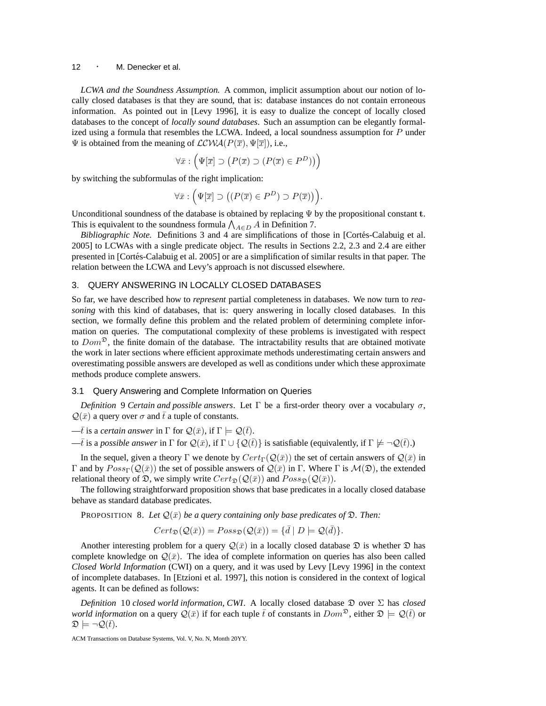*LCWA and the Soundness Assumption.* A common, implicit assumption about our notion of locally closed databases is that they are sound, that is: database instances do not contain erroneous information. As pointed out in [Levy 1996], it is easy to dualize the concept of locally closed databases to the concept of *locally sound databases*. Such an assumption can be elegantly formalized using a formula that resembles the LCWA. Indeed, a local soundness assumption for  $P$  under  $\Psi$  is obtained from the meaning of  $\mathcal{LCWA}(P(\overline{x}), \Psi[\overline{x}]),$  i.e.,

$$
\forall \bar{x} : \left( \Psi[\overline{x}] \supset \left( P(\overline{x}) \supset \left( P(\overline{x}) \in P^D \right) \right) \right)
$$

by switching the subformulas of the right implication:

$$
\forall \bar{x} : \left( \Psi[\overline{x}] \supset \left( (P(\overline{x}) \in P^D) \supset P(\overline{x}) \right) \right).
$$

Unconditional soundness of the database is obtained by replacing  $\Psi$  by the propositional constant t. This is equivalent to the soundness formula  $\bigwedge_{A \in D} A$  in Definition 7.

*Bibliographic Note.* Definitions 3 and 4 are simplifications of those in [Cortés-Calabuig et al. 2005] to LCWAs with a single predicate object. The results in Sections 2.2, 2.3 and 2.4 are either presented in [Cortes-Calabuig et al. 2005] or are a simplification of similar results in that paper. The ´ relation between the LCWA and Levy's approach is not discussed elsewhere.

## 3. QUERY ANSWERING IN LOCALLY CLOSED DATABASES

So far, we have described how to *represent* partial completeness in databases. We now turn to *reasoning* with this kind of databases, that is: query answering in locally closed databases. In this section, we formally define this problem and the related problem of determining complete information on queries. The computational complexity of these problems is investigated with respect to  $Dom^{\mathfrak{D}}$ , the finite domain of the database. The intractability results that are obtained motivate the work in later sections where efficient approximate methods underestimating certain answers and overestimating possible answers are developed as well as conditions under which these approximate methods produce complete answers.

## 3.1 Query Answering and Complete Information on Queries

*Definition* 9 *Certain and possible answers*. Let  $\Gamma$  be a first-order theory over a vocabulary  $\sigma$ ,  $\mathcal{Q}(\bar{x})$  a query over  $\sigma$  and  $\bar{t}$  a tuple of constants.

 $-\overline{t}$  is a *certain answer* in  $\Gamma$  for  $\mathcal{Q}(\overline{x})$ , if  $\Gamma \models \mathcal{Q}(\overline{t})$ .

 $-\bar{t}$  is a *possible answer* in Γ for  $\mathcal{Q}(\bar{x})$ , if  $\Gamma \cup \{\mathcal{Q}(\bar{t})\}$  is satisfiable (equivalently, if  $\Gamma \not\models \neg \mathcal{Q}(\bar{t})$ .)

In the sequel, given a theory Γ we denote by  $Cert_\Gamma(\mathcal{Q}(\bar{x}))$  the set of certain answers of  $\mathcal{Q}(\bar{x})$  in Γ and by  $Poss_{\Gamma}(\mathcal{Q}(\bar{x}))$  the set of possible answers of  $\mathcal{Q}(\bar{x})$  in Γ. Where Γ is  $\mathcal{M}(\mathfrak{D})$ , the extended relational theory of  $\mathfrak{D}$ , we simply write  $Cert_{\mathfrak{D}}(Q(\bar{x}))$  and  $Poss_{\mathfrak{D}}(Q(\bar{x}))$ .

The following straightforward proposition shows that base predicates in a locally closed database behave as standard database predicates.

PROPOSITION 8. Let  $\mathcal{Q}(\bar{x})$  *be a query containing only base predicates of*  $\mathfrak{D}$ *. Then:* 

$$
Cert_{\mathfrak{D}}(\mathcal{Q}(\bar{x})) = Poss_{\mathfrak{D}}(\mathcal{Q}(\bar{x})) = \{\bar{d} \mid D \models \mathcal{Q}(\bar{d})\}.
$$

Another interesting problem for a query  $\mathcal{Q}(\bar{x})$  in a locally closed database  $\mathfrak D$  is whether  $\mathfrak D$  has complete knowledge on  $\mathcal{Q}(\bar{x})$ . The idea of complete information on queries has also been called *Closed World Information* (CWI) on a query, and it was used by Levy [Levy 1996] in the context of incomplete databases. In [Etzioni et al. 1997], this notion is considered in the context of logical agents. It can be defined as follows:

*Definition* 10 *closed world information, CWI*. A locally closed database D over Σ has *closed world information* on a query  $Q(\bar{x})$  if for each tuple  $\bar{t}$  of constants in  $Dom^{\mathfrak{D}}$ , either  $\mathfrak{D} \models Q(\bar{t})$  or  $\mathfrak{D} \models \neg \mathcal{Q}(\bar{t}).$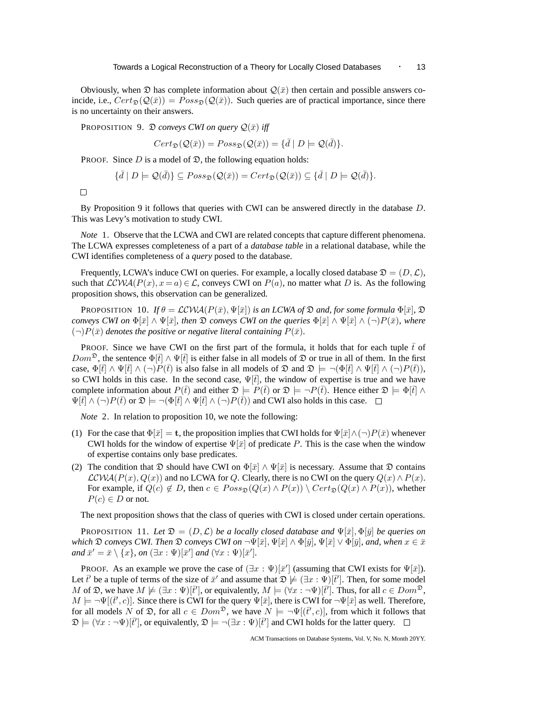Obviously, when  $\mathfrak{D}$  has complete information about  $\mathcal{Q}(\bar{x})$  then certain and possible answers coincide, i.e.,  $Cert_{\mathcal{D}}(Q(\bar{x})) = Poss_{\mathcal{D}}(Q(\bar{x}))$ . Such queries are of practical importance, since there is no uncertainty on their answers.

PROPOSITION 9.  $\mathfrak D$  *conveys CWI on query*  $\mathcal Q(\bar x)$  *iff* 

$$
Cert_{\mathfrak{D}}(\mathcal{Q}(\bar{x})) = Poss_{\mathfrak{D}}(\mathcal{Q}(\bar{x})) = \{ \bar{d} \mid D \models \mathcal{Q}(\bar{d}) \}.
$$

PROOF. Since  $D$  is a model of  $\mathfrak{D}$ , the following equation holds:

$$
\{\bar{d} \mid D \models \mathcal{Q}(\bar{d})\} \subseteq Poss_{\mathfrak{D}}(\mathcal{Q}(\bar{x})) = Cert_{\mathfrak{D}}(\mathcal{Q}(\bar{x})) \subseteq \{\bar{d} \mid D \models \mathcal{Q}(\bar{d})\}.
$$

 $\Box$ 

By Proposition 9 it follows that queries with CWI can be answered directly in the database D. This was Levy's motivation to study CWI.

*Note* 1. Observe that the LCWA and CWI are related concepts that capture different phenomena. The LCWA expresses completeness of a part of a *database table* in a relational database, while the CWI identifies completeness of a *query* posed to the database.

Frequently, LCWA's induce CWI on queries. For example, a locally closed database  $\mathfrak{D} = (D, \mathcal{L})$ , such that  $LCWA(P(x), x=a) \in \mathcal{L}$ , conveys CWI on  $P(a)$ , no matter what D is. As the following proposition shows, this observation can be generalized.

PROPOSITION 10. *If*  $\theta = \mathcal{LCWA}(P(\bar{x}), \Psi[\bar{x}])$  *is an LCWA of*  $\mathfrak{D}$  *and, for some formula*  $\Phi[\bar{x}]$ *,*  $\mathfrak{D}$ *conveys CWI on*  $\Phi[\bar{x}] \wedge \Psi[\bar{x}]$ *, then*  $\mathfrak{D}$  *conveys CWI on the queries*  $\Phi[\bar{x}] \wedge \Psi[\bar{x}] \wedge (\neg)P(\bar{x})$ *, where*  $(\neg)P(\bar{x})$  *denotes the positive or negative literal containing*  $P(\bar{x})$ *.* 

PROOF. Since we have CWI on the first part of the formula, it holds that for each tuple  $\bar{t}$  of  $Dom^{\mathfrak{D}}$ , the sentence  $\Phi[\vec{t}] \wedge \Psi[\vec{t}]$  is either false in all models of  $\mathfrak{D}$  or true in all of them. In the first case,  $\Phi[\vec{t}] \wedge \Psi[\vec{t}] \wedge (\neg)P(\vec{t})$  is also false in all models of  $\mathfrak{D}$  and  $\mathfrak{D} \models \neg(\Phi[\vec{t}] \wedge \Psi[\vec{t}] \wedge (\neg)P(\vec{t}))$ , so CWI holds in this case. In the second case,  $\Psi[\bar{t}]$ , the window of expertise is true and we have complete information about  $P(\bar{t})$  and either  $\mathfrak{D} \models P(\bar{t})$  or  $\mathfrak{D} \models \neg P(\bar{t})$ . Hence either  $\mathfrak{D} \models \Phi[\bar{t}] \land \Phi$  $\Psi[\vec{t}] \wedge (\neg)P(\vec{t})$  or  $\mathfrak{D} \models \neg(\Phi[\vec{t}] \wedge \Psi[\vec{t}] \wedge (\neg)P(\vec{t}))$  and CWI also holds in this case.  $\Box$ 

*Note* 2. In relation to proposition 10, we note the following:

- (1) For the case that  $\Phi[\bar{x}] = t$ , the proposition implies that CWI holds for  $\Psi[\bar{x}]\wedge(\neg)P(\bar{x})$  whenever CWI holds for the window of expertise  $\Psi[\bar{x}]$  of predicate P. This is the case when the window of expertise contains only base predicates.
- (2) The condition that  $\mathfrak D$  should have CWI on  $\Phi[\bar x]\wedge \Psi[\bar x]$  is necessary. Assume that  $\mathfrak D$  contains  $\mathcal{LCWA}(P(x), Q(x))$  and no LCWA for Q. Clearly, there is no CWI on the query  $Q(x) \wedge P(x)$ . For example, if  $Q(c) \notin D$ , then  $c \in Poss_{\mathfrak{D}}(Q(x) \wedge P(x)) \setminus Cert_{\mathfrak{D}}(Q(x) \wedge P(x))$ , whether  $P(c) \in D$  or not.

The next proposition shows that the class of queries with CWI is closed under certain operations.

PROPOSITION 11. Let  $\mathfrak{D} = (D, \mathcal{L})$  be a locally closed database and  $\Psi[\bar{x}], \Phi[\bar{y}]$  be queries on *which*  $\mathfrak D$  *conveys CWI. Then*  $\mathfrak D$  *conveys CWI* on  $\neg \Psi[\bar x], \Psi[\bar x] \wedge \Phi[\bar y]$ ,  $\Psi[\bar x] \vee \Phi[\bar y]$ *, and, when*  $x \in \bar x$  $and \bar{x}' = \bar{x} \setminus \{x\}, on (\exists x : \Psi)[\bar{x}'] and (\forall x : \Psi)[\bar{x}'].$ 

PROOF. As an example we prove the case of  $(\exists x : \Psi)[\bar{x}']$  (assuming that CWI exists for  $\Psi[\bar{x}]$ ). Let  $\bar{t}'$  be a tuple of terms of the size of  $\bar{x}'$  and assume that  $\mathfrak{D} \not\models (\exists x : \Psi)[\bar{t}']$ . Then, for some model M of  $\mathfrak{D}$ , we have  $M \not\models (\exists x : \Psi)[\bar{t}'],$  or equivalently,  $M \models (\forall x : \neg \Psi)[\bar{t}'].$  Thus, for all  $c \in Dom^{\mathfrak{D}}$ ,  $M \models \neg \Psi | (\vec{t}', c)$ . Since there is CWI for the query  $\Psi | \vec{x} |$ , there is CWI for  $\neg \Psi | \vec{x} |$  as well. Therefore, for all models N of  $\mathfrak{D}$ , for all  $c \in Dom^{\mathfrak{D}}$ , we have  $N \models \neg \Psi[(\bar{t}', c)]$ , from which it follows that  $\mathfrak{D} \models (\forall x : \neg \Psi)[\bar{t}'],$  or equivalently,  $\mathfrak{D} \models \neg (\exists x : \Psi)[\bar{t}']$  and CWI holds for the latter query.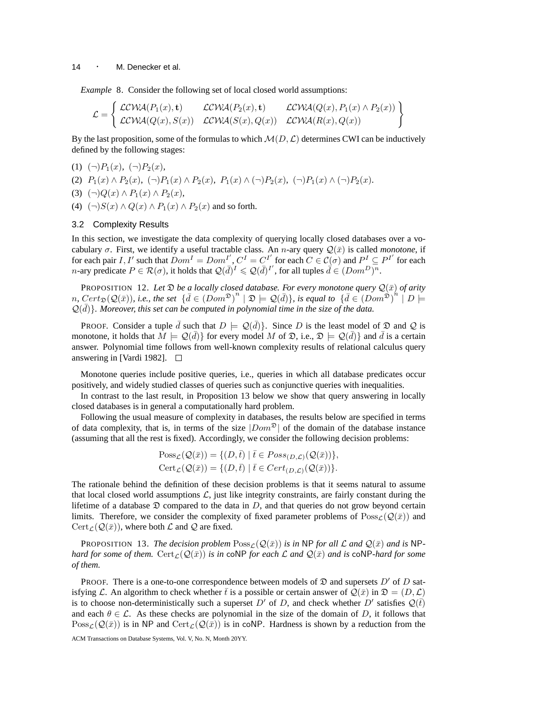*Example* 8. Consider the following set of local closed world assumptions:

$$
\mathcal{L} = \left\{ \begin{array}{lll} \mathcal{LCWA}(P_1(x), \mathbf{t}) & \mathcal{LCWA}(P_2(x), \mathbf{t}) & \mathcal{LCWA}(Q(x), P_1(x) \wedge P_2(x)) \\ \mathcal{LCWA}(Q(x), S(x)) & \mathcal{LCWA}(S(x), Q(x)) & \mathcal{LCWA}(R(x), Q(x)) \end{array} \right\}
$$

By the last proposition, some of the formulas to which  $\mathcal{M}(D,\mathcal{L})$  determines CWI can be inductively defined by the following stages:

- (1)  $(\neg)P_1(x)$ ,  $(\neg)P_2(x)$ ,
- (2)  $P_1(x) \wedge P_2(x)$ ,  $(\neg)P_1(x) \wedge P_2(x)$ ,  $P_1(x) \wedge (\neg)P_2(x)$ ,  $(\neg)P_1(x) \wedge (\neg)P_2(x)$ .
- (3)  $(\neg)Q(x) \land P_1(x) \land P_2(x)$ ,
- (4)  $(\neg)S(x) \land Q(x) \land P_1(x) \land P_2(x)$  and so forth.

#### 3.2 Complexity Results

In this section, we investigate the data complexity of querying locally closed databases over a vocabulary  $\sigma$ . First, we identify a useful tractable class. An *n*-ary query  $\mathcal{Q}(\bar{x})$  is called *monotone*, if for each pair I, I' such that  $Dom^I = Dom^{I'}$ ,  $C^I = C^{I'}$  for each  $C \in C(\sigma)$  and  $P^I \subseteq P^{I'}$  for each *n*-ary predicate  $P \in \mathcal{R}(\sigma)$ , it holds that  $\mathcal{Q}(\bar{d})^I \leq \mathcal{Q}(\bar{d})^{I'}$ , for all tuples  $\bar{d} \in (Dom^D)^n$ .

PROPOSITION 12. Let  $\mathfrak D$  *be a locally closed database. For every monotone query*  $\mathcal Q(\bar x)$  *of arity*  $n, \text{Cert}_{\mathfrak{D}}(\mathcal{Q}(\bar{x})),$  i.e., the set  $\{ \bar{d} \in (\text{Dom}^{\mathfrak{D}})^n \mid \mathfrak{D} \models \mathcal{Q}(\bar{d}) \}$ , is equal to  $\{ \bar{d} \in (\text{Dom}^{\mathfrak{D}})^n \mid D \models$  $\mathcal{Q}(\bar{d})\}$ . Moreover, this set can be computed in polynomial time in the size of the data.

PROOF. Consider a tuple  $\bar{d}$  such that  $D \models \mathcal{Q}(\bar{d})\}$ . Since D is the least model of  $\mathfrak D$  and  $\mathcal Q$  is monotone, it holds that  $\tilde{M} \models \mathcal{Q}(\bar{d})$  for every model M of  $\mathfrak{D}$ , i.e.,  $\mathfrak{D} \models \mathcal{Q}(\bar{d})$  and  $\bar{d}$  is a certain answer. Polynomial time follows from well-known complexity results of relational calculus query answering in [Vardi 1982].

Monotone queries include positive queries, i.e., queries in which all database predicates occur positively, and widely studied classes of queries such as conjunctive queries with inequalities.

In contrast to the last result, in Proposition 13 below we show that query answering in locally closed databases is in general a computationally hard problem.

Following the usual measure of complexity in databases, the results below are specified in terms of data complexity, that is, in terms of the size  $|Dom^{\mathfrak{D}}|$  of the domain of the database instance (assuming that all the rest is fixed). Accordingly, we consider the following decision problems:

$$
\begin{aligned} &\text{Poss}_{\mathcal{L}}(\mathcal{Q}(\bar{x})) = \{ (D,\bar{t}) \mid \bar{t} \in Poss_{(D,\mathcal{L})}(\mathcal{Q}(\bar{x})) \}, \\ &\text{Cert}_{\mathcal{L}}(\mathcal{Q}(\bar{x})) = \{ (D,\bar{t}) \mid \bar{t} \in Cert_{(D,\mathcal{L})}(\mathcal{Q}(\bar{x})) \}. \end{aligned}
$$

The rationale behind the definition of these decision problems is that it seems natural to assume that local closed world assumptions  $\mathcal{L}$ , just like integrity constraints, are fairly constant during the lifetime of a database  $\mathfrak D$  compared to the data in D, and that queries do not grow beyond certain limits. Therefore, we consider the complexity of fixed parameter problems of  $Poss_C(Q(\bar{x}))$  and  $Cert_{\mathcal{L}}(\mathcal{Q}(\bar{x}))$ , where both  $\mathcal L$  and  $\mathcal Q$  are fixed.

**PROPOSITION** 13. *The decision problem*  $Poss_{\mathcal{L}}(\mathcal{Q}(\bar{x}))$  *is in* NP *for all*  $\mathcal{L}$  *and*  $\mathcal{Q}(\bar{x})$  *and is* NP*hard for some of them.*  $\text{Cert}_{\mathcal{L}}(\mathcal{Q}(\bar{x}))$  *is in* coNP *for each*  $\mathcal{L}$  *and*  $\mathcal{Q}(\bar{x})$  *and is* coNP*-hard for some of them.*

PROOF. There is a one-to-one correspondence between models of  $\mathfrak D$  and supersets D' of D satisfying L. An algorithm to check whether  $\bar{t}$  is a possible or certain answer of  $\mathcal{Q}(\bar{x})$  in  $\mathcal{D} = (D, \mathcal{L})$ is to choose non-deterministically such a superset D' of D, and check whether D' satisfies  $\mathcal{Q}(\vec{t})$ and each  $\theta \in \mathcal{L}$ . As these checks are polynomial in the size of the domain of D, it follows that  $Poss_{\mathcal{L}}(\mathcal{Q}(\bar{x}))$  is in NP and Cert<sub>L</sub>( $\mathcal{Q}(\bar{x})$ ) is in coNP. Hardness is shown by a reduction from the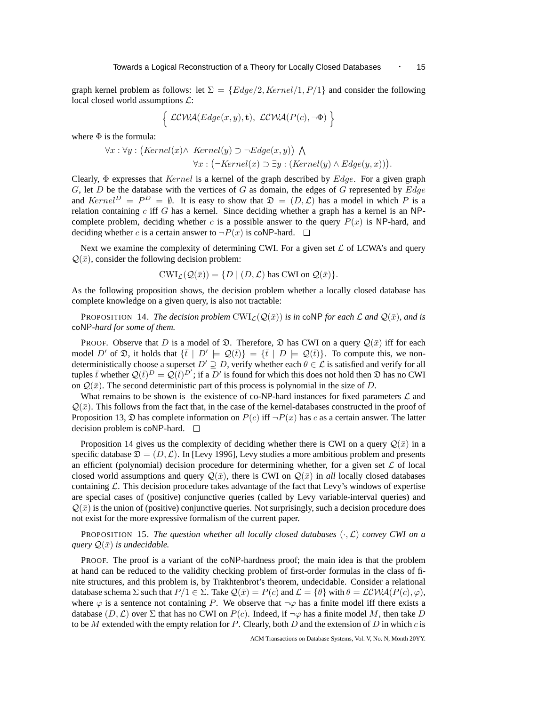graph kernel problem as follows: let  $\Sigma = \{Edge/2, Kernel/1, P/1\}$  and consider the following local closed world assumptions  $\mathcal{L}$ :

$$
\left\{\text{LCWA}(Edge(x, y), t), \text{LCWA}(P(c), \neg \Phi)\right\}
$$

where  $\Phi$  is the formula:

$$
\forall x : \forall y : (Kernel(x) \land Kernel(y) \supset \neg Edge(x, y)) \land \forall x : (\neg Kernel(x) \supset \exists y : (Kernel(y) \land Edge(y, x))).
$$

Clearly,  $\Phi$  expresses that *Kernel* is a kernel of the graph described by *Edge*. For a given graph  $G$ , let  $D$  be the database with the vertices of  $G$  as domain, the edges of  $G$  represented by  $Edge$ and  $Kernel^D = P^D = \emptyset$ . It is easy to show that  $\mathfrak{D} = (D, \mathcal{L})$  has a model in which P is a relation containing  $c$  iff  $G$  has a kernel. Since deciding whether a graph has a kernel is an NPcomplete problem, deciding whether c is a possible answer to the query  $P(x)$  is NP-hard, and deciding whether c is a certain answer to  $\neg P(x)$  is coNP-hard.  $\square$ 

Next we examine the complexity of determining CWI. For a given set  $\mathcal L$  of LCWA's and query  $\mathcal{Q}(\bar{x})$ , consider the following decision problem:

 $CWI_{\mathcal{L}}(\mathcal{Q}(\bar{x})) = \{ D \mid (D, \mathcal{L}) \text{ has } CWI \text{ on } \mathcal{Q}(\bar{x}) \}.$ 

As the following proposition shows, the decision problem whether a locally closed database has complete knowledge on a given query, is also not tractable:

**PROPOSITION** 14. *The decision problem* CWI<sub>L</sub>( $\mathcal{Q}(\bar{x})$ ) *is in* coNP *for each* L *and*  $\mathcal{Q}(\bar{x})$ *, and is* coNP*-hard for some of them.*

PROOF. Observe that D is a model of  $\mathfrak{D}$ . Therefore,  $\mathfrak{D}$  has CWI on a query  $\mathcal{Q}(\bar{x})$  iff for each model D' of  $\mathfrak{D}$ , it holds that  $\{\bar{t} \mid D' \models \mathcal{Q}(\bar{t})\} = \{\bar{t} \mid D \models \mathcal{Q}(\bar{t})\}$ . To compute this, we nondeterministically choose a superset  $D' \supseteq D$ , verify whether each  $\theta \in \mathcal{L}$  is satisfied and verify for all tuples  $\bar{t}$  whether  $\mathcal{Q}(\bar{t})^D = \mathcal{Q}(\bar{t})^{D'}$ ; if a  $\bar{D'}$  is found for which this does not hold then  $\mathfrak D$  has no CWI on  $\mathcal{Q}(\bar{x})$ . The second deterministic part of this process is polynomial in the size of D.

What remains to be shown is the existence of co-NP-hard instances for fixed parameters  $\mathcal L$  and  $\mathcal{Q}(\bar{x})$ . This follows from the fact that, in the case of the kernel-databases constructed in the proof of Proposition 13,  $\mathfrak D$  has complete information on  $P(c)$  iff  $\neg P(x)$  has c as a certain answer. The latter decision problem is coNP-hard.  $\square$ 

Proposition 14 gives us the complexity of deciding whether there is CWI on a query  $Q(\bar{x})$  in a specific database  $\mathfrak{D} = (D, \mathcal{L})$ . In [Levy 1996], Levy studies a more ambitious problem and presents an efficient (polynomial) decision procedure for determining whether, for a given set  $\mathcal L$  of local closed world assumptions and query  $Q(\bar{x})$ , there is CWI on  $Q(\bar{x})$  in *all* locally closed databases containing  $\mathcal{L}$ . This decision procedure takes advantage of the fact that Levy's windows of expertise are special cases of (positive) conjunctive queries (called by Levy variable-interval queries) and  $\mathcal{Q}(\bar{x})$  is the union of (positive) conjunctive queries. Not surprisingly, such a decision procedure does not exist for the more expressive formalism of the current paper.

PROPOSITION 15. *The question whether all locally closed databases*  $(\cdot, \mathcal{L})$  *convey CWI on a query*  $\mathcal{Q}(\bar{x})$  *is undecidable.* 

PROOF. The proof is a variant of the coNP-hardness proof; the main idea is that the problem at hand can be reduced to the validity checking problem of first-order formulas in the class of finite structures, and this problem is, by Trakhtenbrot's theorem, undecidable. Consider a relational database schema  $\Sigma$  such that  $P/1 \in \Sigma$ . Take  $\mathcal{Q}(\bar{x}) = P(c)$  and  $\mathcal{L} = \{\theta\}$  with  $\theta = \mathcal{LCWA}(P(c), \varphi)$ , where  $\varphi$  is a sentence not containing P. We observe that  $\neg \varphi$  has a finite model iff there exists a database  $(D, \mathcal{L})$  over  $\Sigma$  that has no CWI on  $P(c)$ . Indeed, if  $\neg \varphi$  has a finite model M, then take D to be M extended with the empty relation for P. Clearly, both D and the extension of D in which c is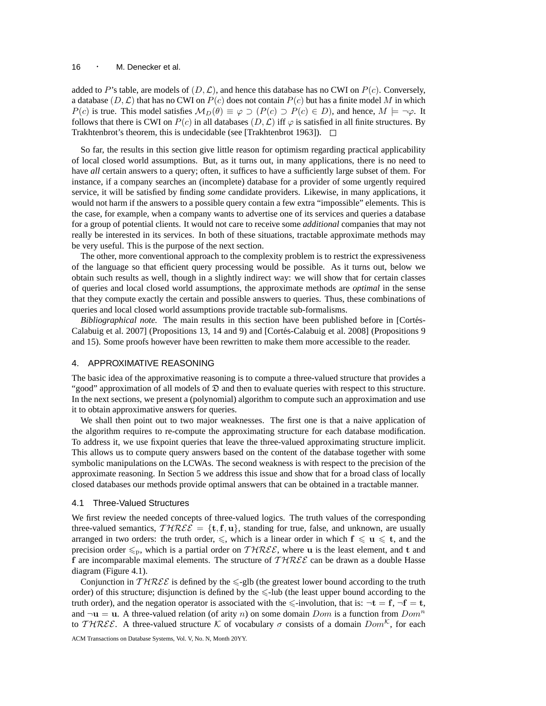added to P's table, are models of  $(D, \mathcal{L})$ , and hence this database has no CWI on  $P(c)$ . Conversely, a database  $(D, \mathcal{L})$  that has no CWI on  $P(c)$  does not contain  $P(c)$  but has a finite model M in which  $P(c)$  is true. This model satisfies  $\mathcal{M}_D(\theta) \equiv \varphi \supset (P(c) \supset P(c) \in D)$ , and hence,  $M \models \neg \varphi$ . It follows that there is CWI on  $P(c)$  in all databases  $(D, \mathcal{L})$  iff  $\varphi$  is satisfied in all finite structures. By Trakhtenbrot's theorem, this is undecidable (see [Trakhtenbrot 1963]).  $\square$ 

So far, the results in this section give little reason for optimism regarding practical applicability of local closed world assumptions. But, as it turns out, in many applications, there is no need to have *all* certain answers to a query; often, it suffices to have a sufficiently large subset of them. For instance, if a company searches an (incomplete) database for a provider of some urgently required service, it will be satisfied by finding *some* candidate providers. Likewise, in many applications, it would not harm if the answers to a possible query contain a few extra "impossible" elements. This is the case, for example, when a company wants to advertise one of its services and queries a database for a group of potential clients. It would not care to receive some *additional* companies that may not really be interested in its services. In both of these situations, tractable approximate methods may be very useful. This is the purpose of the next section.

The other, more conventional approach to the complexity problem is to restrict the expressiveness of the language so that efficient query processing would be possible. As it turns out, below we obtain such results as well, though in a slightly indirect way: we will show that for certain classes of queries and local closed world assumptions, the approximate methods are *optimal* in the sense that they compute exactly the certain and possible answers to queries. Thus, these combinations of queries and local closed world assumptions provide tractable sub-formalisms.

*Bibliographical note.* The main results in this section have been published before in [Cortés-Calabuig et al. 2007] (Propositions 13, 14 and 9) and [Cortés-Calabuig et al. 2008] (Propositions 9 and 15). Some proofs however have been rewritten to make them more accessible to the reader.

## 4. APPROXIMATIVE REASONING

The basic idea of the approximative reasoning is to compute a three-valued structure that provides a "good" approximation of all models of  $\mathfrak D$  and then to evaluate queries with respect to this structure. In the next sections, we present a (polynomial) algorithm to compute such an approximation and use it to obtain approximative answers for queries.

We shall then point out to two major weaknesses. The first one is that a naive application of the algorithm requires to re-compute the approximating structure for each database modification. To address it, we use fixpoint queries that leave the three-valued approximating structure implicit. This allows us to compute query answers based on the content of the database together with some symbolic manipulations on the LCWAs. The second weakness is with respect to the precision of the approximate reasoning. In Section 5 we address this issue and show that for a broad class of locally closed databases our methods provide optimal answers that can be obtained in a tractable manner.

## 4.1 Three-Valued Structures

We first review the needed concepts of three-valued logics. The truth values of the corresponding three-valued semantics,  $\mathcal{THREE} = \{t, f, u\}$ , standing for true, false, and unknown, are usually arranged in two orders: the truth order,  $\leq$ , which is a linear order in which  $f \leq u \leq t$ , and the precision order  $\leq_{\rm p}$ , which is a partial order on  $THREE$ , where u is the least element, and t and f are incomparable maximal elements. The structure of  $THREE$  can be drawn as a double Hasse diagram (Figure 4.1).

Conjunction in  $THREE$  is defined by the  $\le$ -glb (the greatest lower bound according to the truth order) of this structure; disjunction is defined by the  $\le$ -lub (the least upper bound according to the truth order), and the negation operator is associated with the  $\leq$ -involution, that is:  $\neg t = f$ ,  $\neg f = t$ , and  $\neg$ **u** = **u**. A three-valued relation (of arity *n*) on some domain *Dom* is a function from *Dom*<sup>*n*</sup> to THREE. A three-valued structure K of vocabulary  $\sigma$  consists of a domain Dom<sup>K</sup>, for each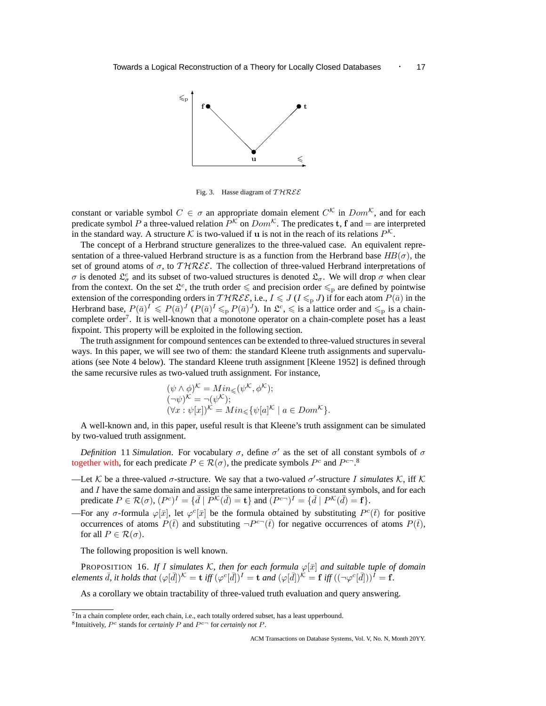

Fig. 3. Hasse diagram of  $THREE$ 

constant or variable symbol  $C \in \sigma$  an appropriate domain element  $C^{\mathcal{K}}$  in  $Dom^{\mathcal{K}}$ , and for each predicate symbol P a three-valued relation  $P^{\mathcal{K}}$  on  $Dom^{\mathcal{K}}$ . The predicates t, f and  $=$  are interpreted in the standard way. A structure K is two-valued if u is not in the reach of its relations  $P^{K}$ .

The concept of a Herbrand structure generalizes to the three-valued case. An equivalent representation of a three-valued Herbrand structure is as a function from the Herbrand base  $HB(\sigma)$ , the set of ground atoms of  $\sigma$ , to  $THREE$ . The collection of three-valued Herbrand interpretations of σ is denoted  $\mathcal{L}_{\sigma}^c$  and its subset of two-valued structures is denoted  $\mathcal{L}_{\sigma}$ . We will drop σ when clear from the context. On the set  $\mathcal{L}^c$ , the truth order  $\leq$  and precision order  $\leq_p$  are defined by pointwise extension of the corresponding orders in  $THREE$ , i.e.,  $I \leqslant J$  ( $I \leqslant_p J$ ) if for each atom  $P(\bar{a})$  in the Herbrand base,  $P(\bar{a})^I \leqslant P(\bar{a})^J$   $(P(\bar{a})^I \leqslant_P P(\bar{a})^J)$ . In  $\mathfrak{L}^c \leqslant$  is a lattice order and  $\leqslant_P$  is a chaincomplete order<sup>7</sup>. It is well-known that a monotone operator on a chain-complete poset has a least fixpoint. This property will be exploited in the following section.

The truth assignment for compound sentences can be extended to three-valued structures in several ways. In this paper, we will see two of them: the standard Kleene truth assignments and supervaluations (see Note 4 below). The standard Kleene truth assignment [Kleene 1952] is defined through the same recursive rules as two-valued truth assignment. For instance,

$$
(\psi \wedge \phi)^{\mathcal{K}} = Min_{\leq} (\psi^{\mathcal{K}}, \phi^{\mathcal{K}});
$$
  
\n
$$
(\neg \psi)^{\mathcal{K}} = \neg (\psi^{\mathcal{K}});
$$
  
\n
$$
(\forall x : \psi[x])^{\mathcal{K}} = Min_{\leq} {\{\psi[a]^{\mathcal{K}} \mid a \in Dom^{\mathcal{K}}\}}.
$$

A well-known and, in this paper, useful result is that Kleene's truth assignment can be simulated by two-valued truth assignment.

*Definition* 11 *Simulation*. For vocabulary  $\sigma$ , define  $\sigma'$  as the set of all constant symbols of  $\sigma$ together with, for each predicate  $P \in \mathcal{R}(\sigma)$ , the predicate symbols  $P^c$  and  $P^{c-1}$ .

- —Let K be a three-valued  $\sigma$ -structure. We say that a two-valued  $\sigma'$ -structure I simulates K, iff K and I have the same domain and assign the same interpretations to constant symbols, and for each predicate  $P \in \mathcal{R}(\sigma)$ ,  $(P^c)^I = {\{\bar{d} \mid P^{\mathcal{K}}(\bar{d}) = \mathbf{t}\}\text{ and }\overline{(P^{c-})^I} = {\{\bar{d} \mid P^{\mathcal{K}}(\bar{d}) = \mathbf{f}\}}.$
- —For any  $\sigma$ -formula  $\varphi[\bar{x}]$ , let  $\varphi^c[\bar{x}]$  be the formula obtained by substituting  $P^c(\bar{t})$  for positive occurrences of atoms  $P(\bar{t})$  and substituting  $\neg P^{c}(\bar{t})$  for negative occurrences of atoms  $P(\bar{t})$ , for all  $P \in \mathcal{R}(\sigma)$ .

The following proposition is well known.

PROPOSITION 16. If I simulates K, then for each formula  $\varphi[\bar{x}]$  and suitable tuple of domain  $\vec{a}$  elements  $\bar{d}$ , it holds that  $(\varphi[\bar{d}])^{\mathcal{K}}=\mathbf{t}$  iff  $(\varphi^c[\bar{d}])^I=\mathbf{t}$  and  $(\varphi[\bar{d}])^{\dot{\mathcal{K}}}=\mathbf{f}$  iff  $((\neg\varphi^c[\bar{d}]))^{\hat{I}}=\mathbf{f}$ .

As a corollary we obtain tractability of three-valued truth evaluation and query answering.

<sup>&</sup>lt;sup>7</sup> In a chain complete order, each chain, i.e., each totally ordered subset, has a least upperbound.

<sup>&</sup>lt;sup>8</sup>Intuitively,  $P^c$  stands for *certainly*  $P$  and  $P^{c-}$  for *certainly not*  $P$ .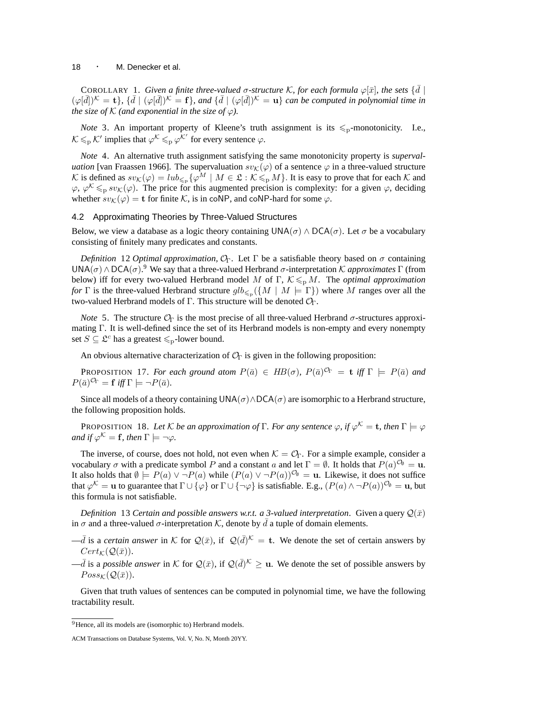COROLLARY 1. *Given a finite three-valued*  $\sigma$ -structure K, for each formula  $\varphi[\bar{x}]$ , the sets  $\{\bar{d}\}$  $(\varphi[\bar{d}])^{\mathcal{K}} = \mathbf{t}$ ,  $\{\bar{d} \mid (\varphi[\bar{d}])^{\mathcal{K}} = \mathbf{f}\}$ , and  $\{\bar{d} \mid (\varphi[\bar{d}])^{\mathcal{K}} = \mathbf{u}\}$  *can be computed in polynomial time in the size of*  $K$  *(and exponential in the size of*  $\varphi$ *).* 

*Note* 3. An important property of Kleene's truth assignment is its  $\leq_{p}$ -monotonicity. I.e.,  $\mathcal{K} \leqslant_{p} \mathcal{K}'$  implies that  $\varphi^{\mathcal{K}} \leqslant_{p} \varphi^{\mathcal{K}'}$  for every sentence  $\varphi$ .

*Note* 4. An alternative truth assignment satisfying the same monotonicity property is *supervaluation* [van Fraassen 1966]. The supervaluation  $sv_{\mathcal{K}}(\varphi)$  of a sentence  $\varphi$  in a three-valued structure K is defined as  $sv_{\mathcal{K}}(\varphi) = lub_{\leq p} \{\varphi^M \mid M \in \mathfrak{L} : \mathcal{K} \leq_p M\}$ . It is easy to prove that for each K and  $\varphi, \varphi^{\mathcal{K}} \leq_{\mathrm{p}} sv_{\mathcal{K}}(\varphi)$ . The price for this augmented precision is complexity: for a given  $\varphi$ , deciding whether  $sv_{\mathcal{K}}(\varphi) = \mathbf{t}$  for finite  $\mathcal{K}$ , is in coNP, and coNP-hard for some  $\varphi$ .

## 4.2 Approximating Theories by Three-Valued Structures

Below, we view a database as a logic theory containing  $UNA(\sigma) \wedge DCA(\sigma)$ . Let  $\sigma$  be a vocabulary consisting of finitely many predicates and constants.

*Definition* 12 *Optimal approximation*,  $\mathcal{O}_{\Gamma}$ . Let  $\Gamma$  be a satisfiable theory based on  $\sigma$  containing UNA( $\sigma$ )  $\land$  DCA( $\sigma$ ).<sup>9</sup> We say that a three-valued Herbrand  $\sigma$ -interpretation  $\mathcal K$  *approximates*  $\Gamma$  (from below) iff for every two-valued Herbrand model M of  $\Gamma$ ,  $K \leq_{p} M$ . The *optimal approximation for*  $\Gamma$  is the three-valued Herbrand structure  $glb_{\leq p}(\lbrace M \mid M \models \Gamma \rbrace)$  where M ranges over all the two-valued Herbrand models of Γ. This structure will be denoted  $\mathcal{O}_{\Gamma}$ .

*Note* 5. The structure  $\mathcal{O}_\Gamma$  is the most precise of all three-valued Herbrand  $\sigma$ -structures approximating Γ. It is well-defined since the set of its Herbrand models is non-empty and every nonempty set  $S \subseteq \mathcal{L}^c$  has a greatest  $\leq_p$ -lower bound.

An obvious alternative characterization of  $\mathcal{O}_\Gamma$  is given in the following proposition:

**PROPOSITION** 17. *For each ground atom*  $P(\bar{a}) \in HB(\sigma)$ ,  $P(\bar{a})^{\mathcal{O}_{\Gamma}} = \mathbf{t}$  *iff*  $\Gamma \models P(\bar{a})$  *and*  $P(\bar{a})^{\mathcal{O}_{\Gamma}} = \mathbf{f}$  *iff*  $\Gamma \models \neg P(\bar{a})$ *.* 

Since all models of a theory containing  $UNA(\sigma) \wedge DCA(\sigma)$  are isomorphic to a Herbrand structure, the following proposition holds.

PROPOSITION 18. Let  $K$  be an approximation of  $\Gamma$ . For any sentence  $\varphi$ , if  $\varphi^{\mathcal{K}} = \mathbf{t}$ , then  $\Gamma \models \varphi$ *and if*  $\varphi^{\mathcal{K}} = \mathbf{f}$ *, then*  $\Gamma \models \neg \varphi$ *.* 

The inverse, of course, does not hold, not even when  $\mathcal{K} = \mathcal{O}_\Gamma$ . For a simple example, consider a vocabulary  $\sigma$  with a predicate symbol P and a constant a and let  $\Gamma = \emptyset$ . It holds that  $P(a)^{O_\emptyset} = \mathbf{u}$ . It also holds that  $\emptyset = P(a) \vee \neg P(a)$  while  $(P(a) \vee \neg P(a))^{\mathcal{O}_{\emptyset}} = \mathbf{u}$ . Likewise, it does not suffice that  $\varphi^{\mathcal{K}} = \mathbf{u}$  to guarantee that  $\Gamma \cup {\varphi}$  or  $\Gamma \cup {\neg \varphi}$  is satisfiable. E.g.,  $(P(a) \wedge \neg P(a))^{\mathcal{O}_{\emptyset}} = \mathbf{u}$ , but this formula is not satisfiable.

*Definition* 13 *Certain and possible answers w.r.t. a 3-valued interpretation.* Given a query  $Q(\bar{x})$ in  $\sigma$  and a three-valued  $\sigma$ -interpretation K, denote by d a tuple of domain elements.

- $-\bar{d}$  is a *certain answer* in K for  $\mathcal{Q}(\bar{x})$ , if  $\mathcal{Q}(\bar{d})^{\mathcal{K}} = \mathbf{t}$ . We denote the set of certain answers by  $Cert_{\mathcal{K}}(\mathcal{Q}(\bar{x})).$
- $-\bar{d}$  is a *possible answer* in K for  $\mathcal{Q}(\bar{x})$ , if  $\mathcal{Q}(\bar{d})^{\mathcal{K}} \geq \mathbf{u}$ . We denote the set of possible answers by  $Poss_{\mathcal{K}}(\mathcal{Q}(\bar{x})).$

Given that truth values of sentences can be computed in polynomial time, we have the following tractability result.

<sup>&</sup>lt;sup>9</sup>Hence, all its models are (isomorphic to) Herbrand models.

ACM Transactions on Database Systems, Vol. V, No. N, Month 20YY.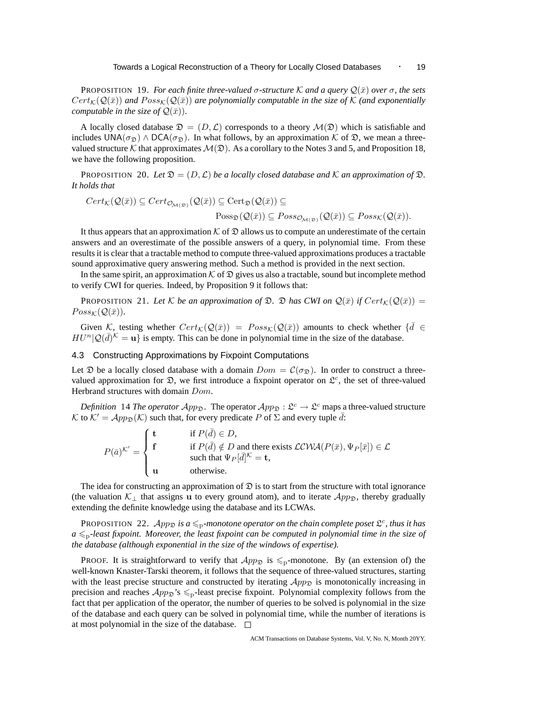PROPOSITION 19. *For each finite three-valued*  $\sigma$ -structure K and a query  $\mathcal{Q}(\bar{x})$  *over*  $\sigma$ *, the sets*  $Cert_{\mathcal{K}}(\mathcal{Q}(\bar{x}))$  *and*  $Poss_{\mathcal{K}}(\mathcal{Q}(\bar{x}))$  *are polynomially computable in the size of* K *(and exponentially computable in the size of*  $Q(\bar{x})$ *.* 

A locally closed database  $\mathfrak{D} = (D, \mathcal{L})$  corresponds to a theory  $\mathcal{M}(\mathfrak{D})$  which is satisfiable and includes UNA( $\sigma_{\mathfrak{D}}$ ) ∧ DCA( $\sigma_{\mathfrak{D}}$ ). In what follows, by an approximation K of  $\mathfrak{D}$ , we mean a threevalued structure K that approximates  $\mathcal{M}(\mathcal{D})$ . As a corollary to the Notes 3 and 5, and Proposition 18, we have the following proposition.

PROPOSITION 20. Let  $\mathfrak{D} = (D, \mathcal{L})$  be a locally closed database and K an approximation of  $\mathfrak{D}$ . *It holds that*

$$
Cert_{\mathcal{K}}(\mathcal{Q}(\bar{x})) \subseteq Cert_{\mathcal{O}_{\mathcal{M}(\mathfrak{D})}}(\mathcal{Q}(\bar{x})) \subseteq \text{Cert}_{\mathfrak{D}}(\mathcal{Q}(\bar{x})) \subseteq
$$
  

$$
\text{Poss}_{\mathfrak{D}}(\mathcal{Q}(\bar{x})) \subseteq Poss_{\mathcal{O}_{\mathcal{M}(\mathfrak{D})}}(\mathcal{Q}(\bar{x})) \subseteq Poss_{\mathcal{K}}(\mathcal{Q}(\bar{x})).
$$

It thus appears that an approximation  $K$  of  $\mathfrak D$  allows us to compute an underestimate of the certain answers and an overestimate of the possible answers of a query, in polynomial time. From these results it is clear that a tractable method to compute three-valued approximations produces a tractable sound approximative query answering method. Such a method is provided in the next section.

In the same spirit, an approximation  $K$  of  $\mathfrak D$  gives us also a tractable, sound but incomplete method to verify CWI for queries. Indeed, by Proposition 9 it follows that:

**PROPOSITION** 21. Let K be an approximation of  $\mathfrak{D}$ .  $\mathfrak{D}$  has CWI on  $\mathcal{Q}(\bar{x})$  if Cert<sub>K</sub>( $\mathcal{Q}(\bar{x})$ ) =  $Poss_{\mathcal{K}}(\mathcal{Q}(\bar{x}))$ .

Given K, testing whether  $Cert_{\mathcal{K}}(\mathcal{Q}(\bar{x})) = Poss_{\mathcal{K}}(\mathcal{Q}(\bar{x}))$  amounts to check whether  $\{d \in$  $HU^{n}Q(\bar{d})^{\mathcal{K}} = \mathbf{u}$  is empty. This can be done in polynomial time in the size of the database.

## 4.3 Constructing Approximations by Fixpoint Computations

Let  $\mathfrak D$  be a locally closed database with a domain  $Dom = \mathcal C(\sigma_{\mathfrak D})$ . In order to construct a threevalued approximation for  $\mathfrak{D}$ , we first introduce a fixpoint operator on  $\mathfrak{L}^c$ , the set of three-valued Herbrand structures with domain Dom.

*Definition* 14 *The operator*  $App_{\mathfrak{D}}$ *.* The operator  $App_{\mathfrak{D}}: \mathfrak{L}^c \to \mathfrak{L}^c$  maps a three-valued structure K to  $K' = App_{\mathfrak{D}}(K)$  such that, for every predicate P of  $\Sigma$  and every tuple  $\overline{d}$ :

$$
P(\bar{a})^{\mathcal{K}'} = \begin{cases} \mathbf{t} & \text{if } P(\bar{d}) \in D, \\ \mathbf{f} & \text{if } P(\bar{d}) \notin D \text{ and there exists } \mathcal{LCWA}(P(\bar{x}), \Psi_P[\bar{x}]) \in \mathcal{L} \\ & \text{such that } \Psi_P[\bar{d}]^{\mathcal{K}} = \mathbf{t}, \\ \mathbf{u} & \text{otherwise.} \end{cases}
$$

The idea for constructing an approximation of  $\mathfrak D$  is to start from the structure with total ignorance (the valuation  $\mathcal{K}_{\perp}$  that assigns u to every ground atom), and to iterate  $App_{\mathcal{D}}$ , thereby gradually extending the definite knowledge using the database and its LCWAs.

PROPOSITION 22.  $App_{\mathfrak{D}}$  is a  $\leq_p$ -monotone operator on the chain complete poset  $\mathfrak{L}^c$ , thus it has  $a \leqslant_{p}$ -least fixpoint. Moreover, the least fixpoint can be computed in polynomial time in the size of *the database (although exponential in the size of the windows of expertise).*

**PROOF.** It is straightforward to verify that  $App_{\mathcal{D}}$  is  $\leq_p$ -monotone. By (an extension of) the well-known Knaster-Tarski theorem, it follows that the sequence of three-valued structures, starting with the least precise structure and constructed by iterating  $App_{\mathcal{D}}$  is monotonically increasing in precision and reaches  $App_{\mathcal{D}}$ 's  $\leq_{p}$ -least precise fixpoint. Polynomial complexity follows from the fact that per application of the operator, the number of queries to be solved is polynomial in the size of the database and each query can be solved in polynomial time, while the number of iterations is at most polynomial in the size of the database.  $\square$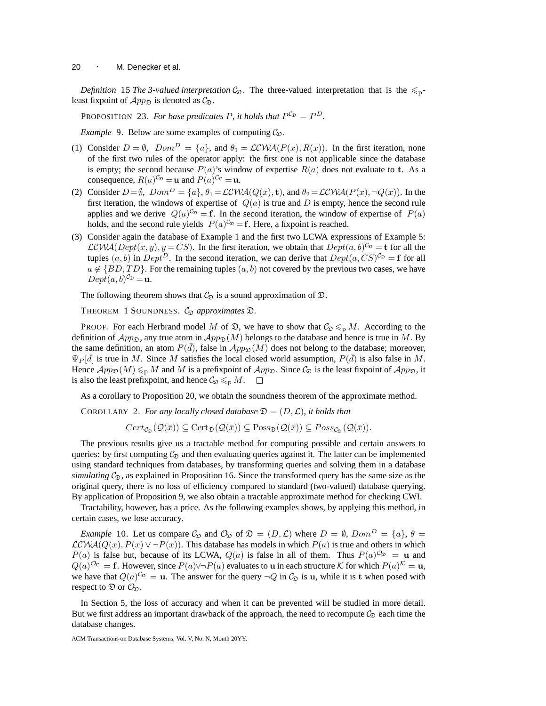*Definition* 15 *The 3-valued interpretation*  $C_{\mathfrak{D}}$ . The three-valued interpretation that is the  $\leq_p$ least fixpoint of  $App_{\mathcal{D}}$  is denoted as  $\mathcal{C}_{\mathcal{D}}$ .

PROPOSITION 23. For base predicates P, it holds that  $P^{\mathcal{C}_{\mathfrak{D}}} = P^D$ .

*Example* 9. Below are some examples of computing  $C_{\mathfrak{D}}$ .

- (1) Consider  $D = \emptyset$ ,  $Dom^D = \{a\}$ , and  $\theta_1 = \mathcal{LCWA}(P(x), R(x))$ . In the first iteration, none of the first two rules of the operator apply: the first one is not applicable since the database is empty; the second because  $P(a)$ 's window of expertise  $R(a)$  does not evaluate to t. As a consequence,  $R(a)^{C_{\mathfrak{D}}} = \mathbf{u}$  and  $P(a)^{C_{\mathfrak{D}}} = \mathbf{u}$ .
- (2) Consider  $D = \emptyset$ ,  $Dom^D = \{a\}$ ,  $\theta_1 = \mathcal{LCWA}(Q(x), \mathbf{t})$ , and  $\theta_2 = \mathcal{LCWA}(P(x), \neg Q(x))$ . In the first iteration, the windows of expertise of  $Q(a)$  is true and D is empty, hence the second rule applies and we derive  $Q(a)^{C_{\mathfrak{D}}} = \mathbf{f}$ . In the second iteration, the window of expertise of  $P(a)$ holds, and the second rule yields  $P(a)^{C_{\mathfrak{D}}} = \mathbf{f}$ . Here, a fixpoint is reached.
- (3) Consider again the database of Example 1 and the first two LCWA expressions of Example 5:  $LCWA(Dept(x, y), y = CS)$ . In the first iteration, we obtain that  $Dept(a, b)^{C_{\mathfrak{D}}} = \mathbf{t}$  for all the tuples  $(a, b)$  in  $Depth^D$ . In the second iteration, we can derive that  $Depth(a, CS)^{C_{\mathfrak{D}}} = \mathbf{f}$  for all  $a \notin \{BD, TD\}$ . For the remaining tuples  $(a, b)$  not covered by the previous two cases, we have  $Depth(a,b)^{\mathcal{C}_{\mathfrak{D}}}=\mathbf{u}.$

The following theorem shows that  $\mathcal{C}_{\mathfrak{D}}$  is a sound approximation of  $\mathfrak{D}$ .

THEOREM 1 SOUNDNESS.  $\mathcal{C}_{\mathfrak{D}}$  *approximates*  $\mathfrak{D}$ .

**PROOF.** For each Herbrand model M of  $\mathfrak{D}$ , we have to show that  $\mathcal{C}_{\mathfrak{D}} \leq_{\mathfrak{p}} M$ . According to the definition of  $App_{\mathfrak{D}}$ , any true atom in  $App_{\mathfrak{D}}(M)$  belongs to the database and hence is true in M. By the same definition, an atom  $P(\bar{d})$ , false in  $App_{\mathfrak{D}}(M)$  does not belong to the database; moreover,  $\Psi_P[\bar{d}]$  is true in M. Since M satisfies the local closed world assumption,  $P(\bar{d})$  is also false in M. Hence  $App_{\mathfrak{D}}(M) \leq_{\mathfrak{D}} M$  and M is a prefixpoint of  $App_{\mathfrak{D}}$ . Since  $\mathcal{C}_{\mathfrak{D}}$  is the least fixpoint of  $App_{\mathfrak{D}}$ , it is also the least prefixpoint, and hence  $\mathcal{C}_{\mathfrak{D}} \leq_{\mathfrak{p}} M$ .  $\square$ 

As a corollary to Proposition 20, we obtain the soundness theorem of the approximate method.

COROLLARY 2. *For any locally closed database*  $\mathfrak{D} = (D, \mathcal{L})$ *, it holds that* 

 $Cert_{\mathcal{C}_{\mathcal{D}}}(\mathcal{Q}(\bar{x})) \subseteq \text{Cert}_{\mathcal{D}}(\mathcal{Q}(\bar{x})) \subseteq \text{Poss}_{\mathcal{D}}(\mathcal{Q}(\bar{x})) \subseteq Poss_{\mathcal{C}_{\mathcal{D}}}(\mathcal{Q}(\bar{x})).$ 

The previous results give us a tractable method for computing possible and certain answers to queries: by first computing  $\mathcal{C}_{\mathfrak{D}}$  and then evaluating queries against it. The latter can be implemented using standard techniques from databases, by transforming queries and solving them in a database *simulating*  $C_{\mathcal{D}}$ , as explained in Proposition 16. Since the transformed query has the same size as the original query, there is no loss of efficiency compared to standard (two-valued) database querying. By application of Proposition 9, we also obtain a tractable approximate method for checking CWI.

Tractability, however, has a price. As the following examples shows, by applying this method, in certain cases, we lose accuracy.

*Example* 10. Let us compare  $C_{\mathfrak{D}}$  and  $\mathcal{O}_{\mathfrak{D}}$  of  $\mathfrak{D} = (D, \mathcal{L})$  where  $D = \emptyset$ ,  $Dom^D = \{a\}$ ,  $\theta =$  $LCWA(Q(x), P(x) \vee \neg P(x))$ . This database has models in which  $P(a)$  is true and others in which  $P(a)$  is false but, because of its LCWA,  $Q(a)$  is false in all of them. Thus  $P(a)^{O_{\mathfrak{D}}} = u$  and  $Q(a)^{O_{\mathfrak{D}}} = \mathbf{f}$ . However, since  $P(a) \vee \neg P(a)$  evaluates to **u** in each structure K for which  $P(a)^{\mathcal{K}} = \mathbf{u}$ , we have that  $Q(a)^{C_{\mathfrak{D}}} = \mathbf{u}$ . The answer for the query  $\neg Q$  in  $C_{\mathfrak{D}}$  is  $\mathbf{u}$ , while it is t when posed with respect to  $\mathfrak{D}$  or  $\mathcal{O}_{\mathfrak{D}}$ .

In Section 5, the loss of accuracy and when it can be prevented will be studied in more detail. But we first address an important drawback of the approach, the need to recompute  $\mathcal{C}_{\mathfrak{D}}$  each time the database changes.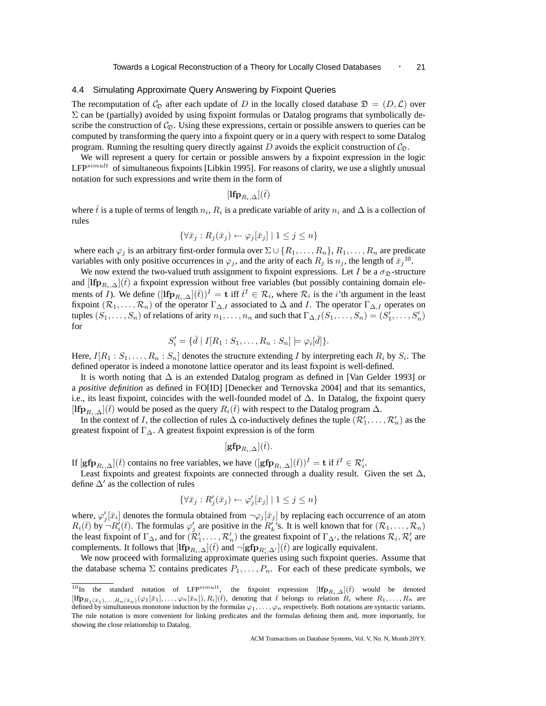#### 4.4 Simulating Approximate Query Answering by Fixpoint Queries

The recomputation of  $\mathcal{C}_{\mathfrak{D}}$  after each update of D in the locally closed database  $\mathfrak{D} = (D, \mathcal{L})$  over  $\Sigma$  can be (partially) avoided by using fixpoint formulas or Datalog programs that symbolically describe the construction of  $\mathcal{C}_{\mathfrak{D}}$ . Using these expressions, certain or possible answers to queries can be computed by transforming the query into a fixpoint query or in a query with respect to some Datalog program. Running the resulting query directly against D avoids the explicit construction of  $C_{\mathcal{D}}$ .

We will represent a query for certain or possible answers by a fixpoint expression in the logic LFP<sup>simult</sup> of simultaneous fixpoints [Libkin 1995]. For reasons of clarity, we use a slightly unusual notation for such expressions and write them in the form of

$$
[\mathbf{lfp}_{R_i,\Delta}](\bar{t})
$$

where  $\bar{t}$  is a tuple of terms of length  $n_i$ ,  $R_i$  is a predicate variable of arity  $n_i$  and  $\Delta$  is a collection of rules

$$
\{\forall \bar{x}_j : R_j(\bar{x}_j) \leftarrow \varphi_j[\bar{x}_j] \mid 1 \le j \le n\}
$$

where each  $\varphi_i$  is an arbitrary first-order formula over  $\Sigma \cup \{R_1, \ldots, R_n\}, R_1, \ldots, R_n$  are predicate variables with only positive occurrences in  $\varphi_j$ , and the arity of each  $R_j$  is  $n_j$ , the length of  $\bar{x}_j$ <sup>10</sup>.

We now extend the two-valued truth assignment to fixpoint expressions. Let I be a  $\sigma_{\mathfrak{D}}$ -structure and  $[\mathbf{lip}_{R,\Delta}](\bar{t})$  a fixpoint expression without free variables (but possibly containing domain elements of *I*). We define  $([\mathbf{Ifp}_{R_i,\Delta}](\bar{t}))^I = \mathbf{t}$  iff  $\bar{t}^I \in \mathcal{R}_i$ , where  $\mathcal{R}_i$  is the *i*'th argument in the least fixpoint  $(\mathcal{R}_1,\ldots,\mathcal{R}_n)$  of the operator  $\Gamma_{\Delta,I}$  associated to  $\Delta$  and I. The operator  $\Gamma_{\Delta,I}$  operates on tuples  $(S_1, \ldots, S_n)$  of relations of arity  $n_1, \ldots, n_n$  and such that  $\Gamma_{\Delta,I}(S_1, \ldots, S_n) = (S'_1, \ldots, S'_n)$ for

$$
S'_{i} = \{\bar{d} \mid I[R_{1} : S_{1}, \ldots, R_{n} : S_{n}] \models \varphi_{i}[\bar{d}]\}.
$$

Here,  $I[R_1 : S_1, \ldots, R_n : S_n]$  denotes the structure extending I by interpreting each  $R_i$  by  $S_i$ . The defined operator is indeed a monotone lattice operator and its least fixpoint is well-defined.

It is worth noting that ∆ is an extended Datalog program as defined in [Van Gelder 1993] or a *positive definition* as defined in FO[ID] [Denecker and Ternovska 2004] and that its semantics, i.e., its least fixpoint, coincides with the well-founded model of ∆. In Datalog, the fixpoint query [lf ${\bf p}_{R_i,\Delta}$ ]( $\bar{t}$ ) would be posed as the query  $R_i(\bar{t})$  with respect to the Datalog program  $\Delta$ .

In the context of I, the collection of rules  $\Delta$  co-inductively defines the tuple  $(\mathcal{R}'_1,\ldots,\mathcal{R}'_n)$  as the greatest fixpoint of  $\Gamma_{\Delta}$ . A greatest fixpoint expression is of the form

$$
[\mathbf{gfp}_{R_i,\Delta}](\bar{t}).
$$

If  $[\mathbf{gfp}_{R_i,\Delta}](\bar{t})$  contains no free variables, we have  $([\mathbf{gfp}_{R_i,\Delta}](\bar{t}))^I = \mathbf{t}$  if  $\bar{t}^I \in \mathcal{R}'_i$ .

Least fixpoints and greatest fixpoints are connected through a duality result. Given the set  $\Delta$ , define  $\Delta'$  as the collection of rules

$$
\{\forall \bar{x}_j : R'_j(\bar{x}_j) \leftarrow \varphi'_j[\bar{x}_j] \mid 1 \leq j \leq n\}
$$

where,  $\varphi'_j[\bar{x}_i]$  denotes the formula obtained from  $\neg \varphi_j[\bar{x}_j]$  by replacing each occurrence of an atom  $R_i(\bar{t})$  by  $\neg R'_i(\bar{t})$ . The formulas  $\varphi'_j$  are positive in the  $R'_k$ 's. It is well known that for  $(\mathcal{R}_1, \ldots, \mathcal{R}_n)$ the least fixpoint of  $\Gamma_{\Delta}$ , and for  $(\mathcal{R}'_1, \ldots, \mathcal{R}'_n)$  the greatest fixpoint of  $\Gamma_{\Delta'}$ , the relations  $\mathcal{R}_i, \mathcal{R}'_i$  are complements. It follows that  $[\mathbf{Ifp}_{R_i,\Delta}](\bar{t})$  and  $\neg[\mathbf{gfp}_{R'_i,\Delta'}](\bar{t})$  are logically equivalent.

We now proceed with formalizing approximate queries using such fixpoint queries. Assume that the database schema  $\Sigma$  contains predicates  $P_1, \ldots, P_n$ . For each of these predicate symbols, we

 $\overline{^{10}}$ In the standard notation of LFPsimult, the fixpoint expression  $[\mathbf{Ifp}_{R_i,\Delta}](\bar{t})$  would be denoted  $[\mathbf{lfp}_{R_1(\bar{x}_1),...,R_n(\bar{x}_n)}(\varphi_1[\bar{x}_1],\ldots,\varphi_n[\bar{x}_n]),R_i](\bar{t}),$  denoting that  $\bar{t}$  belongs to relation  $R_i$  where  $R_1,\ldots,R_n$  are defined by simultaneous monotone induction by the formulas  $\varphi_1, \ldots, \varphi_n$  respectively. Both notations are syntactic variants. The rule notation is more convenient for linking predicates and the formulas defining them and, more importantly, for showing the close relationship to Datalog.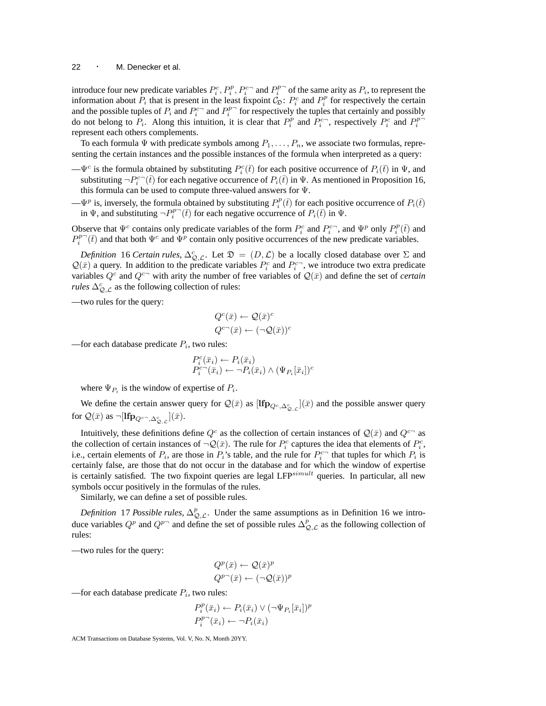introduce four new predicate variables  $P_i^c, P_i^p, P_i^{c-}$  and  $P_i^{p-}$  of the same arity as  $P_i$ , to represent the information about  $P_i$  that is present in the least fixpoint  $\mathcal{C}_{\mathfrak{D}}$ :  $P_i^c$  and  $P_i^p$  for respectively the certain and the possible tuples of  $P_i$  and  $P_i^{c-}$  and  $P_i^{p-}$  for respectively the tuples that certainly and possibly do not belong to  $P_i$ . Along this intuition, it is clear that  $P_i^p$  and  $P_i^{c-}$ , respectively  $P_i^c$  and  $P_i^{p-}$ represent each others complements.

To each formula  $\Psi$  with predicate symbols among  $P_1, \ldots, P_n$ , we associate two formulas, representing the certain instances and the possible instances of the formula when interpreted as a query:

- $-\Psi^c$  is the formula obtained by substituting  $P_i^c(\bar{t})$  for each positive occurrence of  $P_i(\bar{t})$  in  $\Psi$ , and substituting  $\neg P_i^{c-}(\bar{t})$  for each negative occurrence of  $P_i(\bar{t})$  in  $\Psi$ . As mentioned in Proposition 16, this formula can be used to compute three-valued answers for Ψ.
- $-\Psi^p$  is, inversely, the formula obtained by substituting  $P_i^p(\bar{t})$  for each positive occurrence of  $P_i(\bar{t})$ in  $\Psi$ , and substituting  $\neg P_i^{p\rightarrow}(\bar{t})$  for each negative occurrence of  $P_i(\bar{t})$  in  $\Psi$ .

Observe that  $\Psi^c$  contains only predicate variables of the form  $P_i^c$  and  $P_i^{c-}$ , and  $\Psi^p$  only  $P_i^p(\bar{t})$  and  $P_i^{p-}(\bar{t})$  and that both  $\Psi^c$  and  $\Psi^p$  contain only positive occurrences of the new predicate variables.

*Definition* 16 *Certain rules*,  $\Delta_{Q,\mathcal{L}}^c$ . Let  $\mathfrak{D} = (D,\mathcal{L})$  be a locally closed database over  $\Sigma$  and  $\mathcal{Q}(\bar{x})$  a query. In addition to the predicate variables  $P_i^c$  and  $P_i^{c-}$ , we introduce two extra predicate variables  $Q^c$  and  $Q^{c-}$  with arity the number of free variables of  $\mathcal{Q}(\bar{x})$  and define the set of *certain rules*  $\Delta_{\mathcal{Q},\mathcal{L}}^c$  as the following collection of rules:

—two rules for the query:

$$
Q^c(\bar{x}) \leftarrow \mathcal{Q}(\bar{x})^c
$$
  

$$
Q^{c-\gamma}(\bar{x}) \leftarrow (\neg \mathcal{Q}(\bar{x}))^c
$$

—for each database predicate  $P_i$ , two rules:

$$
P_i^c(\bar{x}_i) \leftarrow P_i(\bar{x}_i)
$$
  

$$
P_i^{c}(\bar{x}_i) \leftarrow \neg P_i(\bar{x}_i) \land (\Psi_{P_i}[\bar{x}_i])^c
$$

where  $\Psi_{P_i}$  is the window of expertise of  $P_i$ .

We define the certain answer query for  $Q(\bar{x})$  as  $[\text{Ifp}_{Q^c,\Delta_{\mathcal{Q},\mathcal{L}}^c}](\bar{x})$  and the possible answer query for  $\mathcal{Q}(\bar{x})$  as  $\neg[\mathbf{Ifp}_{Q^{c-},\Delta_{\mathcal{Q},\mathcal{L}}^c}](\bar{x})$ .

Intuitively, these definitions define  $Q^c$  as the collection of certain instances of  $\mathcal{Q}(\bar{x})$  and  $Q^{c-}$  as the collection of certain instances of  $\neg Q(\bar{x})$ . The rule for  $P_i^c$  captures the idea that elements of  $P_i^c$ , i.e., certain elements of  $P_i$ , are those in  $P_i$ 's table, and the rule for  $P_i^{c-}$  that tuples for which  $P_i$  is certainly false, are those that do not occur in the database and for which the window of expertise is certainly satisfied. The two fixpoint queries are legal LFP $^{simult}$  queries. In particular, all new symbols occur positively in the formulas of the rules.

Similarly, we can define a set of possible rules.

*Definition* 17 *Possible rules*,  $\Delta_{\mathcal{Q},\mathcal{L}}^p$ . Under the same assumptions as in Definition 16 we introduce variables  $Q^p$  and  $Q^{p-}$  and define the set of possible rules  $\Delta_{Q,\mathcal{L}}^p$  as the following collection of rules:

—two rules for the query:

$$
Q^{p}(\bar{x}) \leftarrow \mathcal{Q}(\bar{x})^{p}
$$

$$
Q^{p}(\bar{x}) \leftarrow (\neg \mathcal{Q}(\bar{x}))^{p}
$$

—for each database predicate  $P_i$ , two rules:

$$
P_i^p(\bar{x}_i) \leftarrow P_i(\bar{x}_i) \vee (\neg \Psi_{P_i}[\bar{x}_i])^p
$$
  

$$
P_i^{p-}(\bar{x}_i) \leftarrow \neg P_i(\bar{x}_i)
$$

ACM Transactions on Database Systems, Vol. V, No. N, Month 20YY.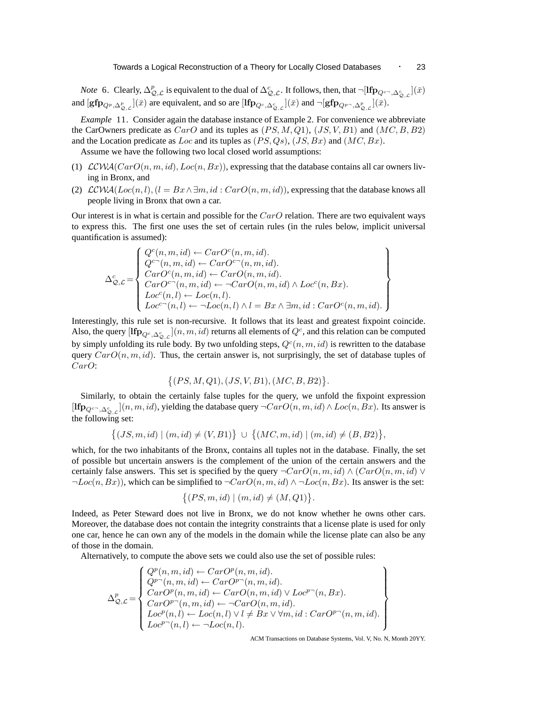*Note* 6. Clearly,  $\Delta_{\mathcal{Q},\mathcal{L}}^p$  is equivalent to the dual of  $\Delta_{\mathcal{Q},\mathcal{L}}^c$ . It follows, then, that  $\neg[\mathbf{Ifp}_{Q^{c-},\Delta_{\mathcal{Q},\mathcal{L}}^c}](\bar{x})$ and  $[gfp_{Q^p,\Delta^p_{Q,\mathcal{L}}]}(\bar{x})$  are equivalent, and so are  $[Ifp_{Q^c,\Delta^c_{Q,\mathcal{L}}]}(\bar{x})$  and  $\neg [gfp_{Q^{p-},\Delta^p_{Q,\mathcal{L}}]}(\bar{x})$ .

*Example* 11. Consider again the database instance of Example 2. For convenience we abbreviate the CarOwners predicate as  $CarO$  and its tuples as  $(PS, M, Q1), (JS, V, B1)$  and  $(MC, B, B2)$ and the Location predicate as Loc and its tuples as  $(PS, Qs)$ ,  $(JS, Bx)$  and  $(MC, Bx)$ .

Assume we have the following two local closed world assumptions:

- (1)  $\mathcal{LCWA}(CarO(n, m, id), Loc(n, Bx))$ , expressing that the database contains all car owners living in Bronx, and
- (2)  $\mathcal{LCWA}(Loc(n, l), (l = Bx \land \exists m, id : CarO(n, m, id))$ , expressing that the database knows all people living in Bronx that own a car.

Our interest is in what is certain and possible for the  $CarO$  relation. There are two equivalent ways to express this. The first one uses the set of certain rules (in the rules below, implicit universal quantification is assumed):

$$
\Delta_{\mathcal{Q},\mathcal{L}}^c = \begin{cases}\nQ^c(n,m, id) \leftarrow CarO^c(n,m, id).\n\cr Q^{c\frown}(n,m, id) \leftarrow CarO^{c\frown}(n,m, id).\n\cr CarO^c(n,m, id) \leftarrow CarO(n,m, id).\n\cr CarO^{c\frown}(n,m, id) \leftarrow \neg CarO(n,m, id) \land Loc^c(n,Bx).\n\cr Loc^c(n,l) \leftarrow Loc(n,l).\n\cr Loc^{c\frown}(n,l) \leftarrow \neg Loc(n,l) \land l = Bx \land \exists m, id : CarO^c(n,m, id).\n\end{cases}
$$

Interestingly, this rule set is non-recursive. It follows that its least and greatest fixpoint coincide. Also, the query  $[\mathbf{Ifp}_{Q^c,\Delta_{\mathcal{Q},\mathcal{L}}^c}](n,m,id)$  returns all elements of  $Q^c$ , and this relation can be computed by simply unfolding its rule body. By two unfolding steps,  $Q^c(n, m, id)$  is rewritten to the database query  $CarO(n, m, id)$ . Thus, the certain answer is, not surprisingly, the set of database tuples of CarO:

$$
{(PS, M, Q1), (JS, V, B1), (MC, B, B2)}.
$$

Similarly, to obtain the certainly false tuples for the query, we unfold the fixpoint expression [lf $\mathbf{p}_{Q^{c-},\Delta_{\mathcal{Q},\mathcal{L}}^c}$ ] $(n,m,id)$ , yielding the database query ¬ $CarO(n,m,id) \wedge Loc(n,Bx)$ . Its answer is the following set:

$$
\{(JS, m, id) \mid (m, id) \neq (V, B1)\} \cup \{(MC, m, id) \mid (m, id) \neq (B, B2)\},\
$$

which, for the two inhabitants of the Bronx, contains all tuples not in the database. Finally, the set of possible but uncertain answers is the complement of the union of the certain answers and the certainly false answers. This set is specified by the query  $\neg CarO(n, m, id) \wedge (CarO(n, m, id) \vee$  $\neg Loc(n, Bx)$ , which can be simplified to  $\neg CarO(n, m, id) \wedge \neg Loc(n, Bx)$ . Its answer is the set:

$$
\{(PS, m, id) \mid (m, id) \neq (M, Q1)\}.
$$

Indeed, as Peter Steward does not live in Bronx, we do not know whether he owns other cars. Moreover, the database does not contain the integrity constraints that a license plate is used for only one car, hence he can own any of the models in the domain while the license plate can also be any of those in the domain.

Alternatively, to compute the above sets we could also use the set of possible rules:

$$
\Delta_{\mathcal{Q},\mathcal{L}}^{p} = \left\{\n\begin{array}{l}\nQ^{p}(n,m,id) \leftarrow \operatorname{CarO}^{p}(n,m,id). \\
Q^{p}^{-}(n,m,id) \leftarrow \operatorname{CarO}^{p-}(n,m,id). \\
\operatorname{CarO}^{p}(n,m,id) \leftarrow \operatorname{CarO}(n,m,id) \lor \operatorname{Loc}^{p-}(n,Bx). \\
\operatorname{CarO}^{p-}(n,m,id) \leftarrow \neg \operatorname{CarO}(n,m,id). \\
\operatorname{Loc}^{p}(n,l) \leftarrow \operatorname{Loc}(n,l) \lor l \neq Bx \lor \forall m,id : \operatorname{CarO}^{p-}(n,m,id). \\
\operatorname{Loc}^{p-}(n,l) \leftarrow \neg \operatorname{Loc}(n,l).\n\end{array}\n\right\}
$$

ACM Transactions on Database Systems, Vol. V, No. N, Month 20YY.

 $\mathcal{L}$  $\overline{\mathcal{L}}$ 

 $\int$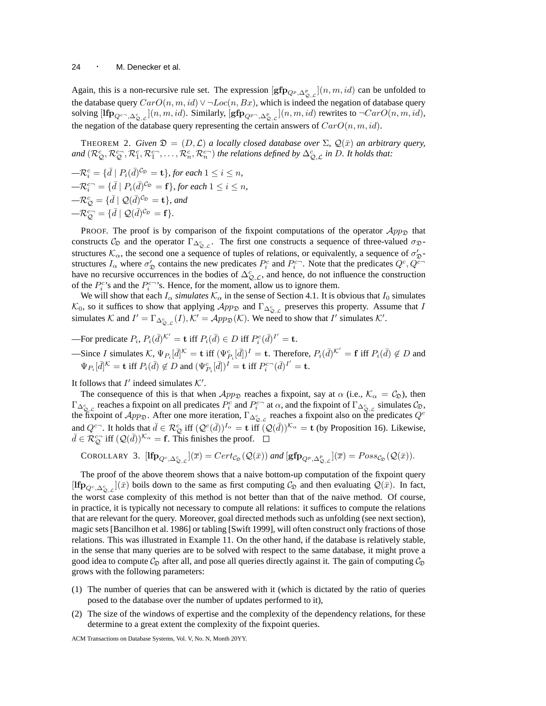Again, this is a non-recursive rule set. The expression  $[\mathbf{gfp}_{Q^p, \Delta^p_{Q,\mathcal{L}}}] (n, m, id)$  can be unfolded to the database query  $CarO(n, m, id) \vee \neg Loc(n, Bx)$ , which is indeed the negation of database query solving  $[\mathbf{lfp}_{Q^{c-}, \Delta_{\mathcal{Q}, \mathcal{L}}^c}](n, m, id)$ . Similarly,  $[\mathbf{gfp}_{Q^{p-}, \Delta_{\mathcal{Q}, \mathcal{L}}^p}](n, m, id)$  rewrites to  $\neg CarO(n, m, id)$ , the negation of the database query representing the certain answers of  $CarO(n, m, id)$ .

THEOREM 2. *Given*  $\mathfrak{D} = (D, \mathcal{L})$  *a locally closed database over*  $\Sigma$ ,  $\mathcal{Q}(\bar{x})$  *an arbitrary query,* and  $(\mathcal{R}_{\mathcal{Q}}^c, \mathcal{R}_{\mathcal{Q}}^{c-}, \mathcal{R}_1^c, \mathcal{R}_1^{c-}, \ldots, \mathcal{R}_n^c, \mathcal{R}_n^{c-})$  the relations defined by  $\Delta_{\mathcal{Q},\mathcal{L}}^c$  in D. It holds that:

 $-\mathcal{R}_i^c = \{\bar{d} \mid P_i(\bar{d})^{c_{\mathfrak{D}}} = \mathbf{t}\},$  for each  $1 \leq i \leq n$ ,  $-\mathcal{R}_i^{c-} = {\{\bar{d} \mid P_i(\bar{d})^{C_{\mathfrak{D}}}} = \mathbf{f}}$ *, for each*  $1 \leq i \leq n$ *,*  $-\mathcal{R}_{\mathcal{Q}}^{c} = \{\bar{d} \mid \mathcal{Q}(\bar{d})^{\mathcal{C}_{\mathfrak{D}}} = \mathbf{t}\},$  and  $-\mathcal{R}_{\mathcal{Q}}^{c-} = {\{\bar{d} \mid \mathcal{Q}(\bar{d})^{\mathcal{C}_{\mathfrak{D}}}} = {\bf f}}.$ 

PROOF. The proof is by comparison of the fixpoint computations of the operator  $App_{\mathcal{D}}$  that constructs  $C_{\mathfrak{D}}$  and the operator  $\Gamma_{\Delta_{\mathcal{Q},\mathcal{L}}^c}$ . The first one constructs a sequence of three-valued  $\sigma_{\mathfrak{D}}$ structures  $\mathcal{K}_\alpha$ , the second one a sequence of tuples of relations, or equivalently, a sequence of  $\sigma'_{\mathfrak{D}}$ structures  $I_\alpha$  where  $\sigma'_\mathfrak{D}$  contains the new predicates  $P_i^c$  and  $P_i^{c-}$ . Note that the predicates  $Q^c, Q^{c-}$ have no recursive occurrences in the bodies of  $\Delta_{\mathcal{Q},\mathcal{L}}^c$ , and hence, do not influence the construction of the  $P_i^{c}$ 's and the  $P_i^{c-}$ 's. Hence, for the moment, allow us to ignore them.

We will show that each  $I_\alpha$  *simulates*  $K_\alpha$  in the sense of Section 4.1. It is obvious that  $I_0$  simulates  $\mathcal{K}_0$ , so it suffices to show that applying  $\mathcal{A}pp_{\mathfrak{D}}$  and  $\Gamma_{\Delta_{\mathcal{Q},\mathcal{L}}^c}$  preserves this property. Assume that I simulates K and  $I' = \Gamma_{\Delta_{\mathcal{Q},\mathcal{L}}^c}(I), \mathcal{K}' = \mathcal{A}pp_{\mathcal{D}}(\mathcal{K})$ . We need to show that I' simulates K'.

—For predicate  $P_i$ ,  $P_i(\bar{d})^{\mathcal{K}'} = \mathbf{t}$  iff  $P_i(\bar{d}) \in D$  iff  $P_i^c(\bar{d})^{I'} = \mathbf{t}$ .

—Since I simulates  $K$ ,  $\Psi_{P_i}[\bar{d}]^{\mathcal{K}} = \mathbf{t}$  iff  $(\Psi_{P_i}^c[\bar{d}])^I = \mathbf{t}$ . Therefore,  $P_i(\bar{d})^{\mathcal{K}'} = \mathbf{f}$  iff  $P_i(\bar{d}) \notin D$  and  $\Psi_{P_i}[\bar d]^{\mathcal{K}} = \mathbf{t} \text{ iff } P_i(\bar d) \not\in D \text{ and } (\Psi^c_{P_i}[\bar d])^I = \mathbf{t} \text{ iff } P^{c\to}_i(\bar d)^{I'} = \mathbf{t}.$ 

It follows that  $I'$  indeed simulates  $K'$ .

The consequence of this is that when  $App_{\mathfrak{D}}$  reaches a fixpoint, say at  $\alpha$  (i.e.,  $\mathcal{K}_{\alpha} = \mathcal{C}_{\mathfrak{D}}$ ), then  $\Gamma_{\Delta_{\mathcal{Q},\mathcal{L}}^c}$  reaches a fixpoint on all predicates  $P_i^c$  and  $P_i^{c-}$  at  $\alpha$ , and the fixpoint of  $\Gamma_{\Delta_{\mathcal{Q},\mathcal{L}}^c}$  simulates  $\mathcal{C}_{\mathfrak{D}},$ the fixpoint of  $App_{\mathfrak{D}}$ . After one more iteration,  $\Gamma_{\Delta_{\mathfrak{D},\mathcal{L}}^c}$  reaches a fixpoint also on the predicates  $Q^c$ and  $Q^{c-}$ . It holds that  $\bar{d} \in \mathcal{R}_{\mathcal{Q}}^c$  iff  $(\mathcal{Q}^c(\bar{d}))^{I_{\alpha}} = \mathbf{t}$  iff  $(\mathcal{Q}(\bar{d}))^{K_{\alpha}} = \mathbf{t}$  (by Proposition 16). Likewise,  $\bar{d} \in \mathcal{R}_{\mathcal{Q}}^{c-}$  iff  $(\mathcal{Q}(\bar{d}))^{\mathcal{K}_{\alpha}} = \mathbf{f}$ . This finishes the proof.

COROLLARY 3.  $[\mathbf{Ifp}_{Q^c,\Delta_{\mathcal{Q},\mathcal{L}}^c}](\overline{x}) = Cert_{\mathcal{C}_{\mathfrak{D}}}(\mathcal{Q}(\overline{x}))$  and  $[\mathbf{gfp}_{Q^p,\Delta_{\mathcal{Q},\mathcal{L}}^p}](\overline{x}) = Poss_{\mathcal{C}_{\mathfrak{D}}}(\mathcal{Q}(\overline{x})).$ 

The proof of the above theorem shows that a naive bottom-up computation of the fixpoint query [lfp<sub>Q<sup>c</sup>, $\Delta_{\mathcal{Q},\mathcal{L}}^c$ ]</sub>( $\bar{x}$ ) boils down to the same as first computing  $\mathcal{C}_{\mathfrak{D}}$  and then evaluating  $\mathcal{Q}(\bar{x})$ . In fact, the worst case complexity of this method is not better than that of the naive method. Of course, in practice, it is typically not necessary to compute all relations: it suffices to compute the relations that are relevant for the query. Moreover, goal directed methods such as unfolding (see next section), magic sets [Bancilhon et al. 1986] or tabling [Swift 1999], will often construct only fractions of those relations. This was illustrated in Example 11. On the other hand, if the database is relatively stable, in the sense that many queries are to be solved with respect to the same database, it might prove a good idea to compute  $\mathcal{C}_{\mathfrak{D}}$  after all, and pose all queries directly against it. The gain of computing  $\mathcal{C}_{\mathfrak{D}}$ grows with the following parameters:

- (1) The number of queries that can be answered with it (which is dictated by the ratio of queries posed to the database over the number of updates performed to it),
- (2) The size of the windows of expertise and the complexity of the dependency relations, for these determine to a great extent the complexity of the fixpoint queries.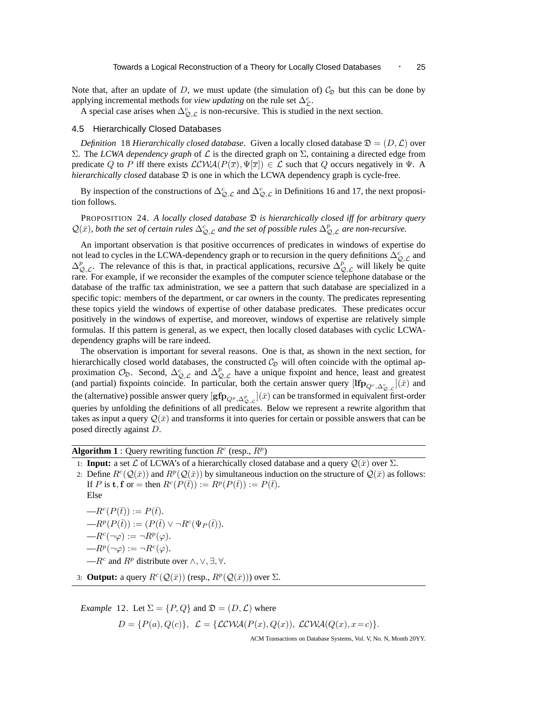Note that, after an update of D, we must update (the simulation of)  $\mathcal{C}_{\mathfrak{D}}$  but this can be done by applying incremental methods for *view updating* on the rule set  $\Delta_{\mathcal{L}}^c$ .

A special case arises when  $\Delta_{\mathcal{Q},\mathcal{L}}^c$  is non-recursive. This is studied in the next section.

#### 4.5 Hierarchically Closed Databases

*Definition* 18 *Hierarchically closed database*. Given a locally closed database  $\mathfrak{D} = (D, \mathcal{L})$  over Σ. The *LCWA dependency graph* of L is the directed graph on Σ, containing a directed edge from predicate Q to P iff there exists  $\mathcal{LCWA}(P(\overline{x}), \Psi[\overline{x}]) \in \mathcal{L}$  such that Q occurs negatively in  $\Psi$ . A *hierarchically closed* database  $\mathfrak D$  is one in which the LCWA dependency graph is cycle-free.

By inspection of the constructions of  $\Delta_{\mathcal{Q},\mathcal{L}}^c$  and  $\Delta_{\mathcal{Q},\mathcal{L}}^c$  in Definitions 16 and 17, the next proposition follows.

PROPOSITION 24. *A locally closed database*  $\mathfrak D$  *is hierarchically closed iff for arbitrary query*  $\mathcal{Q}(\bar{x})$ , both the set of certain rules  $\Delta_{\mathcal{Q},\mathcal{L}}^c$  and the set of possible rules  $\Delta_{\mathcal{Q},\mathcal{L}}^p$  are non-recursive.

An important observation is that positive occurrences of predicates in windows of expertise do not lead to cycles in the LCWA-dependency graph or to recursion in the query definitions  $\Delta_{\mathcal{Q},\mathcal{L}}^c$  and  $\Delta_{Q,\mathcal{L}}^p$ . The relevance of this is that, in practical applications, recursive  $\Delta_{Q,\mathcal{L}}^p$  will likely be quite rare. For example, if we reconsider the examples of the computer science telephone database or the database of the traffic tax administration, we see a pattern that such database are specialized in a specific topic: members of the department, or car owners in the county. The predicates representing these topics yield the windows of expertise of other database predicates. These predicates occur positively in the windows of expertise, and moreover, windows of expertise are relatively simple formulas. If this pattern is general, as we expect, then locally closed databases with cyclic LCWAdependency graphs will be rare indeed.

The observation is important for several reasons. One is that, as shown in the next section, for hierarchically closed world databases, the constructed  $C_{\mathfrak{D}}$  will often coincide with the optimal approximation  $\mathcal{O}_{\mathfrak{D}}$ . Second,  $\Delta_{\mathcal{Q},\mathcal{L}}^c$  and  $\Delta_{\mathcal{Q},\mathcal{L}}^p$  have a unique fixpoint and hence, least and greatest (and partial) fixpoints coincide. In particular, both the certain answer query  $[\text{Ifp}_{Q^c,\Delta_{\mathcal{Q},\mathcal{L}}^c}](\bar{x})$  and the (alternative) possible answer query  $[\bf{gfp}_{Q^p, \Delta^p_{Q,\mathcal{L}}}] (\bar{x})$  can be transformed in equivalent first-order queries by unfolding the definitions of all predicates. Below we represent a rewrite algorithm that takes as input a query  $\mathcal{Q}(\bar{x})$  and transforms it into queries for certain or possible answers that can be posed directly against D.

**Algorithm 1** : Query rewriting function  $R^c$  (resp.,  $R^p$ )

1: **Input:** a set  $\mathcal L$  of LCWA's of a hierarchically closed database and a query  $\mathcal Q(\bar x)$  over  $\Sigma$ .

2: Define  $R^c(\mathcal{Q}(\bar{x}))$  and  $R^p(\mathcal{Q}(\bar{x}))$  by simultaneous induction on the structure of  $\mathcal{Q}(\bar{x})$  as follows: If P is **t**, **f** or = then  $R^c(P(\bar{t})) := R^p(P(\bar{t})) := P(\bar{t}).$ Else

 $-R^c(P(\bar{t})) := P(\bar{t}).$  $-R^p(P(\bar{t})) := (P(\bar{t}) \vee \neg R^c(\Psi_P(\bar{t})).$  $-R^{c}(\neg\varphi) := \neg R^{p}(\varphi).$  $-R^p(\neg \varphi) := \neg R^c(\varphi).$ 

— $R^c$  and  $R^p$  distribute over  $\wedge$ ,  $\vee$ ,  $\exists$ ,  $\forall$ .

3: **Output:** a query  $R^c(\mathcal{Q}(\bar{x}))$  (resp.,  $R^p(\mathcal{Q}(\bar{x})))$  over  $\Sigma$ .

*Example* 12. Let  $\Sigma = \{P, Q\}$  and  $\mathfrak{D} = (D, \mathcal{L})$  where  $D = {P(a), Q(c)}, \mathcal{L} = {LCWA(P(x), Q(x)), LCWA(Q(x), x=c)}.$ ACM Transactions on Database Systems, Vol. V, No. N, Month 20YY.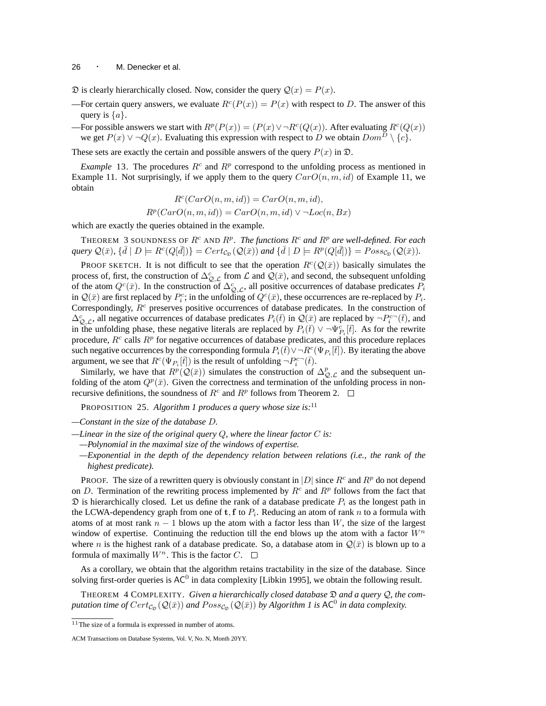$\mathfrak D$  is clearly hierarchically closed. Now, consider the query  $\mathcal Q(x) = P(x)$ .

- —For certain query answers, we evaluate  $R^{c}(P(x)) = P(x)$  with respect to D. The answer of this query is  $\{a\}$ .
- —For possible answers we start with  $R^p(P(x)) = (P(x) \vee \neg R^c(Q(x))$ . After evaluating  $R^c(Q(x))$ we get  $P(x) \vee \neg Q(x)$ . Evaluating this expression with respect to D we obtain  $Dom^D \setminus \{c\}$ .

These sets are exactly the certain and possible answers of the query  $P(x)$  in  $\mathfrak{D}$ .

*Example* 13. The procedures  $R^c$  and  $R^p$  correspond to the unfolding process as mentioned in Example 11. Not surprisingly, if we apply them to the query  $CarO(n, m, id)$  of Example 11, we obtain

$$
R^c(CarO(n,m,id)) = CarO(n,m,id),
$$

$$
Rp(CarO(n, m, id)) = CarO(n, m, id) \lor \neg Loc(n, Bx)
$$

which are exactly the queries obtained in the example.

THEOREM 3 SOUNDNESS OF  $R^c$  AND  $R^p$ . *The functions*  $R^c$  *and*  $R^p$  *are well-defined. For each*  $query \mathcal{Q}(\bar{x}), \{\bar{d} \mid D \models R^c(Q[\bar{d}])\} = Certz_{\mathcal{Q}}(\mathcal{Q}(\bar{x}))$  and  $\{\bar{d} \mid D \models R^p(Q[\bar{d}])\} = Poss_{\mathcal{C}_{\mathcal{D}}}(\mathcal{Q}(\bar{x})).$ 

PROOF SKETCH. It is not difficult to see that the operation  $R^{c}(\mathcal{Q}(\bar{x}))$  basically simulates the process of, first, the construction of  $\Delta_{\mathcal{Q},\mathcal{L}}^c$  from  $\mathcal{L}$  and  $\mathcal{Q}(\bar{x})$ , and second, the subsequent unfolding of the atom  $Q^c(\bar{x})$ . In the construction of  $\Delta_{\mathcal{Q},\mathcal{L}}^c$ , all positive occurrences of database predicates  $P_i$ in  $\mathcal{Q}(\bar{x})$  are first replaced by  $P_i^c$ ; in the unfolding of  $Q^c(\bar{x})$ , these occurrences are re-replaced by  $P_i$ . Correspondingly,  $R<sup>c</sup>$  preserves positive occurrences of database predicates. In the construction of  $\Delta_{\mathcal{Q},\mathcal{L}}^c$ , all negative occurrences of database predicates  $P_i(\bar{t})$  in  $\mathcal{Q}(\bar{x})$  are replaced by  $\neg P_i^{c-}(\bar{t})$ , and in the unfolding phase, these negative literals are replaced by  $P_i(\bar{t}) \vee \neg \Psi_{P_i}^c[\bar{t}]$ . As for the rewrite procedure,  $R<sup>c</sup>$  calls  $R<sup>p</sup>$  for negative occurrences of database predicates, and this procedure replaces such negative occurrences by the corresponding formula  $P_i(\bar{t}) \vee \neg R^c(\Psi_{P_i}[\bar{t}])$ . By iterating the above argument, we see that  $R^c(\Psi_{P_i}[\bar{t}])$  is the result of unfolding  $\neg P_i^{c}(\bar{t})$ .

Similarly, we have that  $R^p(Q(\bar{x}))$  simulates the construction of  $\Delta^p_{Q,\mathcal{L}}$  and the subsequent unfolding of the atom  $Q^p(\bar{x})$ . Given the correctness and termination of the unfolding process in nonrecursive definitions, the soundness of  $R^c$  and  $R^p$  follows from Theorem 2.

PROPOSITION 25. *Algorithm 1 produces a query whose size is:*<sup>11</sup>

- *—Constant in the size of the database* D*.*
- *—Linear in the size of the original query* Q*, where the linear factor* C *is:*
	- *—Polynomial in the maximal size of the windows of expertise.*
	- *—Exponential in the depth of the dependency relation between relations (i.e., the rank of the highest predicate).*

PROOF. The size of a rewritten query is obviously constant in |D| since  $R^c$  and  $R^p$  do not depend on D. Termination of the rewriting process implemented by  $R<sup>c</sup>$  and  $R<sup>p</sup>$  follows from the fact that  $\mathfrak D$  is hierarchically closed. Let us define the rank of a database predicate  $P_i$  as the longest path in the LCWA-dependency graph from one of **t**, **f** to  $P_i$ . Reducing an atom of rank n to a formula with atoms of at most rank  $n - 1$  blows up the atom with a factor less than W, the size of the largest window of expertise. Continuing the reduction till the end blows up the atom with a factor  $W<sup>n</sup>$ where *n* is the highest rank of a database predicate. So, a database atom in  $\mathcal{Q}(\bar{x})$  is blown up to a formula of maximally  $W^n$ . This is the factor  $C$ .  $\square$ 

As a corollary, we obtain that the algorithm retains tractability in the size of the database. Since solving first-order queries is  $AC^0$  in data complexity [Libkin 1995], we obtain the following result.

THEOREM 4 COMPLEXITY. *Given a hierarchically closed database* D *and a query* Q*, the com*putation time of  $Cert_{\mathcal{C}_{\mathfrak{D}}}(\mathcal{Q}(\bar{x}))$  and  $Poss_{\mathcal{C}_{\mathfrak{D}}}(\mathcal{Q}(\bar{x}))$  by Algorithm 1 is AC<sup>0</sup> in data complexity.

<sup>&</sup>lt;sup>11</sup>The size of a formula is expressed in number of atoms.

ACM Transactions on Database Systems, Vol. V, No. N, Month 20YY.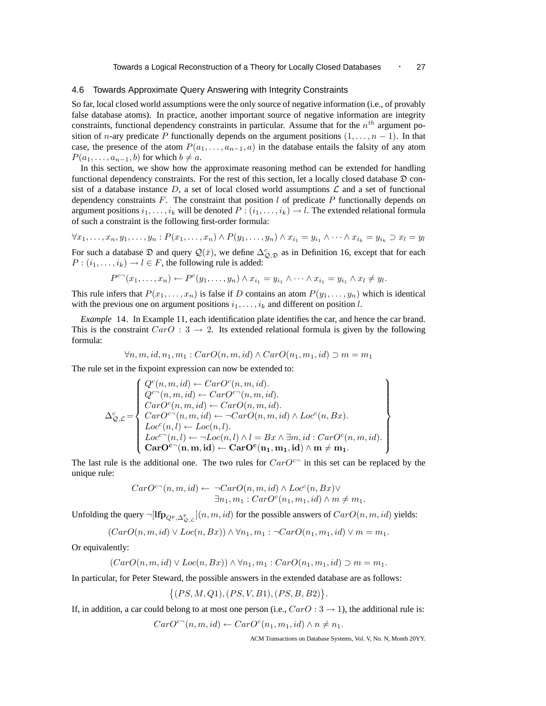### 4.6 Towards Approximate Query Answering with Integrity Constraints

So far, local closed world assumptions were the only source of negative information (i.e., of provably false database atoms). In practice, another important source of negative information are integrity constraints, functional dependency constraints in particular. Assume that for the  $n^{th}$  argument position of n-ary predicate P functionally depends on the argument positions  $(1, \ldots, n-1)$ . In that case, the presence of the atom  $P(a_1, \ldots, a_{n-1}, a)$  in the database entails the falsity of any atom  $P(a_1, \ldots, a_{n-1}, b)$  for which  $b \neq a$ .

In this section, we show how the approximate reasoning method can be extended for handling functional dependency constraints. For the rest of this section, let a locally closed database  $\mathfrak D$  consist of a database instance  $D$ , a set of local closed world assumptions  $\mathcal L$  and a set of functional dependency constraints  $F$ . The constraint that position  $l$  of predicate  $P$  functionally depends on argument positions  $i_1, \ldots, i_k$  will be denoted  $P : (i_1, \ldots, i_k) \to l$ . The extended relational formula of such a constraint is the following first-order formula:

$$
\forall x_1, \ldots, x_n, y_1, \ldots, y_n : P(x_1, \ldots, x_n) \wedge P(y_1, \ldots, y_n) \wedge x_{i_1} = y_{i_1} \wedge \cdots \wedge x_{i_k} = y_{i_k} \supset x_l = y_l
$$

For such a database  $\mathfrak D$  and query  $\mathcal Q(\bar x)$ , we define  $\Delta_{\mathcal Q,\mathfrak D}^c$  as in Definition 16, except that for each  $P: (i_1, \ldots, i_k) \to l \in F$ , the following rule is added:

$$
P^{c-}(x_1,\ldots,x_n)\leftarrow P^{c}(y_1,\ldots,y_n)\wedge x_{i_1}=y_{i_1}\wedge\cdots\wedge x_{i_1}=y_{i_1}\wedge x_i\neq y_i.
$$

This rule infers that  $P(x_1, \ldots, x_n)$  is false if D contains an atom  $P(y_1, \ldots, y_n)$  which is identical with the previous one on argument positions  $i_1, \ldots, i_k$  and different on position l.

*Example* 14. In Example 11, each identification plate identifies the car, and hence the car brand. This is the constraint  $CarO: 3 \rightarrow 2$ . Its extended relational formula is given by the following formula:

$$
\forall n, m, id, n_1, m_1 : CarO(n, m, id) \land CarO(n_1, m_1, id) \supset m = m_1
$$

The rule set in the fixpoint expression can now be extended to:

$$
\Delta_{\mathcal{Q},\mathcal{L}}^c = \begin{cases} Q^c(n,m, id) \leftarrow CarO^c(n,m, id). \\ Q^{c-}(n,m, id) \leftarrow CarO^{c-}(n,m, id). \\ CarO^c(n,m, id) \leftarrow CarO(n,m, id). \\ CarO^{c-}(n,m, id) \leftarrow \neg CarO(n,m, id) \wedge Loc^c(n,Bx). \\ Loc^c(n,l) \leftarrow Loc(n,l). \\ Loc^{c-}(n,l) \leftarrow \neg Loc(n,l) \wedge l = Bx \wedge \exists m, id : CarO^c(n,m, id). \\ \textbf{CarO}^{c-}(n,m, id) \leftarrow \textbf{CarO}^c(n,m, id) \wedge m \neq m_1. \end{cases}
$$

The last rule is the additional one. The two rules for  $CarO<sup>c</sup>$  in this set can be replaced by the unique rule:

$$
CarO^{c-}(n, m, id) \leftarrow \neg CarO(n, m, id) \land Loc^{c}(n, Bx) \lor \exists n_1, m_1 : CarO^{c}(n_1, m_1, id) \land m \neq m_1.
$$

Unfolding the query  $\neg[\mathbf{Ifp}_{Q^p, \Delta^p_{Q, \mathcal{L}} }](n, m, id)$  for the possible answers of  $CarO(n, m, id)$  yields:

 $(CarO(n, m, id) \vee Loc(n, Bx)) \wedge \forall n_1, m_1 : \neg CarO(n_1, m_1, id) \vee m = m_1.$ 

Or equivalently:

$$
(CarO(n, m, id) \lor Loc(n, Bx)) \land \forall n_1, m_1 : CarO(n_1, m_1, id) \supset m = m_1.
$$

In particular, for Peter Steward, the possible answers in the extended database are as follows:

$$
\{(PS, M, Q1), (PS, V, B1), (PS, B, B2)\}.
$$

If, in addition, a car could belong to at most one person (i.e.,  $CarO: 3 \rightarrow 1$ ), the additional rule is:

 $CarO<sup>c</sup>\neg (n, m, id) \leftarrow CarO<sup>c</sup>(n_1, m_1, id) \wedge n \neq n_1.$ 

ACM Transactions on Database Systems, Vol. V, No. N, Month 20YY.

 $\mathcal{L}$ 

 $\overline{\mathcal{L}}$ 

 $\int$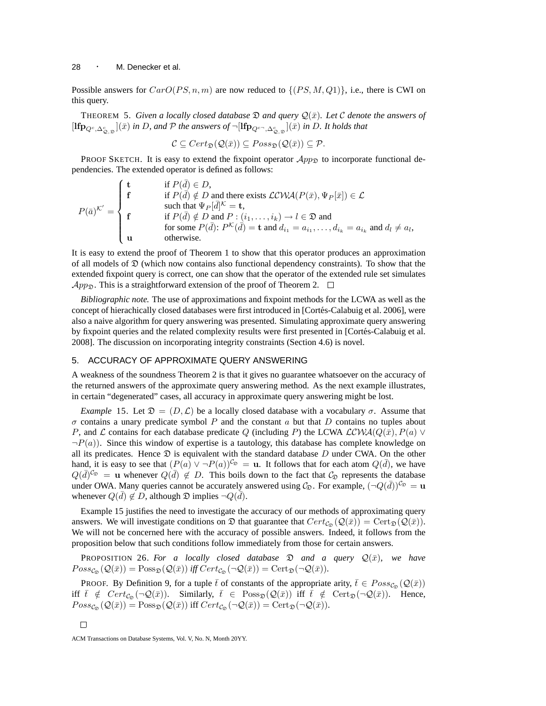Possible answers for  $CarO(PS, n, m)$  are now reduced to  $\{ (PS, M, Q1) \}$ , i.e., there is CWI on this query.

**THEOREM 5.** Given a locally closed database  $\mathfrak{D}$  and query  $\mathcal{Q}(\bar{x})$ . Let C denote the answers of  $[\mathop{\rm Ifp}\nolimits_{Q^c,\Delta_{\mathcal{Q},\mathfrak{D}}^c}](\bar{x})$  *in D, and*  $\mathcal P$  *the answers of*  $\neg[\mathop{\rm Ifp}\nolimits_{Q^{c-},\Delta_{\mathcal{Q},\mathfrak{D}}^c}](\bar{x})$  *in D. It holds that* 

$$
\mathcal{C} \subseteq \mathit{Cert}_{\mathfrak{D}}(\mathcal{Q}(\bar{x})) \subseteq \mathit{Poss}_{\mathfrak{D}}(\mathcal{Q}(\bar{x})) \subseteq \mathcal{P}.
$$

PROOF SKETCH. It is easy to extend the fixpoint operator  $App_{\mathcal{D}}$  to incorporate functional dependencies. The extended operator is defined as follows:

$$
P(\bar{a})^{K'} = \begin{cases} \mathbf{t} & \text{if } P(\bar{d}) \in D, \\ \mathbf{f} & \text{if } P(\bar{d}) \notin D \text{ and there exists } \mathcal{LCWA}(P(\bar{x}), \Psi_P[\bar{x}]) \in \mathcal{L} \\ & \text{such that } \Psi_P[\bar{d}]^{K} = \mathbf{t}, \\ \mathbf{f} & \text{if } P(\bar{d}) \notin D \text{ and } P : (i_1, \ldots, i_k) \to l \in \mathfrak{D} \text{ and} \\ & \text{for some } P(\bar{d}) \colon P^{K}(\bar{d}) = \mathbf{t} \text{ and } d_{i_1} = a_{i_1}, \ldots, d_{i_k} = a_{i_k} \text{ and } d_l \neq a_l, \\ \mathbf{u} & \text{otherwise.} \end{cases}
$$

It is easy to extend the proof of Theorem 1 to show that this operator produces an approximation of all models of  $\mathfrak D$  (which now contains also functional dependency constraints). To show that the extended fixpoint query is correct, one can show that the operator of the extended rule set simulates  $App_{\mathfrak{D}}$ . This is a straightforward extension of the proof of Theorem 2.  $\Box$ 

*Bibliographic note.* The use of approximations and fixpoint methods for the LCWA as well as the concept of hierachically closed databases were first introduced in [Cortes-Calabuig et al. 2006], were ´ also a naive algorithm for query answering was presented. Simulating approximate query answering by fixpoint queries and the related complexity results were first presented in [Cortés-Calabuig et al. 2008]. The discussion on incorporating integrity constraints (Section 4.6) is novel.

#### 5. ACCURACY OF APPROXIMATE QUERY ANSWERING

A weakness of the soundness Theorem 2 is that it gives no guarantee whatsoever on the accuracy of the returned answers of the approximate query answering method. As the next example illustrates, in certain "degenerated" cases, all accuracy in approximate query answering might be lost.

*Example* 15. Let  $\mathfrak{D} = (D, \mathcal{L})$  be a locally closed database with a vocabulary  $\sigma$ . Assume that  $\sigma$  contains a unary predicate symbol P and the constant a but that D contains no tuples about P, and L contains for each database predicate Q (including P) the LCWA  $\mathcal{LCWA}(Q(\bar{x}), P(a) \vee P(a))$  $\neg P(a)$ ). Since this window of expertise is a tautology, this database has complete knowledge on all its predicates. Hence  $\mathfrak D$  is equivalent with the standard database D under CWA. On the other hand, it is easy to see that  $(P(a) \vee \neg P(a))^{\mathcal{C}_{\mathfrak{D}}} = \mathbf{u}$ . It follows that for each atom  $Q(\bar{d})$ , we have  $Q(\bar{d})^{\mathcal{C}_{\mathfrak{D}}} = \mathbf{u}$  whenever  $Q(\bar{d}) \notin D$ . This boils down to the fact that  $\mathcal{C}_{\mathfrak{D}}$  represents the database under OWA. Many queries cannot be accurately answered using  $C_{\mathfrak{D}}$ . For example,  $(\neg Q(\bar{d}))^{C_{\mathfrak{D}}} = \mathbf{u}$ whenever  $Q(\bar{d}) \notin D$ , although  $\mathfrak D$  implies  $\neg Q(\bar{d})$ .

Example 15 justifies the need to investigate the accuracy of our methods of approximating query answers. We will investigate conditions on  $\mathfrak D$  that guarantee that  $Cert_{\mathcal{C}_{\mathfrak D}}(\mathcal{Q}(\bar x)) = \text{Cert}_{\mathfrak D}(\mathcal{Q}(\bar x)).$ We will not be concerned here with the accuracy of possible answers. Indeed, it follows from the proposition below that such conditions follow immediately from those for certain answers.

PROPOSITION 26. For a locally closed database  $\mathfrak D$  and a query  $\mathcal Q(\bar x)$ , we have  $Poss_{\mathcal{C}_{\mathfrak{D}}}(\mathcal{Q}(\bar{x})) = Poss_{\mathfrak{D}}(\mathcal{Q}(\bar{x}))$  *iff*  $Cert_{\mathcal{C}_{\mathfrak{D}}}(\neg \mathcal{Q}(\bar{x}))$  = Cert<sub> $\mathfrak{D}(\neg \mathcal{Q}(\bar{x}))$ *.*</sub>

PROOF. By Definition 9, for a tuple  $\bar{t}$  of constants of the appropriate arity,  $\bar{t} \in Poss_{\mathcal{C}_{\mathcal{D}}}(\mathcal{Q}(\bar{x}))$ iff  $\bar{t} \notin \text{Cert}_{\mathcal{C}_\mathcal{D}}(\neg \mathcal{Q}(\bar{x}))$ . Similarly,  $\bar{t} \in \text{Poss}_{\mathcal{D}}(\mathcal{Q}(\bar{x}))$  iff  $\bar{t} \notin \text{Cert}_{\mathcal{D}}(\neg \mathcal{Q}(\bar{x}))$ . Hence,  $Poss_{\mathcal{C}_{\mathfrak{D}}}(\mathcal{Q}(\bar{x})) = Poss_{\mathfrak{D}}(\mathcal{Q}(\bar{x}))$  iff  $Cert_{\mathcal{C}_{\mathfrak{D}}}(\neg \mathcal{Q}(\bar{x})) = Cert_{\mathfrak{D}}(\neg \mathcal{Q}(\bar{x})).$ 

 $\Box$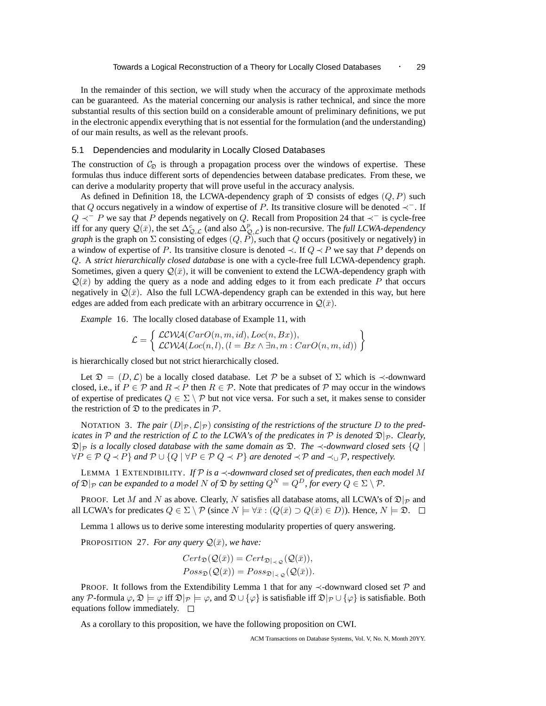In the remainder of this section, we will study when the accuracy of the approximate methods can be guaranteed. As the material concerning our analysis is rather technical, and since the more substantial results of this section build on a considerable amount of preliminary definitions, we put in the electronic appendix everything that is not essential for the formulation (and the understanding) of our main results, as well as the relevant proofs.

#### 5.1 Dependencies and modularity in Locally Closed Databases

The construction of  $C_{\mathfrak{D}}$  is through a propagation process over the windows of expertise. These formulas thus induce different sorts of dependencies between database predicates. From these, we can derive a modularity property that will prove useful in the accuracy analysis.

As defined in Definition 18, the LCWA-dependency graph of  $\mathfrak D$  consists of edges  $(Q, P)$  such that Q occurs negatively in a window of expertise of P. Its transitive closure will be denoted  $\prec^-$ . If  $Q \prec^- P$  we say that P depends negatively on Q. Recall from Proposition 24 that  $\prec^-$  is cycle-free iff for any query  $\mathcal{Q}(\bar{x})$ , the set  $\Delta_{\mathcal{Q},\mathcal{L}}^c$  (and also  $\Delta_{\mathcal{Q},\mathcal{L}}^p$ ) is non-recursive. The *full LCWA-dependency graph* is the graph on  $\Sigma$  consisting of edges  $(Q, \overrightarrow{P})$ , such that  $Q$  occurs (positively or negatively) in a window of expertise of P. Its transitive closure is denoted  $\prec$ . If  $Q \prec P$  we say that P depends on Q. A *strict hierarchically closed database* is one with a cycle-free full LCWA-dependency graph. Sometimes, given a query  $\mathcal{Q}(\bar{x})$ , it will be convenient to extend the LCWA-dependency graph with  $\mathcal{Q}(\bar{x})$  by adding the query as a node and adding edges to it from each predicate P that occurs negatively in  $\mathcal{Q}(\bar{x})$ . Also the full LCWA-dependency graph can be extended in this way, but here edges are added from each predicate with an arbitrary occurrence in  $\mathcal{Q}(\bar{x})$ .

*Example* 16. The locally closed database of Example 11, with

$$
\mathcal{L} = \left\{ \begin{array}{l} \mathcal{LCWA}(CarO(n, m, id), Loc(n, Bx)), \\ \mathcal{LCWA}(Loc(n, l), (l = Bx \land \exists n, m : CarO(n, m, id)) \end{array} \right\}
$$

is hierarchically closed but not strict hierarchically closed.

Let  $\mathfrak{D} = (D, \mathcal{L})$  be a locally closed database. Let P be a subset of  $\Sigma$  which is  $\prec$ -downward closed, i.e., if  $P \in \mathcal{P}$  and  $R \prec P$  then  $R \in \mathcal{P}$ . Note that predicates of  $\mathcal{P}$  may occur in the windows of expertise of predicates  $Q \in \Sigma \setminus \mathcal{P}$  but not vice versa. For such a set, it makes sense to consider the restriction of  $\mathfrak D$  to the predicates in  $\mathcal P$ .

NOTATION 3. The pair  $(D|_{\mathcal{P}}, \mathcal{L}|_{\mathcal{P}})$  consisting of the restrictions of the structure D to the pred*icates in* P *and the restriction of* L *to the LCWA's of the predicates in* P *is denoted*  $\mathfrak{D}|_{\mathcal{P}}$ *. Clearly,*  $\mathfrak{D}|_{\mathcal{P}}$  *is a locally closed database with the same domain as*  $\mathfrak{D}$ *. The*  $\prec$ *-downward closed sets*  $\{Q \mid$  $∀P ∈ P Q ∠ P$ *and*  $P ∪ {Q ∣ ∀P ∈ P Q ∠ P}$  *are denoted*  $≺P$  *and*  $≺∪P$ *, respectively.* 

LEMMA 1 EXTENDIBILITY. *If*  $\overline{P}$  *is a*  $\prec$ *-downward closed set of predicates, then each model M of*  $\mathfrak{D}|_{\mathcal{P}}$  *can be expanded to a model* N *of*  $\mathfrak{D}$  *by setting*  $Q^N = Q^D$ *, for every*  $Q \in \Sigma \setminus \mathcal{P}$ *.* 

PROOF. Let M and N as above. Clearly, N satisfies all database atoms, all LCWA's of  $\mathfrak{D}|_{\mathcal{P}}$  and all LCWA's for predicates  $Q \in \Sigma \setminus \mathcal{P}$  (since  $N \models \forall \bar{x} : (Q(\bar{x}) \supset Q(\bar{x}) \in D)$ ). Hence,  $N \models \mathfrak{D}$ .

Lemma 1 allows us to derive some interesting modularity properties of query answering.

PROPOSITION 27. *For any query*  $Q(\bar{x})$ *, we have:* 

$$
Cert_{\mathfrak{D}}(\mathcal{Q}(\bar{x})) = Cert_{\mathfrak{D}|_{\prec \mathcal{Q}}}(\mathcal{Q}(\bar{x})),
$$
  

$$
Poss_{\mathfrak{D}}(\mathcal{Q}(\bar{x})) = Poss_{\mathfrak{D}|_{\prec \mathcal{Q}}}(\mathcal{Q}(\bar{x})).
$$

PROOF. It follows from the Extendibility Lemma 1 that for any  $\prec$ -downward closed set P and any P-formula  $\varphi$ ,  $\mathfrak{D} \models \varphi$  iff  $\mathfrak{D}|_{\mathcal{P}} \models \varphi$ , and  $\mathfrak{D} \cup {\varphi}$  is satisfiable iff  $\mathfrak{D}|_{\mathcal{P}} \cup {\varphi}$  is satisfiable. Both equations follow immediately.  $\square$ 

As a corollary to this proposition, we have the following proposition on CWI.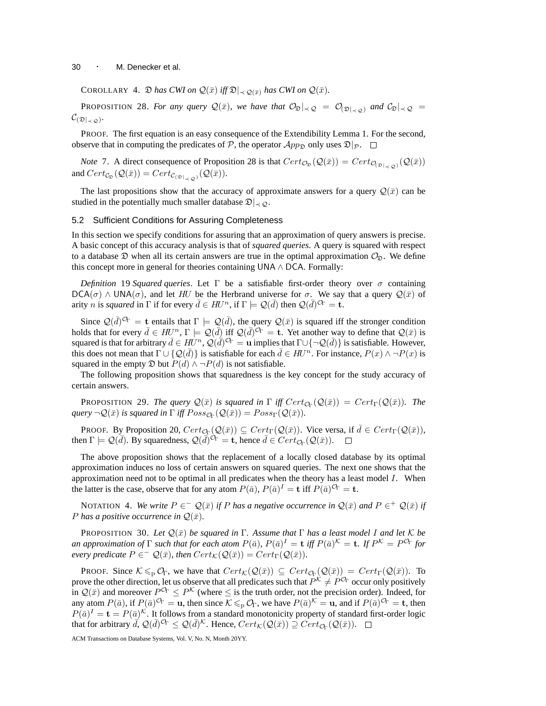COROLLARY 4.  $\mathfrak D$  *has CWI on*  $\mathcal Q(\bar x)$  *iff*  $\mathfrak D|_{\prec O(\bar x)}$  *has CWI on*  $\mathcal Q(\bar x)$ *.* 

PROPOSITION 28. *For any query*  $\mathcal{Q}(\bar{x})$ *, we have that*  $\mathcal{O}_{\mathfrak{D}}|_{\prec \mathcal{Q}} = \mathcal{O}_{(\mathfrak{D}|_{\prec \mathcal{Q}})}$  *and*  $\mathcal{C}_{\mathfrak{D}}|_{\prec \mathcal{Q}} =$  $\mathcal{C}_{(\mathfrak{D}|_{\prec \mathcal{Q}})}.$ 

PROOF. The first equation is an easy consequence of the Extendibility Lemma 1. For the second, observe that in computing the predicates of P, the operator  $App_{\mathcal{D}}$  only uses  $\mathfrak{D}|_{\mathcal{P}}$ .  $\square$ 

*Note* 7. A direct consequence of Proposition 28 is that  $Cert_{\mathcal{O}_{\mathfrak{D}}}(\mathcal{Q}(\bar{x})) = Cert_{\mathcal{O}_{\mathfrak{D}}|\ltq \mathcal{Q}}(\mathcal{Q}(\bar{x}))$ and  $Cert_{\mathcal{C}_{\mathfrak{D}}}(\mathcal{Q}(\bar{x})) = Cert_{\mathcal{C}_{(\mathfrak{D})_{\prec \mathcal{Q}}}}(\mathcal{Q}(\bar{x})).$ 

The last propositions show that the accuracy of approximate answers for a query  $\mathcal{Q}(\bar{x})$  can be studied in the potentially much smaller database  $\mathfrak{D}|_{\prec \mathcal{Q}}$ .

## 5.2 Sufficient Conditions for Assuring Completeness

In this section we specify conditions for assuring that an approximation of query answers is precise. A basic concept of this accuracy analysis is that of *squared queries*. A query is squared with respect to a database  $\mathfrak D$  when all its certain answers are true in the optimal approximation  $\mathcal O_{\mathfrak D}$ . We define this concept more in general for theories containing UNA  $\land$  DCA. Formally:

*Definition* 19 *Squared queries*. Let  $\Gamma$  be a satisfiable first-order theory over  $\sigma$  containing  $DCA(\sigma) \wedge UNA(\sigma)$ , and let HU be the Herbrand universe for  $\sigma$ . We say that a query  $\mathcal{Q}(\bar{x})$  of arity *n* is *squared* in  $\Gamma$  if for every  $\bar{d} \in HU^n$ , if  $\Gamma \models \mathcal{Q}(\bar{d})$  then  $\mathcal{Q}(\bar{d})^{\mathcal{O}_{\Gamma}} = \mathbf{t}$ .

Since  $\mathcal{Q}(\bar{d})^{\mathcal{O}_{\Gamma}} = \mathbf{t}$  entails that  $\Gamma \models \mathcal{Q}(\bar{d})$ , the query  $\mathcal{Q}(\bar{x})$  is squared iff the stronger condition holds that for every  $\bar{d} \in HU^n$ ,  $\Gamma \models Q(\bar{d})$  iff  $Q(\bar{d})^{C_{\Gamma}} = t$ . Yet another way to define that  $Q(\bar{x})$  is squared is that for arbitrary  $\bar{d} \in H\!U^n$ ,  $\mathcal{Q}(\bar{d})^{O_T} = \mathbf{u}$  implies that  $\Gamma \cup \{\neg \mathcal{Q}(\bar{d})\}$  is satisfiable. However, this does not mean that  $\Gamma \cup \{Q(\bar{d})\}$  is satisfiable for each  $\bar{d} \in H\bar{U}^n$ . For instance,  $P(x) \wedge \neg P(x)$  is squared in the empty  $\mathfrak D$  but  $P(d) \wedge \neg P(d)$  is not satisfiable.

The following proposition shows that squaredness is the key concept for the study accuracy of certain answers.

**PROPOSITION** 29. *The query*  $Q(\bar{x})$  *is squared in*  $\Gamma$  *iff*  $Cert_{\mathcal{O}_{\Gamma}}(Q(\bar{x})) = cert_{\Gamma}(Q(\bar{x}))$ *. The*  $query \neg \mathcal{Q}(\bar{x})$  *is squared in*  $\Gamma$  *iff*  $Poss_{\mathcal{O}_{\Gamma}}(\mathcal{Q}(\bar{x})) = Poss_{\Gamma}(\mathcal{Q}(\bar{x})).$ 

**PROOF.** By Proposition 20,  $Cert_{\mathcal{O}_{\Gamma}}(\mathcal{Q}(\bar{x})) \subseteq Cert_{\Gamma}(\mathcal{Q}(\bar{x}))$ . Vice versa, if  $\bar{d} \in Cert_{\Gamma}(\mathcal{Q}(\bar{x}))$ , then  $\Gamma \models \mathcal{Q}(\bar{d})$ . By squaredness,  $\mathcal{Q}(\bar{d})^{\hat{O}_{\Gamma}} = \mathbf{t}$ , hence  $\bar{d} \in \text{Cert}_{\mathcal{O}_{\Gamma}}(\mathcal{Q}(\bar{x}))$ .

The above proposition shows that the replacement of a locally closed database by its optimal approximation induces no loss of certain answers on squared queries. The next one shows that the approximation need not to be optimal in all predicates when the theory has a least model  $I$ . When the latter is the case, observe that for any atom  $P(\bar{a})$ ,  $P(\bar{a})^I = \mathbf{t}$  iff  $P(\bar{a})^{O_T} = \mathbf{t}$ .

NOTATION 4. *We write*  $P \in \mathcal{Q}(\bar{x})$  *if* P has a negative occurrence in  $\mathcal{Q}(\bar{x})$  and  $P \in \mathcal{+}$   $\mathcal{Q}(\bar{x})$  *if P* has a positive occurrence in  $\mathcal{Q}(\bar{x})$ .

**PROPOSITION** 30. Let  $\mathcal{Q}(\bar{x})$  be squared in  $\Gamma$ . Assume that  $\Gamma$  has a least model I and let K be *an approximation of*  $\Gamma$  *such that for each atom*  $P(\bar{a})$ ,  $P(\bar{a})^I = \bf{t}$  *iff*  $P(\bar{a})^K = \bf{t}$ *. If*  $P^K = P^{O_T}$  *for every predicate*  $P \in \mathcal{Q}(\bar{x})$ *, then*  $Cert_{\mathcal{K}}(\mathcal{Q}(\bar{x})) = Cert_{\Gamma}(\mathcal{Q}(\bar{x}))$ *.* 

PROOF. Since  $K \leqslant_{p} \mathcal{O}_{\Gamma}$ , we have that  $Cert_{\mathcal{K}}(\mathcal{Q}(\bar{x})) \subseteq Cert_{\mathcal{O}_{\Gamma}}(\mathcal{Q}(\bar{x})) = Cert_{\Gamma}(\mathcal{Q}(\bar{x}))$ . To prove the other direction, let us observe that all predicates such that  $P^{\mathcal{K}} \neq P^{\mathcal{O}_{\Gamma}}$  occur only positively in  $\mathcal{Q}(\bar{x})$  and moreover  $P^{\mathcal{O}_{\Gamma}} \leq P^{\mathcal{K}}$  (where  $\leq$  is the truth order, not the precision order). Indeed, for any atom  $P(\bar{a})$ , if  $P(\bar{a})^{\mathcal{O}_{\Gamma}} = \mathbf{u}$ , then since  $K \leqslant_p \mathcal{O}_{\Gamma}$ , we have  $P(\bar{a})^{\mathcal{K}} = \mathbf{u}$ , and if  $P(\bar{a})^{\mathcal{O}_{\Gamma}} = \mathbf{t}$ , then  $P(\bar{a})^I = \mathbf{t} = P(\bar{a})^K$ . It follows from a standard monotonicity property of standard first-order logic that for arbitrary  $\overline{d}$ ,  $\mathcal{Q}(\overline{d})^{\mathcal{O}_{\Gamma}} \leq \mathcal{Q}(\overline{d})^{\mathcal{K}}$ . Hence,  $Cert_{\mathcal{K}}(\mathcal{Q}(\overline{x})) \supseteq Cert_{\mathcal{O}_{\Gamma}}(\mathcal{Q}(\overline{x}))$ .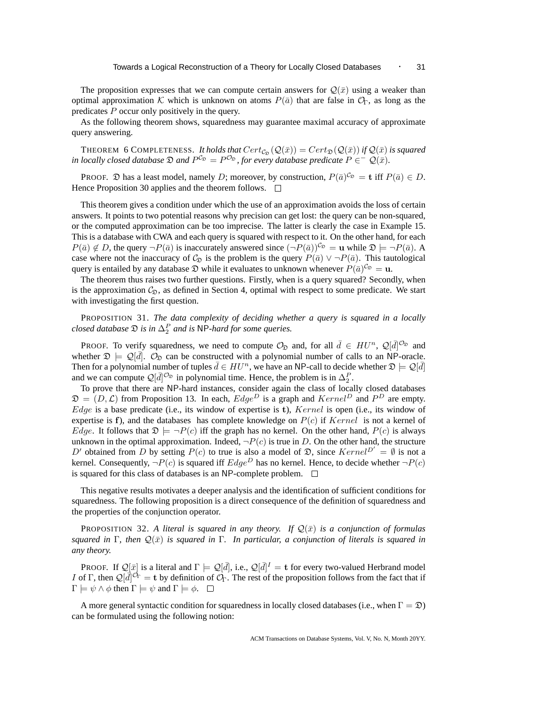The proposition expresses that we can compute certain answers for  $\mathcal{Q}(\bar{x})$  using a weaker than optimal approximation K which is unknown on atoms  $P(\bar{a})$  that are false in  $\mathcal{O}_\Gamma$ , as long as the predicates P occur only positively in the query.

As the following theorem shows, squaredness may guarantee maximal accuracy of approximate query answering.

THEOREM 6 COMPLETENESS. *It holds that*  $Cert_{\mathcal{C}_{\mathfrak{D}}}(\mathcal{Q}(\bar{x})) = Cert_{\mathfrak{D}}(\mathcal{Q}(\bar{x}))$  *if*  $\mathcal{Q}(\bar{x})$  *is squared in locally closed database*  $\mathfrak{D}$  *and*  $P^{\mathcal{C}_{\mathfrak{D}}} = P^{\mathcal{O}_{\mathfrak{D}}}$ *, for every database predicate*  $P \in \mathcal{D}(\bar{x})$ *.* 

PROOF.  $\mathfrak D$  has a least model, namely D; moreover, by construction,  $P(\bar a)^{C_{\mathfrak D}} = \mathbf{t}$  iff  $P(\bar a) \in D$ . Hence Proposition 30 applies and the theorem follows.  $\Box$ 

This theorem gives a condition under which the use of an approximation avoids the loss of certain answers. It points to two potential reasons why precision can get lost: the query can be non-squared, or the computed approximation can be too imprecise. The latter is clearly the case in Example 15. This is a database with CWA and each query is squared with respect to it. On the other hand, for each  $P(\bar{a}) \notin D$ , the query  $\neg P(\bar{a})$  is inaccurately answered since  $(\neg P(\bar{a}))^{C_{\mathfrak{D}}} = \mathbf{u}$  while  $\mathfrak{D} \models \neg P(\bar{a})$ . A case where not the inaccuracy of  $C_{\mathfrak{D}}$  is the problem is the query  $P(\bar{a}) \vee \neg P(\bar{a})$ . This tautological query is entailed by any database  $\mathfrak D$  while it evaluates to unknown whenever  $P(\bar a)^{C_{\mathfrak D}} = \mathbf u$ .

The theorem thus raises two further questions. Firstly, when is a query squared? Secondly, when is the approximation  $\mathcal{C}_{\mathfrak{D}}$ , as defined in Section 4, optimal with respect to some predicate. We start with investigating the first question.

PROPOSITION 31. *The data complexity of deciding whether a query is squared in a locally closed database*  $\mathfrak{D}$  *is in*  $\Delta_2^P$  *and is* NP-*hard for some queries.* 

PROOF. To verify squaredness, we need to compute  $\mathcal{O}_{\mathfrak{D}}$  and, for all  $\bar{d} \in HU^n$ ,  $\mathcal{Q}[\bar{d}]^{\mathcal{O}_{\mathfrak{D}}}$  and whether  $\mathfrak{D} \models \mathcal{Q}[\bar{d}]$ .  $\mathcal{O}_{\mathfrak{D}}$  can be constructed with a polynomial number of calls to an NP-oracle. Then for a polynomial number of tuples  $\bar{d} \in HU^n$ , we have an NP-call to decide whether  $\mathfrak{D} \models \mathcal{Q}[\bar{d}]$ and we can compute  $\mathcal{Q}[\bar{d}]^{\mathcal{O}_{\mathfrak{D}}}$  in polynomial time. Hence, the problem is in  $\Delta_2^P$ .

To prove that there are NP-hard instances, consider again the class of locally closed databases  $\mathfrak{D} = (D, \mathcal{L})$  from Proposition 13. In each,  $Edge^D$  is a graph and  $Kernel^D$  and  $P^D$  are empty. Edge is a base predicate (i.e., its window of expertise is  $t$ ),  $Kernel$  is open (i.e., its window of expertise is f), and the databases has complete knowledge on  $P(c)$  if Kernel is not a kernel of *Edge.* It follows that  $\mathfrak{D} \models \neg P(c)$  iff the graph has no kernel. On the other hand,  $P(c)$  is always unknown in the optimal approximation. Indeed,  $\neg P(c)$  is true in D. On the other hand, the structure D' obtained from D by setting  $P(c)$  to true is also a model of  $\mathfrak{D}$ , since  $Kernel^{D'} = \emptyset$  is not a kernel. Consequently,  $\neg P(c)$  is squared iff  $Edge^D$  has no kernel. Hence, to decide whether  $\neg P(c)$ is squared for this class of databases is an NP-complete problem.

This negative results motivates a deeper analysis and the identification of sufficient conditions for squaredness. The following proposition is a direct consequence of the definition of squaredness and the properties of the conjunction operator.

PROPOSITION 32. A literal is squared in any theory. If  $\mathcal{Q}(\bar{x})$  is a conjunction of formulas *squared in* Γ*, then* Q(¯x) *is squared in* Γ*. In particular, a conjunction of literals is squared in any theory.*

PROOF. If  $\mathcal{Q}[\bar{x}]$  is a literal and  $\Gamma \models \mathcal{Q}[\bar{d}]$ , i.e.,  $\mathcal{Q}[\bar{d}]^I = \mathbf{t}$  for every two-valued Herbrand model I of Γ, then  $\mathcal{Q}[\vec{d}]^{\vec{C}_\Gamma}$  = t by definition of  $\mathcal{O}_\Gamma$ . The rest of the proposition follows from the fact that if  $\Gamma \models \psi \land \phi$  then  $\Gamma \models \psi$  and  $\Gamma \models \phi$ .  $\Box$ 

A more general syntactic condition for squaredness in locally closed databases (i.e., when  $\Gamma = \mathfrak{D}$ ) can be formulated using the following notion: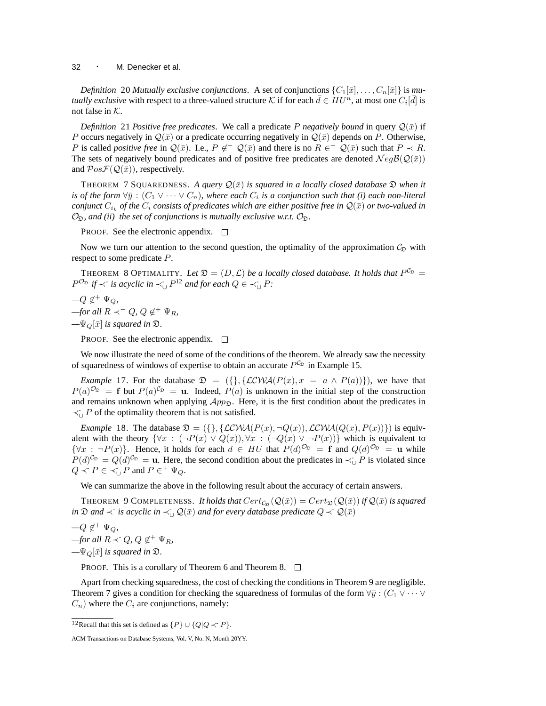*Definition* 20 *Mutually exclusive conjunctions*. A set of conjunctions  $\{C_1[\bar{x}], \ldots, C_n[\bar{x}]\}\$ is *mutually exclusive* with respect to a three-valued structure K if for each  $\bar{d} \in HU^n$ , at most one  $C_i[\bar{d}]$  is not false in  $K$ .

*Definition* 21 *Positive free predicates*. We call a predicate P negatively bound in query  $Q(\bar{x})$  if P occurs negatively in  $\mathcal{Q}(\bar{x})$  or a predicate occurring negatively in  $\mathcal{Q}(\bar{x})$  depends on P. Otherwise, P is called *positive free* in  $\mathcal{Q}(\bar{x})$ . I.e.,  $P \notin \mathcal{Q}(\bar{x})$  and there is no  $R \in \mathcal{Q}(\bar{x})$  such that  $P \prec R$ . The sets of negatively bound predicates and of positive free predicates are denoted  $Neg\mathcal{B}(Q(\bar{x}))$ and  $\mathcal{P}os\mathcal{F}(\mathcal{Q}(\bar{x}))$ , respectively.

THEOREM 7 SQUAREDNESS. A query  $\mathcal{Q}(\bar{x})$  *is squared in a locally closed database*  $\mathfrak D$  *when it* is of the form  $\forall \bar{y} : (C_1 \vee \cdots \vee C_n)$ , where each  $C_i$  is a conjunction such that (i) each non-literal  $conjunct\ C_{i_k}$  of the  $C_i$  consists of predicates which are either positive free in  $\mathcal{Q}(\bar{x})$  or two-valued in  $\mathcal{O}_{\mathfrak{D}}$ , and (ii) the set of conjunctions is mutually exclusive w.r.t.  $\mathcal{O}_{\mathfrak{D}}$ .

**PROOF.** See the electronic appendix.  $\Box$ 

Now we turn our attention to the second question, the optimality of the approximation  $\mathcal{C}_{\mathfrak{D}}$  with respect to some predicate P.

THEOREM 8 OPTIMALITY. Let  $\mathfrak{D} = (D, \mathcal{L})$  be a locally closed database. It holds that  $P^{\mathcal{C}_{\mathfrak{D}}} =$  $P^{\mathcal{O}_{\mathfrak{D}}}$  *if*  $\prec$  *is acyclic in*  $\prec_{\cup}^{\cdot} P^{12}$  *and for each*  $Q \in \prec_{\cup}^{\cdot} P$ *:* 

 $-Q \notin^+ \Psi_Q$  $-f$ *or all*  $R$  ≺<sup>−</sup>  $Q$ ,  $Q \notin$ <sup>+</sup>  $\Psi$ <sub>*R*</sub>,

 $-\Psi_{Q}[\bar{x}]$  *is squared in*  $\mathfrak{D}$ *.* 

**PROOF.** See the electronic appendix.  $\Box$ 

We now illustrate the need of some of the conditions of the theorem. We already saw the necessity of squaredness of windows of expertise to obtain an accurate  $P^{C_{\mathfrak{D}}}$  in Example 15.

*Example* 17. For the database  $\mathfrak{D} = (\{\}, \{\mathcal{LCWA}(P(x), x = a \land P(a))\})$ , we have that  $P(a)^{O_{\mathfrak{D}}} = \mathbf{f}$  but  $P(a)^{C_{\mathfrak{D}}} = \mathbf{u}$ . Indeed,  $P(a)$  is unknown in the initial step of the construction and remains unknown when applying  $App_{\mathcal{D}}$ . Here, it is the first condition about the predicates in  $\prec_{\cup} P$  of the optimality theorem that is not satisfied.

*Example* 18. The database  $\mathfrak{D} = (\{\}, \{\mathcal{LCWA}(P(x), \neg Q(x)), \mathcal{LCWA}(Q(x), P(x))\})$  is equivalent with the theory  $\{\forall x : (\neg P(x) \lor Q(x)), \forall x : (\neg Q(x) \lor \neg P(x))\}$  which is equivalent to  $\{\forall x : \neg P(x)\}.$  Hence, it holds for each  $d \in HU$  that  $P(d)^{O_{\mathfrak{D}}} = \mathbf{f}$  and  $Q(d)^{O_{\mathfrak{D}}} = \mathbf{u}$  while  $P(d)^{C_{\mathfrak{D}}} = Q(d)^{C_{\mathfrak{D}}} = \mathbf{u}$ . Here, the second condition about the predicates in  $\prec_{\cup} P$  is violated since  $Q \prec P \in \prec_{\bigcup} P$  and  $P \in^+ \Psi_Q$ .

We can summarize the above in the following result about the accuracy of certain answers.

THEOREM 9 COMPLETENESS. *It holds that*  $Cert_{C_{\mathcal{D}}}(Q(\bar{x})) = Cert_{\mathcal{D}}(Q(\bar{x}))$  *if*  $Q(\bar{x})$  *is squared*  $\hat{y}$  *in*  $\mathfrak{D}$  *and*  $\prec$ <sup>-</sup> *is acyclic in*  $\prec$ <sub>U</sub>  $\mathcal{Q}(\bar{x})$  *and for every database predicate*  $Q \prec Q(\bar{x})$ 

$$
-Q\not\in^+\Psi_Q,
$$

 $\rightarrow$  *for all*  $R \prec Q$ ,  $Q \notin V$ <sub>R</sub>,

 $-\Psi_{Q}[\bar{x}]$  *is squared in*  $\mathfrak{D}$ *.* 

PROOF. This is a corollary of Theorem 6 and Theorem 8.  $\Box$ 

Apart from checking squaredness, the cost of checking the conditions in Theorem 9 are negligible. Theorem 7 gives a condition for checking the squaredness of formulas of the form  $\forall \bar{y}: (C_1 \vee \cdots \vee C_n)$  $C_n$ ) where the  $C_i$  are conjunctions, namely:

<sup>&</sup>lt;sup>12</sup>Recall that this set is defined as  $\{P\} \cup \{Q|Q \prec P\}.$ 

ACM Transactions on Database Systems, Vol. V, No. N, Month 20YY.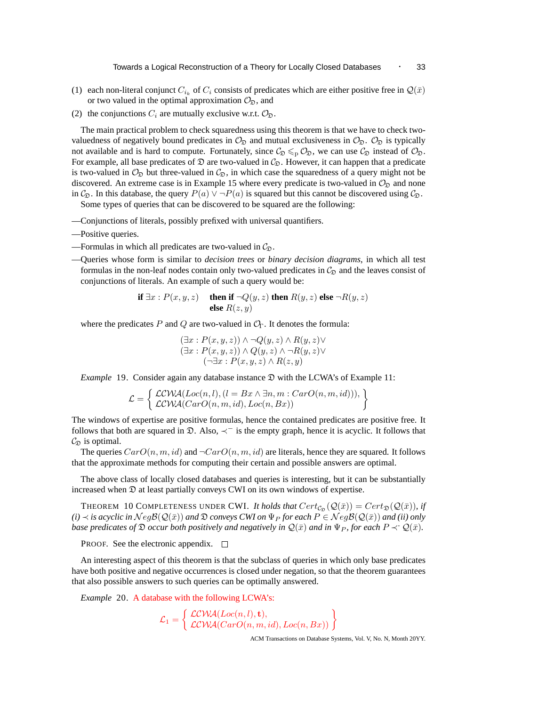- (1) each non-literal conjunct  $C_{i_k}$  of  $C_i$  consists of predicates which are either positive free in  $\mathcal{Q}(\bar{x})$ or two valued in the optimal approximation  $\mathcal{O}_{\mathfrak{D}}$ , and
- (2) the conjunctions  $C_i$  are mutually exclusive w.r.t.  $\mathcal{O}_{\mathfrak{D}}$ .

The main practical problem to check squaredness using this theorem is that we have to check twovaluedness of negatively bound predicates in  $\mathcal{O}_\mathfrak{D}$  and mutual exclusiveness in  $\mathcal{O}_\mathfrak{D}$ .  $\mathcal{O}_\mathfrak{D}$  is typically not available and is hard to compute. Fortunately, since  $C_{\mathfrak{D}} \leq_{\mathfrak{D}} O_{\mathfrak{D}}$ , we can use  $C_{\mathfrak{D}}$  instead of  $O_{\mathfrak{D}}$ . For example, all base predicates of  $\mathfrak D$  are two-valued in  $\mathcal{C}_{\mathfrak D}$ . However, it can happen that a predicate is two-valued in  $\mathcal{O}_\mathfrak{D}$  but three-valued in  $\mathcal{C}_\mathfrak{D}$ , in which case the squaredness of a query might not be discovered. An extreme case is in Example 15 where every predicate is two-valued in  $\mathcal{O}_\mathfrak{D}$  and none in  $C_{\mathfrak{D}}$ . In this database, the query  $P(a) \vee \neg P(a)$  is squared but this cannot be discovered using  $C_{\mathfrak{D}}$ . Some types of queries that can be discovered to be squared are the following:

—Conjunctions of literals, possibly prefixed with universal quantifiers.

- —Positive queries.
- —Formulas in which all predicates are two-valued in  $C_{\Omega}$ .
- —Queries whose form is similar to *decision trees* or *binary decision diagrams*, in which all test formulas in the non-leaf nodes contain only two-valued predicates in  $C_{\mathfrak{D}}$  and the leaves consist of conjunctions of literals. An example of such a query would be:

$$
\begin{array}{ll}\n\text{if } \exists x : P(x, y, z) & \text{then if } \neg Q(y, z) \text{ then } R(y, z) \text{ else } \neg R(y, z) \\
\text{else } R(z, y)\n\end{array}
$$

where the predicates P and Q are two-valued in  $\mathcal{O}_\Gamma$ . It denotes the formula:

$$
(\exists x : P(x, y, z)) \land \neg Q(y, z) \land R(y, z) \lor (\exists x : P(x, y, z)) \land Q(y, z) \land \neg R(y, z) \lor (\neg \exists x : P(x, y, z) \land R(z, y)
$$

*Example* 19. Consider again any database instance  $\mathfrak D$  with the LCWA's of Example 11:

$$
\mathcal{L} = \left\{ \begin{array}{l} \mathcal{LCWA}(Loc(n, l), (l = Bx \land \exists n, m : CarO(n, m, id))), \\ \mathcal{LCWA}(CarO(n, m, id), Loc(n, Bx)) \end{array} \right\}
$$

The windows of expertise are positive formulas, hence the contained predicates are positive free. It follows that both are squared in  $\mathfrak{D}$ . Also,  $\prec^-$  is the empty graph, hence it is acyclic. It follows that  $\mathcal{C}_{\mathfrak{D}}$  is optimal.

The queries  $CarO(n, m, id)$  and  $\neg CarO(n, m, id)$  are literals, hence they are squared. It follows that the approximate methods for computing their certain and possible answers are optimal.

The above class of locally closed databases and queries is interesting, but it can be substantially increased when  $\mathfrak D$  at least partially conveys CWI on its own windows of expertise.

THEOREM 10 COMPLETENESS UNDER CWI. *It holds that*  $Cert_{C_{\mathcal{D}}}(Q(\bar{x})) = Cert_{\mathfrak{D}}(Q(\bar{x}))$ *, if*  $(i) \prec$  *is acyclic in*  $\mathcal{N}eg\mathcal{B}(\mathcal{Q}(\bar{x}))$  *and*  $\mathfrak{D}$  *conveys CWI on*  $\Psi_P$  *for each*  $P \in \mathcal{N}eg\mathcal{B}(\mathcal{Q}(\bar{x}))$  *and (ii) only base predicates of*  $\mathfrak{D}$  *occur both positively and negatively in*  $\mathcal{Q}(\bar{x})$  *and in*  $\Psi_P$ *, for each*  $P \prec \mathcal{Q}(\bar{x})$ *.* 

PROOF. See the electronic appendix.  $\square$ 

An interesting aspect of this theorem is that the subclass of queries in which only base predicates have both positive and negative occurrences is closed under negation, so that the theorem guarantees that also possible answers to such queries can be optimally answered.

*Example* 20. A database with the following LCWA's:

$$
\mathcal{L}_1 = \left\{ \begin{array}{c} \mathcal{LCWA}(Loc(n,l), \mathbf{t}), \\ \mathcal{LCWA}(CarO(n,m, id), Loc(n, Bx)) \end{array} \right\}
$$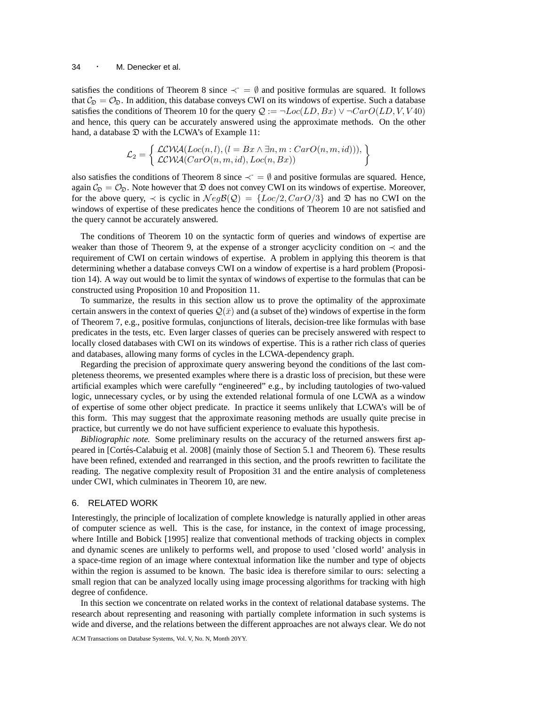satisfies the conditions of Theorem 8 since  $\prec^- = \emptyset$  and positive formulas are squared. It follows that  $C_{\mathfrak{D}} = \mathcal{O}_{\mathfrak{D}}$ . In addition, this database conveys CWI on its windows of expertise. Such a database satisfies the conditions of Theorem 10 for the query  $Q := \neg Loc(LD, Bx) \vee \neg CarO(LD, V, V40)$ and hence, this query can be accurately answered using the approximate methods. On the other hand, a database  $\mathfrak D$  with the LCWA's of Example 11:

$$
\mathcal{L}_2 = \left\{ \begin{array}{l} \mathcal{LCWA}(Loc(n, l), (l = Bx \land \exists n, m : CarO(n, m, id))), \\ \mathcal{LCWA}(CarO(n, m, id), Loc(n, Bx)) \end{array} \right\}
$$

also satisfies the conditions of Theorem 8 since  $\prec$  =  $\emptyset$  and positive formulas are squared. Hence, again  $C_{\mathfrak{D}} = \mathcal{O}_{\mathfrak{D}}$ . Note however that  $\mathfrak D$  does not convey CWI on its windows of expertise. Moreover, for the above query,  $\prec$  is cyclic in  $NegB(Q) = \{Loc/2, CarO/3\}$  and  $\mathfrak D$  has no CWI on the windows of expertise of these predicates hence the conditions of Theorem 10 are not satisfied and the query cannot be accurately answered.

The conditions of Theorem 10 on the syntactic form of queries and windows of expertise are weaker than those of Theorem 9, at the expense of a stronger acyclicity condition on  $\prec$  and the requirement of CWI on certain windows of expertise. A problem in applying this theorem is that determining whether a database conveys CWI on a window of expertise is a hard problem (Proposition 14). A way out would be to limit the syntax of windows of expertise to the formulas that can be constructed using Proposition 10 and Proposition 11.

To summarize, the results in this section allow us to prove the optimality of the approximate certain answers in the context of queries  $Q(\bar{x})$  and (a subset of the) windows of expertise in the form of Theorem 7, e.g., positive formulas, conjunctions of literals, decision-tree like formulas with base predicates in the tests, etc. Even larger classes of queries can be precisely answered with respect to locally closed databases with CWI on its windows of expertise. This is a rather rich class of queries and databases, allowing many forms of cycles in the LCWA-dependency graph.

Regarding the precision of approximate query answering beyond the conditions of the last completeness theorems, we presented examples where there is a drastic loss of precision, but these were artificial examples which were carefully "engineered" e.g., by including tautologies of two-valued logic, unnecessary cycles, or by using the extended relational formula of one LCWA as a window of expertise of some other object predicate. In practice it seems unlikely that LCWA's will be of this form. This may suggest that the approximate reasoning methods are usually quite precise in practice, but currently we do not have sufficient experience to evaluate this hypothesis.

*Bibliographic note.* Some preliminary results on the accuracy of the returned answers first appeared in [Cortés-Calabuig et al. 2008] (mainly those of Section 5.1 and Theorem 6). These results have been refined, extended and rearranged in this section, and the proofs rewritten to facilitate the reading. The negative complexity result of Proposition 31 and the entire analysis of completeness under CWI, which culminates in Theorem 10, are new.

#### 6. RELATED WORK

Interestingly, the principle of localization of complete knowledge is naturally applied in other areas of computer science as well. This is the case, for instance, in the context of image processing, where Intille and Bobick [1995] realize that conventional methods of tracking objects in complex and dynamic scenes are unlikely to performs well, and propose to used 'closed world' analysis in a space-time region of an image where contextual information like the number and type of objects within the region is assumed to be known. The basic idea is therefore similar to ours: selecting a small region that can be analyzed locally using image processing algorithms for tracking with high degree of confidence.

In this section we concentrate on related works in the context of relational database systems. The research about representing and reasoning with partially complete information in such systems is wide and diverse, and the relations between the different approaches are not always clear. We do not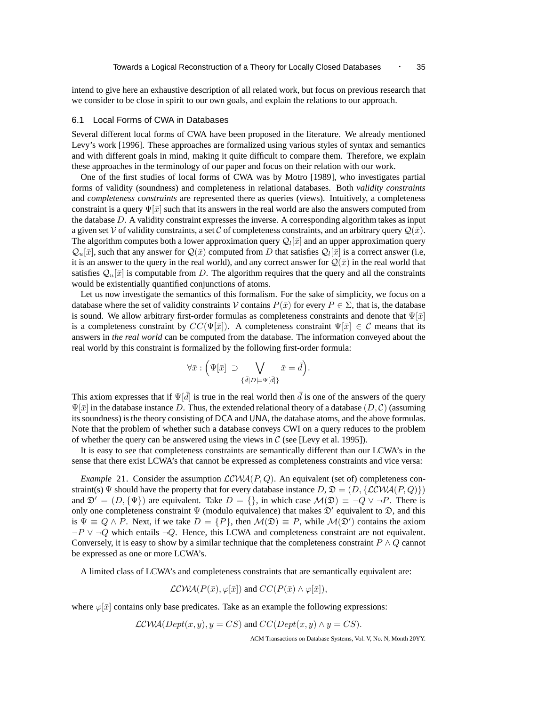intend to give here an exhaustive description of all related work, but focus on previous research that we consider to be close in spirit to our own goals, and explain the relations to our approach.

#### 6.1 Local Forms of CWA in Databases

Several different local forms of CWA have been proposed in the literature. We already mentioned Levy's work [1996]. These approaches are formalized using various styles of syntax and semantics and with different goals in mind, making it quite difficult to compare them. Therefore, we explain these approaches in the terminology of our paper and focus on their relation with our work.

One of the first studies of local forms of CWA was by Motro [1989], who investigates partial forms of validity (soundness) and completeness in relational databases. Both *validity constraints* and *completeness constraints* are represented there as queries (views). Intuitively, a completeness constraint is a query  $\Psi[\bar{x}]$  such that its answers in the real world are also the answers computed from the database  $D$ . A validity constraint expresses the inverse. A corresponding algorithm takes as input a given set V of validity constraints, a set C of completeness constraints, and an arbitrary query  $Q(\bar{x})$ . The algorithm computes both a lower approximation query  $\mathcal{Q}_l[\bar{x}]$  and an upper approximation query  $\mathcal{Q}_u[\bar{x}]$ , such that any answer for  $\mathcal{Q}(\bar{x})$  computed from D that satisfies  $\mathcal{Q}_l[\bar{x}]$  is a correct answer (i.e, it is an answer to the query in the real world), and any correct answer for  $\mathcal{Q}(\bar{x})$  in the real world that satisfies  $Q_u[\bar{x}]$  is computable from D. The algorithm requires that the query and all the constraints would be existentially quantified conjunctions of atoms.

Let us now investigate the semantics of this formalism. For the sake of simplicity, we focus on a database where the set of validity constraints V contains  $P(\bar{x})$  for every  $P \in \Sigma$ , that is, the database is sound. We allow arbitrary first-order formulas as completeness constraints and denote that  $\Psi[\bar{x}]$ is a completeness constraint by  $CC(\Psi[\bar{x}])$ . A completeness constraint  $\Psi[\bar{x}] \in \mathcal{C}$  means that its answers in *the real world* can be computed from the database. The information conveyed about the real world by this constraint is formalized by the following first-order formula:

$$
\forall \bar{x} : \left( \Psi[\bar{x}] \supset \bigvee_{\{\bar{d}|D\models \Psi[\bar{d}]\}} \bar{x} = \bar{d} \right).
$$

This axiom expresses that if  $\Psi[\bar{d}]$  is true in the real world then  $\bar{d}$  is one of the answers of the query  $\Psi[\bar{x}]$  in the database instance D. Thus, the extended relational theory of a database  $(D, C)$  (assuming its soundness) is the theory consisting of DCA and UNA, the database atoms, and the above formulas. Note that the problem of whether such a database conveys CWI on a query reduces to the problem of whether the query can be answered using the views in  $\mathcal{C}$  (see [Levy et al. 1995]).

It is easy to see that completeness constraints are semantically different than our LCWA's in the sense that there exist LCWA's that cannot be expressed as completeness constraints and vice versa:

*Example* 21. Consider the assumption  $LCWA(P,Q)$ . An equivalent (set of) completeness constraint(s) Ψ should have the property that for every database instance  $D, \mathfrak{D} = (D, \{LCWA(P, Q)\})$ and  $\mathfrak{D}' = (D, \{\Psi\})$  are equivalent. Take  $D = \{\}$ , in which case  $\mathcal{M}(\mathfrak{D}) \equiv \neg Q \lor \neg P$ . There is only one completeness constraint  $\Psi$  (modulo equivalence) that makes  $\mathfrak{D}'$  equivalent to  $\mathfrak{D}$ , and this is  $\Psi \equiv Q \wedge P$ . Next, if we take  $D = \{P\}$ , then  $\mathcal{M}(\mathfrak{D}) \equiv P$ , while  $\mathcal{M}(\mathfrak{D}')$  contains the axiom  $\neg P \lor \neg Q$  which entails  $\neg Q$ . Hence, this LCWA and completeness constraint are not equivalent. Conversely, it is easy to show by a similar technique that the completeness constraint  $P \wedge Q$  cannot be expressed as one or more LCWA's.

A limited class of LCWA's and completeness constraints that are semantically equivalent are:

$$
\mathcal{LCWA}(P(\bar{x}), \varphi[\bar{x}])
$$
 and  $CC(P(\bar{x}) \wedge \varphi[\bar{x}]),$ 

where  $\varphi[\bar{x}]$  contains only base predicates. Take as an example the following expressions:

 $\mathcal{LCWA}(Depth(x, y), y = CS)$  and  $CC(Depth(x, y) \wedge y = CS)$ .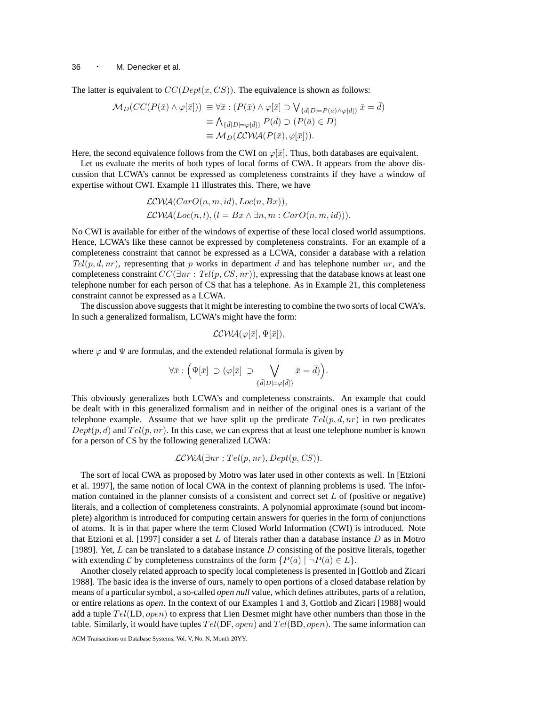The latter is equivalent to  $CC(Depth(x, CS))$ . The equivalence is shown as follows:

$$
\mathcal{M}_D(CC(P(\bar{x}) \land \varphi[\bar{x}])) \equiv \forall \bar{x} : (P(\bar{x}) \land \varphi[\bar{x}] \supset \bigvee_{\{\bar{d}|D\models P(\bar{a}) \land \varphi[\bar{d}]\}} \bar{x} = \bar{d})
$$

$$
\equiv \bigwedge_{\{\bar{d}|D\models \varphi[\bar{d}]\}} P(\bar{d}) \supset (P(\bar{a}) \in D)
$$

$$
\equiv \mathcal{M}_D(\mathcal{LCWA}(P(\bar{x}), \varphi[\bar{x}])).
$$

Here, the second equivalence follows from the CWI on  $\varphi[\bar{x}]$ . Thus, both databases are equivalent.

Let us evaluate the merits of both types of local forms of CWA. It appears from the above discussion that LCWA's cannot be expressed as completeness constraints if they have a window of expertise without CWI. Example 11 illustrates this. There, we have

$$
\mathcal{LCWA}(CarO(n, m, id), Loc(n, Bx)),
$$
  

$$
\mathcal{LCWA}(Loc(n, l), (l = Bx \land \exists n, m : CarO(n, m, id))).
$$

No CWI is available for either of the windows of expertise of these local closed world assumptions. Hence, LCWA's like these cannot be expressed by completeness constraints. For an example of a completeness constraint that cannot be expressed as a LCWA, consider a database with a relation  $Tel(p, d, nr)$ , representing that p works in department d and has telephone number nr, and the completeness constraint  $CC(\exists nr : Tel(p, CS, nr))$ , expressing that the database knows at least one telephone number for each person of CS that has a telephone. As in Example 21, this completeness constraint cannot be expressed as a LCWA.

The discussion above suggests that it might be interesting to combine the two sorts of local CWA's. In such a generalized formalism, LCWA's might have the form:

$$
\mathcal{LCWA}(\varphi[\bar{x}], \Psi[\bar{x}]),
$$

where  $\varphi$  and  $\Psi$  are formulas, and the extended relational formula is given by

$$
\forall \bar{x} : \left( \Psi[\bar{x}] \supset (\varphi[\bar{x}] \supset \bigvee_{\{\bar{d}|D\models \varphi[\bar{d}]\}} \bar{x} = \bar{d}) \right).
$$

This obviously generalizes both LCWA's and completeness constraints. An example that could be dealt with in this generalized formalism and in neither of the original ones is a variant of the telephone example. Assume that we have split up the predicate  $Tel(p, d, nr)$  in two predicates  $Depth(p,d)$  and  $Tel(p,nr)$ . In this case, we can express that at least one telephone number is known for a person of CS by the following generalized LCWA:

$$
\mathcal{LCWA}(\exists nr : Tel(p, nr), Dept(p, CS)).
$$

The sort of local CWA as proposed by Motro was later used in other contexts as well. In [Etzioni et al. 1997], the same notion of local CWA in the context of planning problems is used. The information contained in the planner consists of a consistent and correct set  $L$  of (positive or negative) literals, and a collection of completeness constraints. A polynomial approximate (sound but incomplete) algorithm is introduced for computing certain answers for queries in the form of conjunctions of atoms. It is in that paper where the term Closed World Information (CWI) is introduced. Note that Etzioni et al. [1997] consider a set L of literals rather than a database instance  $D$  as in Motro [1989]. Yet,  $L$  can be translated to a database instance  $D$  consisting of the positive literals, together with extending C by completeness constraints of the form  $\{P(\bar{a}) | \neg P(\bar{a}) \in L\}$ .

Another closely related approach to specify local completeness is presented in [Gottlob and Zicari 1988]. The basic idea is the inverse of ours, namely to open portions of a closed database relation by means of a particular symbol, a so-called *open null* value, which defines attributes, parts of a relation, or entire relations as *open*. In the context of our Examples 1 and 3, Gottlob and Zicari [1988] would add a tuple  $Tel(\text{LD}, open)$  to express that Lien Desmet might have other numbers than those in the table. Similarly, it would have tuples  $Tel(DF, open)$  and  $Tel(BD, open)$ . The same information can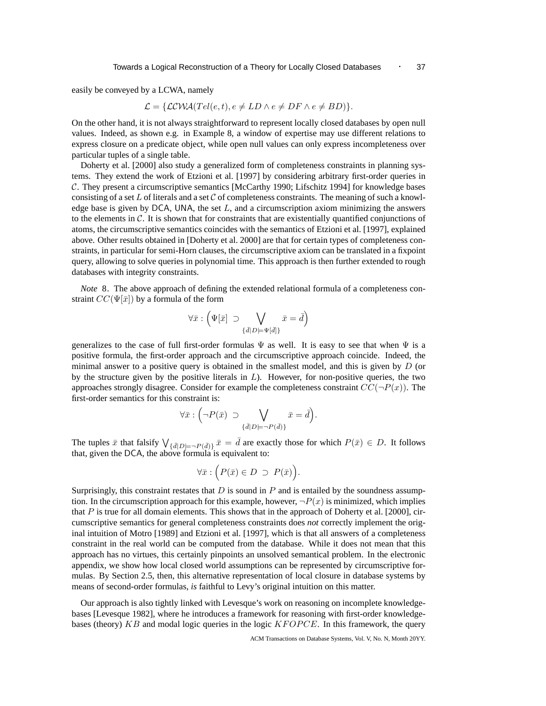easily be conveyed by a LCWA, namely

$$
\mathcal{L} = \{ \mathcal{LCWA}(Tel(e, t), e \neq LD \land e \neq DF \land e \neq BD) \}.
$$

On the other hand, it is not always straightforward to represent locally closed databases by open null values. Indeed, as shown e.g. in Example 8, a window of expertise may use different relations to express closure on a predicate object, while open null values can only express incompleteness over particular tuples of a single table.

Doherty et al. [2000] also study a generalized form of completeness constraints in planning systems. They extend the work of Etzioni et al. [1997] by considering arbitrary first-order queries in C. They present a circumscriptive semantics [McCarthy 1990; Lifschitz 1994] for knowledge bases consisting of a set L of literals and a set C of completeness constraints. The meaning of such a knowledge base is given by DCA, UNA, the set  $L$ , and a circumscription axiom minimizing the answers to the elements in  $\mathcal C$ . It is shown that for constraints that are existentially quantified conjunctions of atoms, the circumscriptive semantics coincides with the semantics of Etzioni et al. [1997], explained above. Other results obtained in [Doherty et al. 2000] are that for certain types of completeness constraints, in particular for semi-Horn clauses, the circumscriptive axiom can be translated in a fixpoint query, allowing to solve queries in polynomial time. This approach is then further extended to rough databases with integrity constraints.

*Note* 8. The above approach of defining the extended relational formula of a completeness constraint  $CC(\Psi[\bar{x}])$  by a formula of the form

$$
\forall \bar{x} : \left( \Psi[\bar{x}] \supset \bigvee_{\{\bar{d} \mid D \models \Psi[\bar{d}]\}} \bar{x} = \bar{d} \right)
$$

generalizes to the case of full first-order formulas  $\Psi$  as well. It is easy to see that when  $\Psi$  is a positive formula, the first-order approach and the circumscriptive approach coincide. Indeed, the minimal answer to a positive query is obtained in the smallest model, and this is given by  $D$  (or by the structure given by the positive literals in L). However, for non-positive queries, the two approaches strongly disagree. Consider for example the completeness constraint  $CC(\neg P(x))$ . The first-order semantics for this constraint is:

$$
\forall \bar{x} : \left( \neg P(\bar{x}) \supset \bigvee_{\{\bar{d}|D| = \neg P(\bar{d})\}} \bar{x} = \bar{d} \right).
$$

The tuples  $\bar{x}$  that falsify  $\bigvee_{\{\bar{d}|D|=\neg P(\bar{d})\}} \bar{x} = \bar{d}$  are exactly those for which  $P(\bar{x}) \in D$ . It follows that, given the DCA, the above formula is equivalent to:

$$
\forall \bar{x} : \Big( P(\bar{x}) \in D \supset P(\bar{x}) \Big).
$$

Surprisingly, this constraint restates that  $D$  is sound in  $P$  and is entailed by the soundness assumption. In the circumscription approach for this example, however,  $\neg P(x)$  is minimized, which implies that P is true for all domain elements. This shows that in the approach of Doherty et al. [2000], circumscriptive semantics for general completeness constraints does *not* correctly implement the original intuition of Motro [1989] and Etzioni et al. [1997], which is that all answers of a completeness constraint in the real world can be computed from the database. While it does not mean that this approach has no virtues, this certainly pinpoints an unsolved semantical problem. In the electronic appendix, we show how local closed world assumptions can be represented by circumscriptive formulas. By Section 2.5, then, this alternative representation of local closure in database systems by means of second-order formulas, *is* faithful to Levy's original intuition on this matter.

Our approach is also tightly linked with Levesque's work on reasoning on incomplete knowledgebases [Levesque 1982], where he introduces a framework for reasoning with first-order knowledgebases (theory)  $KB$  and modal logic queries in the logic  $KFOPCE$ . In this framework, the query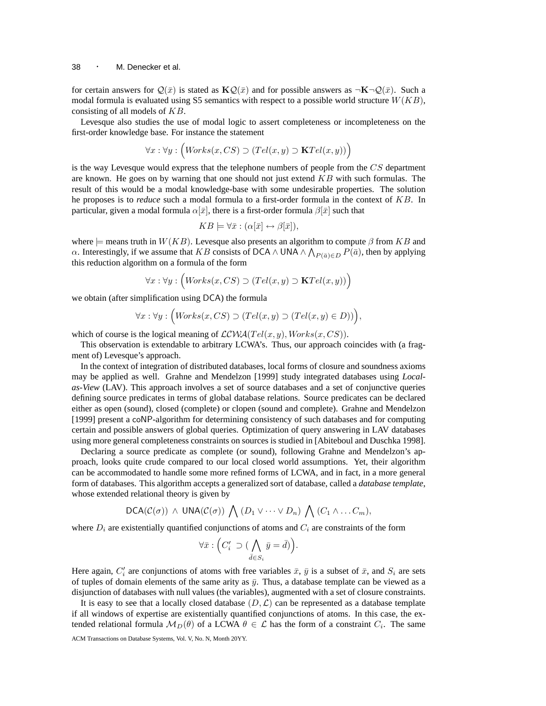for certain answers for  $Q(\bar{x})$  is stated as  $\mathbf{K}Q(\bar{x})$  and for possible answers as  $\neg \mathbf{K} \neg Q(\bar{x})$ . Such a modal formula is evaluated using S5 semantics with respect to a possible world structure  $W(KB)$ , consisting of all models of KB.

Levesque also studies the use of modal logic to assert completeness or incompleteness on the first-order knowledge base. For instance the statement

$$
\forall x : \forall y : (Works(x, CS) \supset (Tel(x, y) \supset \mathbf{K} Tel(x, y)))
$$

is the way Levesque would express that the telephone numbers of people from the CS department are known. He goes on by warning that one should not just extend  $KB$  with such formulas. The result of this would be a modal knowledge-base with some undesirable properties. The solution he proposes is to *reduce* such a modal formula to a first-order formula in the context of KB. In particular, given a modal formula  $\alpha[\bar{x}]$ , there is a first-order formula  $\beta[\bar{x}]$  such that

$$
KB \models \forall \bar{x} : (\alpha[\bar{x}] \leftrightarrow \beta[\bar{x}]),
$$

where  $\models$  means truth in  $W(KB)$ . Levesque also presents an algorithm to compute  $\beta$  from KB and α. Interestingly, if we assume that KB consists of DCA  $\wedge$  UNA  $\wedge$   $\wedge$ <sub>P( $\bar{a}$ ) $\in$  D  $P(\bar{a})$ , then by applying</sub> this reduction algorithm on a formula of the form

$$
\forall x : \forall y : (Works(x, CS) \supset (Tel(x, y) \supset \mathbf{KT}el(x, y)))
$$

we obtain (after simplification using DCA) the formula

$$
\forall x: \forall y: (Works(x, CS) \supset (Tel(x, y) \supset (Tel(x, y) \in D)))
$$

which of course is the logical meaning of  $LCWA(Tel(x, y), Works(x, CS))$ .

This observation is extendable to arbitrary LCWA's. Thus, our approach coincides with (a fragment of) Levesque's approach.

In the context of integration of distributed databases, local forms of closure and soundness axioms may be applied as well. Grahne and Mendelzon [1999] study integrated databases using *Localas-View* (LAV). This approach involves a set of source databases and a set of conjunctive queries defining source predicates in terms of global database relations. Source predicates can be declared either as open (sound), closed (complete) or clopen (sound and complete). Grahne and Mendelzon [1999] present a coNP-algorithm for determining consistency of such databases and for computing certain and possible answers of global queries. Optimization of query answering in LAV databases using more general completeness constraints on sources is studied in [Abiteboul and Duschka 1998].

Declaring a source predicate as complete (or sound), following Grahne and Mendelzon's approach, looks quite crude compared to our local closed world assumptions. Yet, their algorithm can be accommodated to handle some more refined forms of LCWA, and in fact, in a more general form of databases. This algorithm accepts a generalized sort of database, called a *database template*, whose extended relational theory is given by

$$
\mathsf{DCA}(\mathcal{C}(\sigma)) \ \wedge \ \mathsf{UNA}(\mathcal{C}(\sigma)) \ \bigwedge \ (D_1 \vee \cdots \vee D_n) \ \bigwedge \ (C_1 \wedge \ldots C_m),
$$

where  $D_i$  are existentially quantified conjunctions of atoms and  $C_i$  are constraints of the form

$$
\forall \bar{x} : \Big( C_i' \supset (\bigwedge_{\bar{d} \in S_i} \bar{y} = \bar{d}) \Big).
$$

Here again,  $C_i'$  are conjunctions of atoms with free variables  $\bar{x}$ ,  $\bar{y}$  is a subset of  $\bar{x}$ , and  $S_i$  are sets of tuples of domain elements of the same arity as  $\bar{y}$ . Thus, a database template can be viewed as a disjunction of databases with null values (the variables), augmented with a set of closure constraints.

It is easy to see that a locally closed database  $(D, \mathcal{L})$  can be represented as a database template if all windows of expertise are existentially quantified conjunctions of atoms. In this case, the extended relational formula  $M_D(\theta)$  of a LCWA  $\theta \in \mathcal{L}$  has the form of a constraint  $C_i$ . The same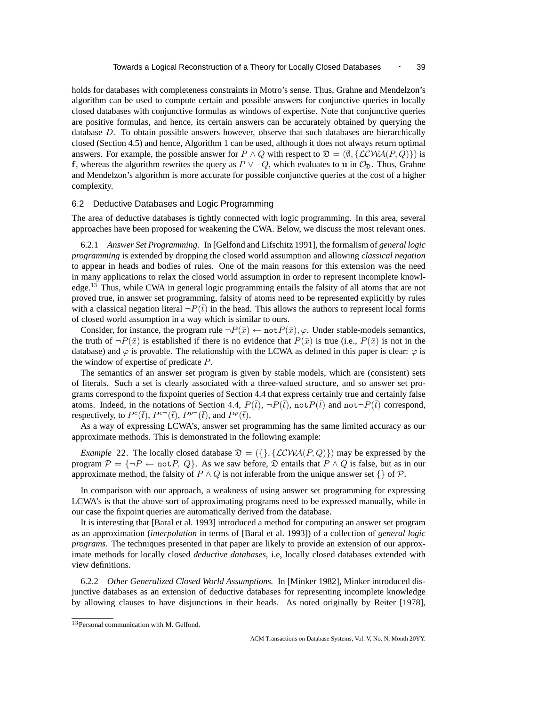holds for databases with completeness constraints in Motro's sense. Thus, Grahne and Mendelzon's algorithm can be used to compute certain and possible answers for conjunctive queries in locally closed databases with conjunctive formulas as windows of expertise. Note that conjunctive queries are positive formulas, and hence, its certain answers can be accurately obtained by querying the database D. To obtain possible answers however, observe that such databases are hierarchically closed (Section 4.5) and hence, Algorithm 1 can be used, although it does not always return optimal answers. For example, the possible answer for  $P \wedge Q$  with respect to  $\mathfrak{D} = (\emptyset, \{\text{LCWA}(P, Q)\})$  is f, whereas the algorithm rewrites the query as  $P \lor \neg Q$ , which evaluates to u in  $\mathcal{O}_\mathfrak{D}$ . Thus, Grahne and Mendelzon's algorithm is more accurate for possible conjunctive queries at the cost of a higher complexity.

#### 6.2 Deductive Databases and Logic Programming

The area of deductive databases is tightly connected with logic programming. In this area, several approaches have been proposed for weakening the CWA. Below, we discuss the most relevant ones.

6.2.1 *Answer Set Programming.* In [Gelfond and Lifschitz 1991], the formalism of *general logic programming* is extended by dropping the closed world assumption and allowing *classical negation* to appear in heads and bodies of rules. One of the main reasons for this extension was the need in many applications to relax the closed world assumption in order to represent incomplete knowledge.<sup>13</sup> Thus, while CWA in general logic programming entails the falsity of all atoms that are not proved true, in answer set programming, falsity of atoms need to be represented explicitly by rules with a classical negation literal  $\neg P(\bar{t})$  in the head. This allows the authors to represent local forms of closed world assumption in a way which is similar to ours.

Consider, for instance, the program rule  $\neg P(\bar{x}) \leftarrow \text{not } P(\bar{x}), \varphi$ . Under stable-models semantics, the truth of  $\neg P(\bar{x})$  is established if there is no evidence that  $P(\bar{x})$  is true (i.e.,  $P(\bar{x})$  is not in the database) and  $\varphi$  is provable. The relationship with the LCWA as defined in this paper is clear:  $\varphi$  is the window of expertise of predicate P.

The semantics of an answer set program is given by stable models, which are (consistent) sets of literals. Such a set is clearly associated with a three-valued structure, and so answer set programs correspond to the fixpoint queries of Section 4.4 that express certainly true and certainly false atoms. Indeed, in the notations of Section 4.4,  $P(\bar{t})$ ,  $\neg P(\bar{t})$ , not $P(\bar{t})$  and not  $\neg P(\bar{t})$  correspond, respectively, to  $P^c(\bar{t})$ ,  $P^{c-}(\bar{t})$ ,  $P^{p-}(\bar{t})$ , and  $P^p(\bar{t})$ .

As a way of expressing LCWA's, answer set programming has the same limited accuracy as our approximate methods. This is demonstrated in the following example:

*Example* 22. The locally closed database  $\mathfrak{D} = (\{\}, \{\mathcal{LCWA}(P, Q)\})$  may be expressed by the program  $\mathcal{P} = \{\neg P \leftarrow \text{not } P, Q\}$ . As we saw before,  $\mathcal{D}$  entails that  $P \wedge Q$  is false, but as in our approximate method, the falsity of  $P \wedge Q$  is not inferable from the unique answer set  $\{\}$  of  $\mathcal{P}$ .

In comparison with our approach, a weakness of using answer set programming for expressing LCWA's is that the above sort of approximating programs need to be expressed manually, while in our case the fixpoint queries are automatically derived from the database.

It is interesting that [Baral et al. 1993] introduced a method for computing an answer set program as an approximation (*interpolation* in terms of [Baral et al. 1993]) of a collection of *general logic programs*. The techniques presented in that paper are likely to provide an extension of our approximate methods for locally closed *deductive databases*, i.e, locally closed databases extended with view definitions.

6.2.2 *Other Generalized Closed World Assumptions.* In [Minker 1982], Minker introduced disjunctive databases as an extension of deductive databases for representing incomplete knowledge by allowing clauses to have disjunctions in their heads. As noted originally by Reiter [1978],

<sup>13</sup>Personal communication with M. Gelfond.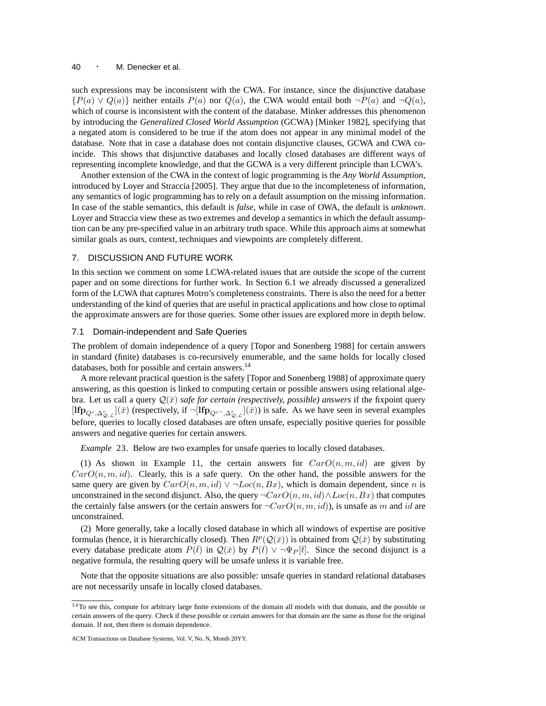such expressions may be inconsistent with the CWA. For instance, since the disjunctive database  $\{P(a) \vee Q(a)\}$  neither entails  $P(a)$  nor  $Q(a)$ , the CWA would entail both  $\neg P(a)$  and  $\neg Q(a)$ , which of course is inconsistent with the content of the database. Minker addresses this phenomenon by introducing the *Generalized Closed World Assumption* (GCWA) [Minker 1982], specifying that a negated atom is considered to be true if the atom does not appear in any minimal model of the database. Note that in case a database does not contain disjunctive clauses, GCWA and CWA coincide. This shows that disjunctive databases and locally closed databases are different ways of representing incomplete knowledge, and that the GCWA is a very different principle than LCWA's.

Another extension of the CWA in the context of logic programming is the *Any World Assumption*, introduced by Loyer and Straccia [2005]. They argue that due to the incompleteness of information, any semantics of logic programming has to rely on a default assumption on the missing information. In case of the stable semantics, this default is *false*, while in case of OWA, the default is *unknown*. Loyer and Straccia view these as two extremes and develop a semantics in which the default assumption can be any pre-specified value in an arbitrary truth space. While this approach aims at somewhat similar goals as ours, context, techniques and viewpoints are completely different.

## 7. DISCUSSION AND FUTURE WORK

In this section we comment on some LCWA-related issues that are outside the scope of the current paper and on some directions for further work. In Section 6.1 we already discussed a generalized form of the LCWA that captures Motro's completeness constraints. There is also the need for a better understanding of the kind of queries that are useful in practical applications and how close to optimal the approximate answers are for those queries. Some other issues are explored more in depth below.

#### 7.1 Domain-independent and Safe Queries

The problem of domain independence of a query [Topor and Sonenberg 1988] for certain answers in standard (finite) databases is co-recursively enumerable, and the same holds for locally closed databases, both for possible and certain answers.<sup>14</sup>

A more relevant practical question is the safety [Topor and Sonenberg 1988] of approximate query answering, as this question is linked to computing certain or possible answers using relational algebra. Let us call a query  $Q(\bar{x})$  *safe for certain (respectively, possible) answers* if the fixpoint query  $[\mathbf{If}_{\mathbf{p}_{Q^c,\Delta_{\mathcal{Q},\mathcal{L}}^c}}](\bar{x})$  (respectively, if  $\neg[\mathbf{If}_{\mathbf{p}_{Q^{c_{\neg}}\Delta_{\mathcal{Q},\mathcal{L}}^c}}](\bar{x})$ ) is safe. As we have seen in several examples before, queries to locally closed databases are often unsafe, especially positive queries for possible answers and negative queries for certain answers.

*Example* 23. Below are two examples for unsafe queries to locally closed databases.

(1) As shown in Example 11, the certain answers for  $CarO(n, m, id)$  are given by  $CarO(n, m, id)$ . Clearly, this is a safe query. On the other hand, the possible answers for the same query are given by  $CarO(n, m, id) \vee \neg Loc(n, Bx)$ , which is domain dependent, since n is unconstrained in the second disjunct. Also, the query  $\neg CarO(n, m, id) \wedge Loc(n, Bx)$  that computes the certainly false answers (or the certain answers for  $\neg CarO(n, m, id)$ ), is unsafe as m and id are unconstrained.

(2) More generally, take a locally closed database in which all windows of expertise are positive formulas (hence, it is hierarchically closed). Then  $R^p(\mathcal{Q}(\bar{x}))$  is obtained from  $\mathcal{Q}(\bar{x})$  by substituting every database predicate atom  $P(\bar{t})$  in  $\mathcal{Q}(\bar{x})$  by  $P(\bar{t}) \vee \neg \Psi_P[\bar{t}]$ . Since the second disjunct is a negative formula, the resulting query will be unsafe unless it is variable free.

Note that the opposite situations are also possible: unsafe queries in standard relational databases are not necessarily unsafe in locally closed databases.

<sup>&</sup>lt;sup>14</sup>To see this, compute for arbitrary large finite extensions of the domain all models with that domain, and the possible or certain answers of the query. Check if these possible or certain answers for that domain are the same as those for the original domain. If not, then there is domain dependence.

ACM Transactions on Database Systems, Vol. V, No. N, Month 20YY.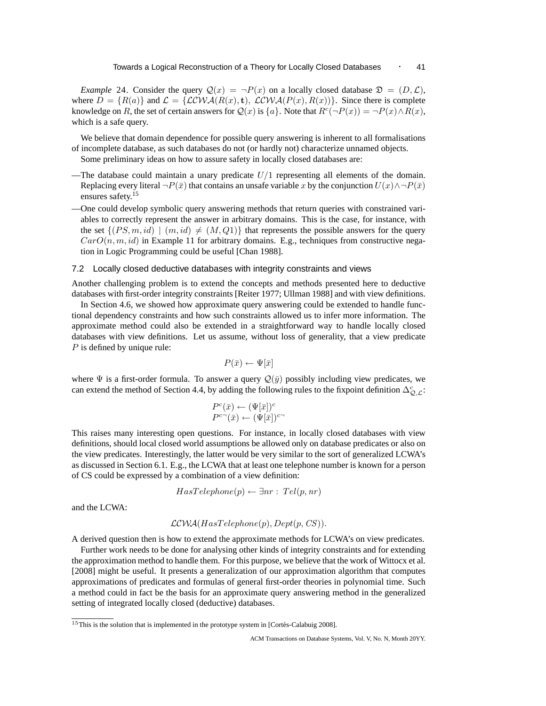*Example* 24. Consider the query  $Q(x) = \neg P(x)$  on a locally closed database  $\mathfrak{D} = (D, \mathcal{L})$ , where  $D = \{R(a)\}\$ and  $\mathcal{L} = \{\mathcal{LCWA}(R(x), \mathbf{t}), \mathcal{LCWA}(P(x), R(x))\}\$ . Since there is complete knowledge on R, the set of certain answers for  $Q(x)$  is  $\{a\}$ . Note that  $R^c(\neg P(x)) = \neg P(x) \wedge R(x)$ , which is a safe query.

We believe that domain dependence for possible query answering is inherent to all formalisations of incomplete database, as such databases do not (or hardly not) characterize unnamed objects.

Some preliminary ideas on how to assure safety in locally closed databases are:

- —The database could maintain a unary predicate  $U/1$  representing all elements of the domain. Replacing every literal  $\neg P(\bar{x})$  that contains an unsafe variable x by the conjunction  $U(x) \land \neg P(\bar{x})$ ensures safety.<sup>15</sup>
- —One could develop symbolic query answering methods that return queries with constrained variables to correctly represent the answer in arbitrary domains. This is the case, for instance, with the set  $\{(PS, m, id) \mid (m, id) \neq (M, Q1)\}\$  that represents the possible answers for the query  $CarO(n, m, id)$  in Example 11 for arbitrary domains. E.g., techniques from constructive negation in Logic Programming could be useful [Chan 1988].

#### 7.2 Locally closed deductive databases with integrity constraints and views

Another challenging problem is to extend the concepts and methods presented here to deductive databases with first-order integrity constraints [Reiter 1977; Ullman 1988] and with view definitions.

In Section 4.6, we showed how approximate query answering could be extended to handle functional dependency constraints and how such constraints allowed us to infer more information. The approximate method could also be extended in a straightforward way to handle locally closed databases with view definitions. Let us assume, without loss of generality, that a view predicate P is defined by unique rule:

$$
P(\bar{x}) \leftarrow \Psi[\bar{x}]
$$

where  $\Psi$  is a first-order formula. To answer a query  $\mathcal{Q}(\bar{y})$  possibly including view predicates, we can extend the method of Section 4.4, by adding the following rules to the fixpoint definition  $\Delta_{\mathcal{Q},\mathcal{L}}^c$ :

$$
P^{c}(\bar{x}) \leftarrow (\Psi[\bar{x}])^{c}
$$

$$
P^{c}(\bar{x}) \leftarrow (\Psi[\bar{x}])^{c}
$$

This raises many interesting open questions. For instance, in locally closed databases with view definitions, should local closed world assumptions be allowed only on database predicates or also on the view predicates. Interestingly, the latter would be very similar to the sort of generalized LCWA's as discussed in Section 6.1. E.g., the LCWA that at least one telephone number is known for a person of CS could be expressed by a combination of a view definition:

$$
HasTelephone(p) \leftarrow \exists nr : Tel(p, nr)
$$

and the LCWA:

$$
\mathcal{LCWA}(HasTelephone(p), Dept(p, CS)).
$$

A derived question then is how to extend the approximate methods for LCWA's on view predicates.

Further work needs to be done for analysing other kinds of integrity constraints and for extending the approximation method to handle them. For this purpose, we believe that the work of Wittocx et al. [2008] might be useful. It presents a generalization of our approximation algorithm that computes approximations of predicates and formulas of general first-order theories in polynomial time. Such a method could in fact be the basis for an approximate query answering method in the generalized setting of integrated locally closed (deductive) databases.

 $15$ This is the solution that is implemented in the prototype system in [Cortés-Calabuig 2008].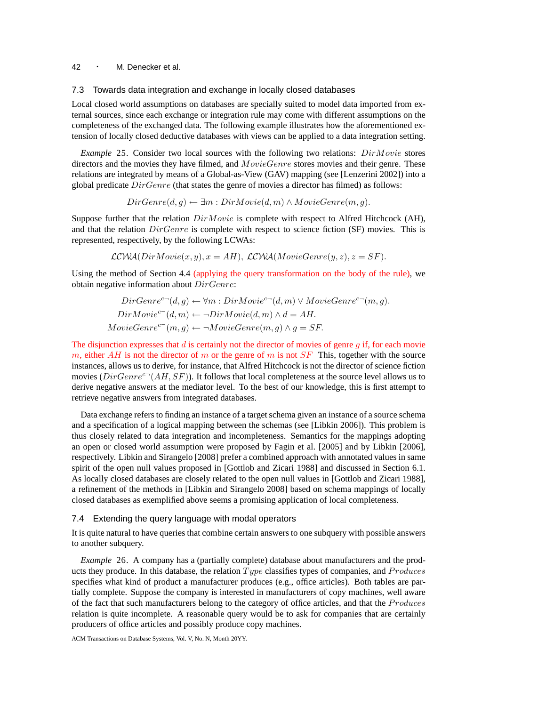#### 7.3 Towards data integration and exchange in locally closed databases

Local closed world assumptions on databases are specially suited to model data imported from external sources, since each exchange or integration rule may come with different assumptions on the completeness of the exchanged data. The following example illustrates how the aforementioned extension of locally closed deductive databases with views can be applied to a data integration setting.

*Example* 25. Consider two local sources with the following two relations: *DirMovie* stores directors and the movies they have filmed, and  $MovieGenre$  stores movies and their genre. These relations are integrated by means of a Global-as-View (GAV) mapping (see [Lenzerini 2002]) into a global predicate  $DirGenre$  (that states the genre of movies a director has filmed) as follows:

 $DirGenre(d, g) \leftarrow \exists m : Dir Movie(d, m) \wedge MovieGenre(m, g).$ 

Suppose further that the relation  $DirMovie$  is complete with respect to Alfred Hitchcock (AH), and that the relation  $DirGenre$  is complete with respect to science fiction (SF) movies. This is represented, respectively, by the following LCWAs:

 $LCWA(DirMovie(x, y), x = AH), \ \mathcal{LC}WA(MovieGenre(y, z), z = SF).$ 

Using the method of Section 4.4 (applying the query transformation on the body of the rule), we obtain negative information about DirGenre:

$$
DirGenre^{c-}(d, g) \leftarrow \forall m : DirMovie^{c-}(d, m) \lor MovieGenre^{c-}(m, g).
$$
  

$$
Dir Movie^{c-}(d, m) \leftarrow \neg DirMovie(d, m) \land d = AH.
$$
  

$$
MovieGenre^{c-}(m, g) \leftarrow \neg MovieGenre(m, g) \land g = SF.
$$

The disjunction expresses that  $d$  is certainly not the director of movies of genre  $q$  if, for each movie m, either AH is not the director of m or the genre of m is not  $SF$ . This, together with the source instances, allows us to derive, for instance, that Alfred Hitchcock is not the director of science fiction movies ( $DirGenre^{c-}(AH, SF)$ ). It follows that local completeness at the source level allows us to derive negative answers at the mediator level. To the best of our knowledge, this is first attempt to retrieve negative answers from integrated databases.

Data exchange refers to finding an instance of a target schema given an instance of a source schema and a specification of a logical mapping between the schemas (see [Libkin 2006]). This problem is thus closely related to data integration and incompleteness. Semantics for the mappings adopting an open or closed world assumption were proposed by Fagin et al. [2005] and by Libkin [2006], respectively. Libkin and Sirangelo [2008] prefer a combined approach with annotated values in same spirit of the open null values proposed in [Gottlob and Zicari 1988] and discussed in Section 6.1. As locally closed databases are closely related to the open null values in [Gottlob and Zicari 1988], a refinement of the methods in [Libkin and Sirangelo 2008] based on schema mappings of locally closed databases as exemplified above seems a promising application of local completeness.

#### 7.4 Extending the query language with modal operators

It is quite natural to have queries that combine certain answers to one subquery with possible answers to another subquery.

*Example* 26. A company has a (partially complete) database about manufacturers and the products they produce. In this database, the relation  $Type$  classifies types of companies, and  $Products$ specifies what kind of product a manufacturer produces (e.g., office articles). Both tables are partially complete. Suppose the company is interested in manufacturers of copy machines, well aware of the fact that such manufacturers belong to the category of office articles, and that the Produces relation is quite incomplete. A reasonable query would be to ask for companies that are certainly producers of office articles and possibly produce copy machines.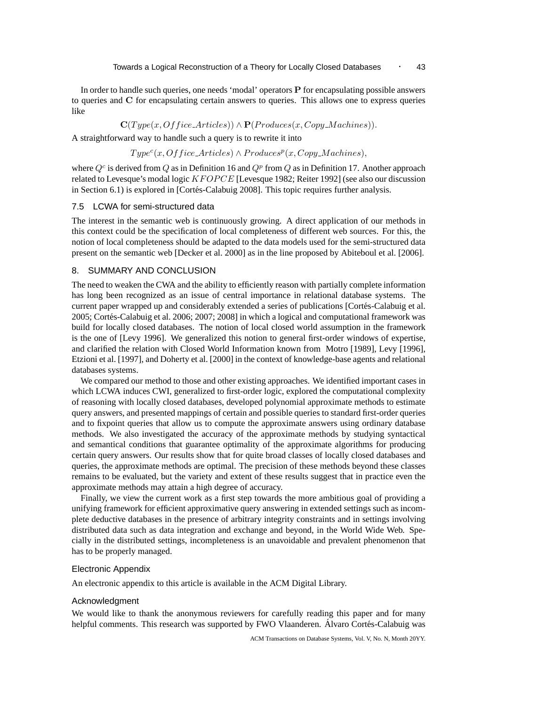In order to handle such queries, one needs 'modal' operators P for encapsulating possible answers to queries and C for encapsulating certain answers to queries. This allows one to express queries like

 $\mathbf{C}(Type(x, Office\_Articles)) \wedge \mathbf{P}(Products(x, Copy\_ Machines)).$ 

A straightforward way to handle such a query is to rewrite it into

$$
Type^c(x, Office-Articles) \wedge Products^p(x, Copy\_Machines),
$$

where  $Q^c$  is derived from Q as in Definition 16 and  $Q^p$  from Q as in Definition 17. Another approach related to Levesque's modal logic  $KFOPCE$  [Levesque 1982; Reiter 1992] (see also our discussion in Section 6.1) is explored in [Cortés-Calabuig 2008]. This topic requires further analysis.

## 7.5 LCWA for semi-structured data

The interest in the semantic web is continuously growing. A direct application of our methods in this context could be the specification of local completeness of different web sources. For this, the notion of local completeness should be adapted to the data models used for the semi-structured data present on the semantic web [Decker et al. 2000] as in the line proposed by Abiteboul et al. [2006].

### 8. SUMMARY AND CONCLUSION

The need to weaken the CWA and the ability to efficiently reason with partially complete information has long been recognized as an issue of central importance in relational database systems. The current paper wrapped up and considerably extended a series of publications [Cortes-Calabuig et al. ´ 2005; Cortes-Calabuig et al. 2006; 2007; 2008] in which a logical and computational framework was ´ build for locally closed databases. The notion of local closed world assumption in the framework is the one of [Levy 1996]. We generalized this notion to general first-order windows of expertise, and clarified the relation with Closed World Information known from Motro [1989], Levy [1996], Etzioni et al. [1997], and Doherty et al. [2000] in the context of knowledge-base agents and relational databases systems.

We compared our method to those and other existing approaches. We identified important cases in which LCWA induces CWI, generalized to first-order logic, explored the computational complexity of reasoning with locally closed databases, developed polynomial approximate methods to estimate query answers, and presented mappings of certain and possible queries to standard first-order queries and to fixpoint queries that allow us to compute the approximate answers using ordinary database methods. We also investigated the accuracy of the approximate methods by studying syntactical and semantical conditions that guarantee optimality of the approximate algorithms for producing certain query answers. Our results show that for quite broad classes of locally closed databases and queries, the approximate methods are optimal. The precision of these methods beyond these classes remains to be evaluated, but the variety and extent of these results suggest that in practice even the approximate methods may attain a high degree of accuracy.

Finally, we view the current work as a first step towards the more ambitious goal of providing a unifying framework for efficient approximative query answering in extended settings such as incomplete deductive databases in the presence of arbitrary integrity constraints and in settings involving distributed data such as data integration and exchange and beyond, in the World Wide Web. Specially in the distributed settings, incompleteness is an unavoidable and prevalent phenomenon that has to be properly managed.

#### Electronic Appendix

An electronic appendix to this article is available in the ACM Digital Library.

#### Acknowledgment

We would like to thank the anonymous reviewers for carefully reading this paper and for many helpful comments. This research was supported by FWO Vlaanderen. Alvaro Cortés-Calabuig was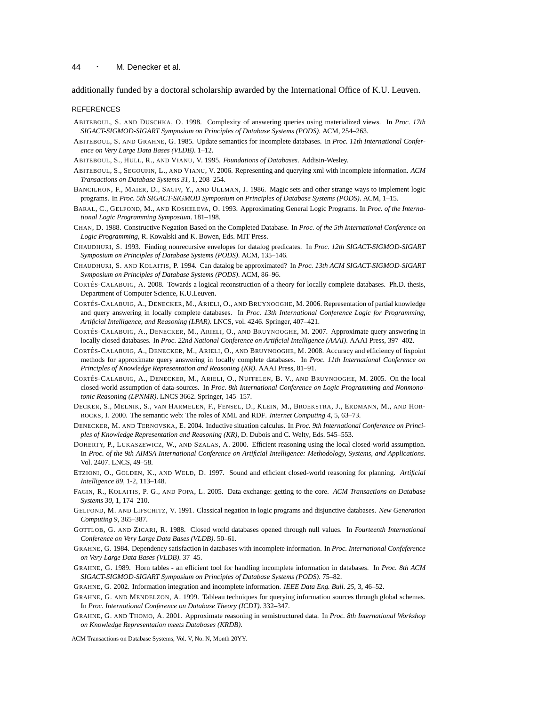additionally funded by a doctoral scholarship awarded by the International Office of K.U. Leuven.

#### REFERENCES

- ABITEBOUL, S. AND DUSCHKA, O. 1998. Complexity of answering queries using materialized views. In *Proc. 17th SIGACT-SIGMOD-SIGART Symposium on Principles of Database Systems (PODS)*. ACM, 254–263.
- ABITEBOUL, S. AND GRAHNE, G. 1985. Update semantics for incomplete databases. In *Proc. 11th International Conference on Very Large Data Bases (VLDB)*. 1–12.
- ABITEBOUL, S., HULL, R., AND VIANU, V. 1995. *Foundations of Databases*. Addisin-Wesley.
- ABITEBOUL, S., SEGOUFIN, L., AND VIANU, V. 2006. Representing and querying xml with incomplete information. *ACM Transactions on Database Systems 31,* 1, 208–254.
- BANCILHON, F., MAIER, D., SAGIV, Y., AND ULLMAN, J. 1986. Magic sets and other strange ways to implement logic programs. In *Proc. 5th SIGACT-SIGMOD Symposium on Principles of Database Systems (PODS)*. ACM, 1–15.
- BARAL, C., GELFOND, M., AND KOSHELEVA, O. 1993. Approximating General Logic Programs. In *Proc. of the International Logic Programming Symposium*. 181–198.
- CHAN, D. 1988. Constructive Negation Based on the Completed Database. In *Proc. of the 5th International Conference on Logic Programming*, R. Kowalski and K. Bowen, Eds. MIT Press.
- CHAUDHURI, S. 1993. Finding nonrecursive envelopes for datalog predicates. In *Proc. 12th SIGACT-SIGMOD-SIGART Symposium on Principles of Database Systems (PODS)*. ACM, 135–146.
- CHAUDHURI, S. AND KOLAITIS, P. 1994. Can datalog be approximated? In *Proc. 13th ACM SIGACT-SIGMOD-SIGART Symposium on Principles of Database Systems (PODS)*. ACM, 86–96.
- CORTÉS-CALABUIG, A. 2008. Towards a logical reconstruction of a theory for locally complete databases. Ph.D. thesis, Department of Computer Science, K.U.Leuven.
- CORTÉS-CALABUIG, A., DENECKER, M., ARIELI, O., AND BRUYNOOGHE, M. 2006. Representation of partial knowledge and query answering in locally complete databases. In *Proc. 13th International Conference Logic for Programming, Artificial Intelligence, and Reasoning (LPAR)*. LNCS, vol. 4246. Springer, 407–421.
- CORTÉS-CALABUIG, A., DENECKER, M., ARIELI, O., AND BRUYNOOGHE, M. 2007. Approximate query answering in locally closed databases. In *Proc. 22nd National Conference on Artificial Intelligence (AAAI)*. AAAI Press, 397–402.
- CORTÉS-CALABUIG, A., DENECKER, M., ARIELI, O., AND BRUYNOOGHE, M. 2008. Accuracy and efficiency of fixpoint methods for approximate query answering in locally complete databases. In *Proc. 11th International Conference on Principles of Knowledge Representation and Reasoning (KR)*. AAAI Press, 81–91.
- CORTÉS-CALABUIG, A., DENECKER, M., ARIELI, O., NUFFELEN, B. V., AND BRUYNOOGHE, M. 2005. On the local closed-world assumption of data-sources. In *Proc. 8th International Conference on Logic Programming and Nonmonotonic Reasoning (LPNMR)*. LNCS 3662. Springer, 145–157.
- DECKER, S., MELNIK, S., VAN HARMELEN, F., FENSEL, D., KLEIN, M., BROEKSTRA, J., ERDMANN, M., AND HOR-ROCKS, I. 2000. The semantic web: The roles of XML and RDF. *Internet Computing 4,* 5, 63–73.
- DENECKER, M. AND TERNOVSKA, E. 2004. Inductive situation calculus. In *Proc. 9th International Conference on Principles of Knowledge Representation and Reasoning (KR)*, D. Dubois and C. Welty, Eds. 545–553.
- DOHERTY, P., LUKASZEWICZ, W., AND SZALAS, A. 2000. Efficient reasoning using the local closed-world assumption. In *Proc. of the 9th AIMSA International Conference on Artificial Intelligence: Methodology, Systems, and Applications*. Vol. 2407. LNCS, 49–58.
- ETZIONI, O., GOLDEN, K., AND WELD, D. 1997. Sound and efficient closed-world reasoning for planning. *Artificial Intelligence 89,* 1-2, 113–148.
- FAGIN, R., KOLAITIS, P. G., AND POPA, L. 2005. Data exchange: getting to the core. *ACM Transactions on Database Systems 30,* 1, 174–210.
- GELFOND, M. AND LIFSCHITZ, V. 1991. Classical negation in logic programs and disjunctive databases. *New Generation Computing 9*, 365–387.
- GOTTLOB, G. AND ZICARI, R. 1988. Closed world databases opened through null values. In *Fourteenth International Conference on Very Large Data Bases (VLDB)*. 50–61.
- GRAHNE, G. 1984. Dependency satisfaction in databases with incomplete information. In *Proc. International Confeference on Very Large Data Bases (VLDB)*. 37–45.
- GRAHNE, G. 1989. Horn tables an efficient tool for handling incomplete information in databases. In *Proc. 8th ACM SIGACT-SIGMOD-SIGART Symposium on Principles of Database Systems (PODS)*. 75–82.
- GRAHNE, G. 2002. Information integration and incomplete information. *IEEE Data Eng. Bull. 25,* 3, 46–52.
- GRAHNE, G. AND MENDELZON, A. 1999. Tableau techniques for querying information sources through global schemas. In *Proc. International Conference on Database Theory (ICDT)*. 332–347.
- GRAHNE, G. AND THOMO, A. 2001. Approximate reasoning in semistructured data. In *Proc. 8th International Workshop on Knowledge Representation meets Databases (KRDB)*.
- ACM Transactions on Database Systems, Vol. V, No. N, Month 20YY.